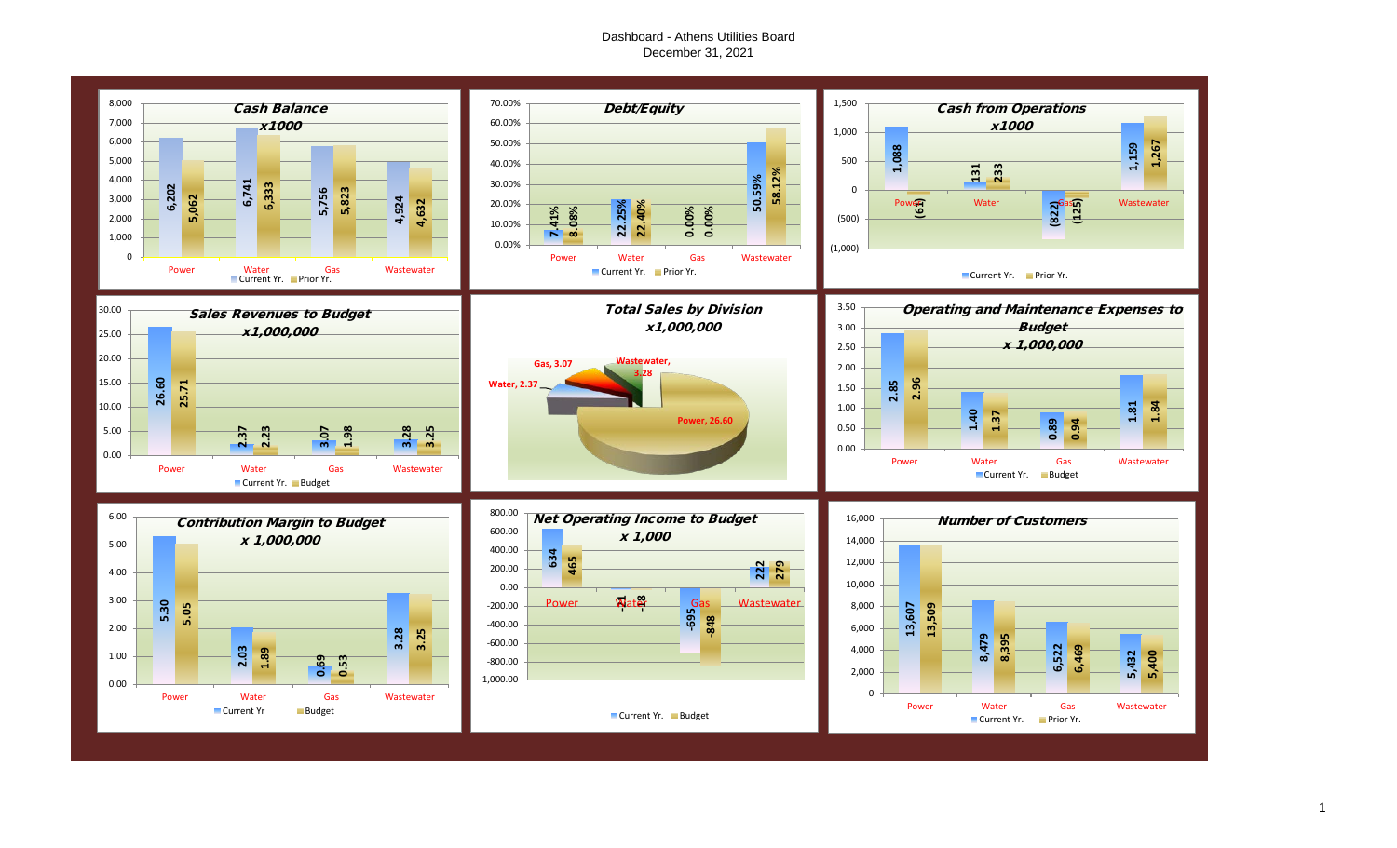## Dashboard - Athens Utilities Board December 31, 2021

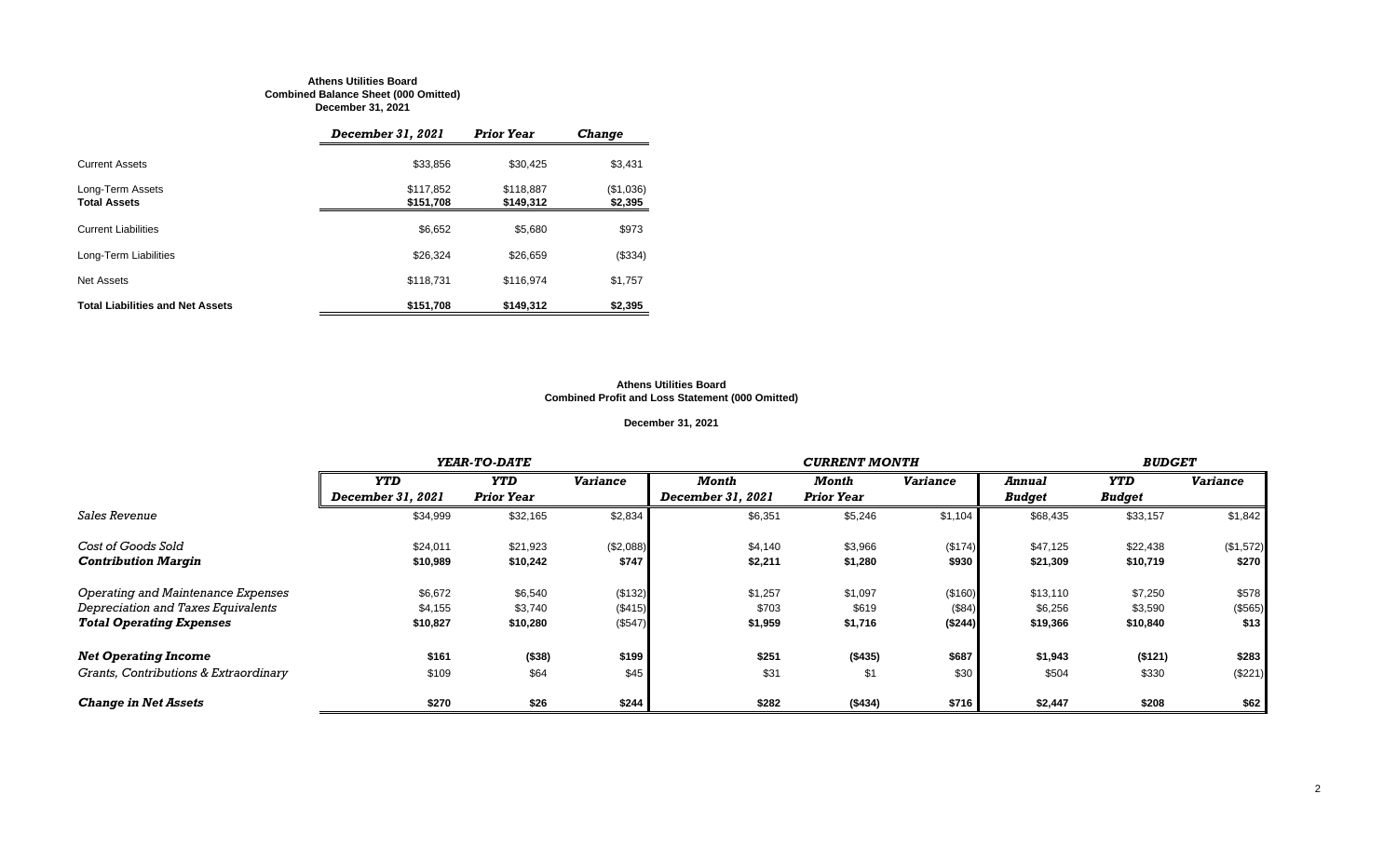#### **Athens Utilities Board Combined Balance Sheet (000 Omitted) December 31, 2021**

|                                         | December 31, 2021      | <b>Prior Year</b>      | <b>Change</b>        |
|-----------------------------------------|------------------------|------------------------|----------------------|
| <b>Current Assets</b>                   | \$33,856               | \$30,425               | \$3,431              |
| Long-Term Assets<br><b>Total Assets</b> | \$117,852<br>\$151,708 | \$118,887<br>\$149,312 | (\$1,036)<br>\$2,395 |
| <b>Current Liabilities</b>              | \$6,652                | \$5.680                | \$973                |
| Long-Term Liabilities                   | \$26.324               | \$26,659               | (\$334)              |
| Net Assets                              | \$118,731              | \$116,974              | \$1,757              |
| <b>Total Liabilities and Net Assets</b> | \$151,708              | \$149.312              | \$2,395              |

#### **Athens Utilities Board Combined Profit and Loss Statement (000 Omitted)**

## **December 31, 2021**

|                                       |                   | YEAR-TO-DATE      |                 |                   | <b>CURRENT MONTH</b> |                 |               |               |                 |  |
|---------------------------------------|-------------------|-------------------|-----------------|-------------------|----------------------|-----------------|---------------|---------------|-----------------|--|
|                                       | <b>YTD</b>        | <b>YTD</b>        | <b>Variance</b> | Month             | Month                | <b>Variance</b> | Annual        | <b>YTD</b>    | <b>Variance</b> |  |
|                                       | December 31, 2021 | <b>Prior Year</b> |                 | December 31, 2021 | <b>Prior Year</b>    |                 | <b>Budget</b> | <b>Budget</b> |                 |  |
| <i>Sales Revenue</i>                  | \$34,999          | \$32,165          | \$2,834         | \$6,351           | \$5,246              | \$1,104         | \$68,435      | \$33,157      | \$1,842         |  |
| Cost of Goods Sold                    | \$24,011          | \$21,923          | (\$2,088)       | \$4,140           | \$3,966              | (\$174)         | \$47,125      | \$22,438      | (\$1,572)       |  |
| <b>Contribution Margin</b>            | \$10,989          | \$10,242          | \$747           | \$2,211           | \$1,280              | \$930           | \$21,309      | \$10,719      | \$270           |  |
| Operating and Maintenance Expenses    | \$6,672           | \$6,540           | (\$132)         | \$1,257           | \$1,097              | (\$160)         | \$13,110      | \$7,250       | \$578           |  |
| Depreciation and Taxes Equivalents    | \$4,155           | \$3,740           | (\$415)         | \$703             | \$619                | (\$84)          | \$6,256       | \$3,590       | (\$565)         |  |
| <b>Total Operating Expenses</b>       | \$10,827          | \$10,280          | (\$547)         | \$1,959           | \$1,716              | (\$244)         | \$19,366      | \$10,840      | \$13            |  |
| <b>Net Operating Income</b>           | \$161             | ( \$38)           | \$199           | \$251             | (\$435)              | \$687           | \$1,943       | (\$121)       | \$283           |  |
| Grants, Contributions & Extraordinary | \$109             | \$64              | \$45            | \$31              | \$1                  | \$30            | \$504         | \$330         | (\$221)         |  |
| <b>Change in Net Assets</b>           | \$270             | \$26              | \$244           | \$282             | (\$434)              | \$716           | \$2,447       | \$208         | \$62            |  |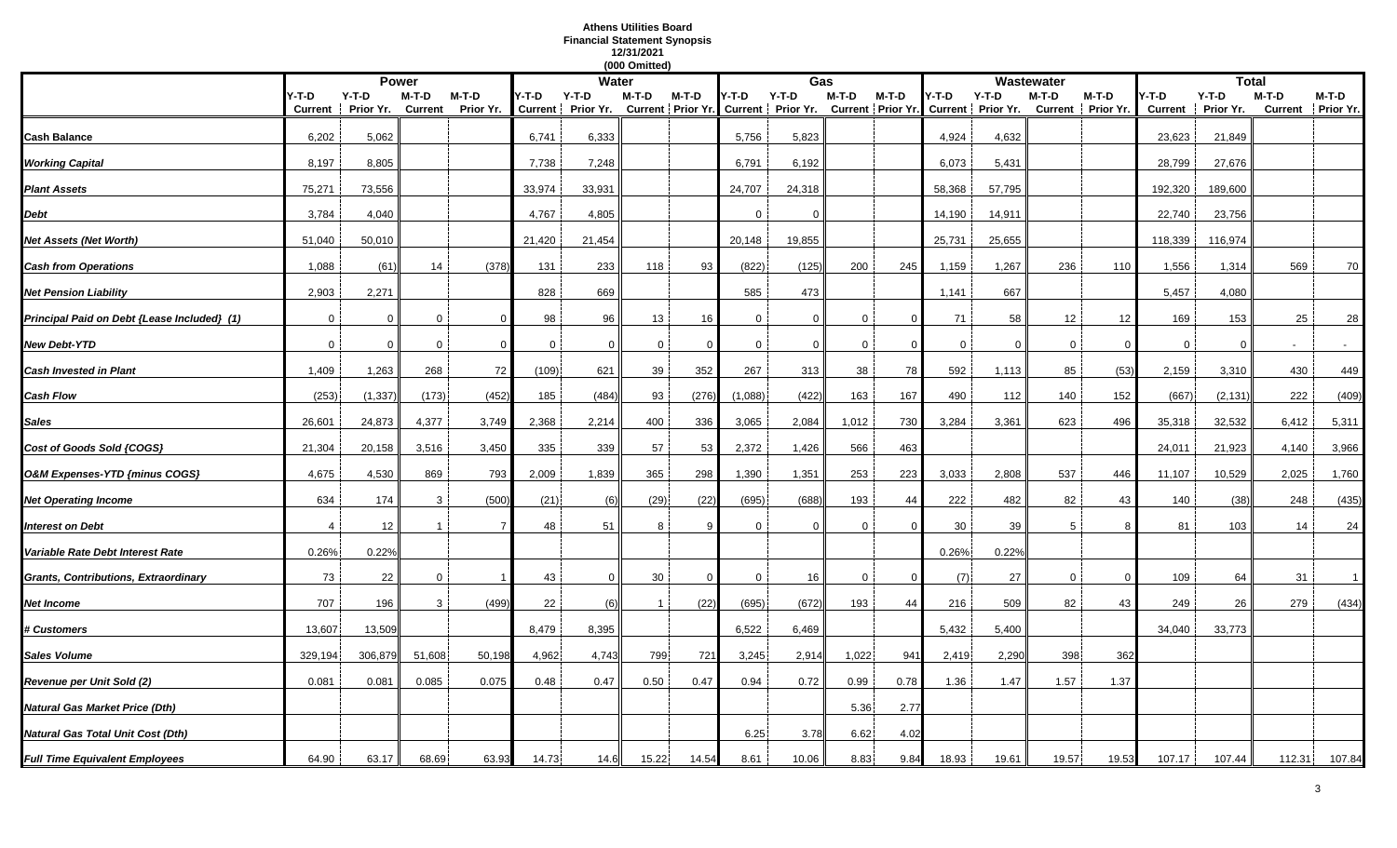## **Athens Utilities Board Financial Statement Synopsis 12/31/2021**

|                                             |                |           |                |           |        |                   | (000 Omitted)  |              |              |                                     |             |          |             |                                     |                |                   |             |                   |              |                   |
|---------------------------------------------|----------------|-----------|----------------|-----------|--------|-------------------|----------------|--------------|--------------|-------------------------------------|-------------|----------|-------------|-------------------------------------|----------------|-------------------|-------------|-------------------|--------------|-------------------|
|                                             |                |           | <b>Power</b>   |           |        | <b>Water</b>      |                |              |              | Gas                                 |             |          |             |                                     | Wastewater     |                   |             |                   | <b>Total</b> |                   |
|                                             | Y-T-D          | $Y-T-D$   | M-T-D          | $M-T-D$   | Y-T-D  | Y-T-D             | M-T-D          | M-T-D        | Y-T-D        | $Y-T-D$                             | M-T-D       | M-T-D    | Y-T-D       | $Y-T-D$                             | M-T-D          | M-T-D             | -T-D        | $Y-T-D$           | $M-T-D$      | $M-T-D$           |
|                                             | <b>Current</b> | Prior Yr. | <b>Current</b> | Prior Yr. |        | Current Prior Yr. |                |              |              | Current Prior Yr. Current Prior Yr. |             |          |             | Current Prior Yr. Current Prior Yr. |                | Current Prior Yr. |             | Current Prior Yr. |              | Current Prior Yr. |
| Cash Balance                                | 6,202          | 5,062     |                |           | 6,741  | 6,333             |                |              | 5,756        | 5,823                               |             |          | 4,924       | 4,632                               |                |                   | 23,623      | 21,849            |              |                   |
|                                             |                |           |                |           |        |                   |                |              |              |                                     |             |          |             |                                     |                |                   |             |                   |              |                   |
| <b>Working Capital</b>                      | 8,197          | 8,805     |                |           | 7,738  | 7,248             |                |              | 6,791        | 6,192                               |             |          | 6,073       | 5,431                               |                |                   | 28,799      | 27,676            |              |                   |
| <b>Plant Assets</b>                         | 75,271         | 73,556    |                |           | 33,974 | 33,931            |                |              | 24,707       | 24,318                              |             |          | 58,368      | 57,795                              |                |                   | 192,320     | 189,600           |              |                   |
|                                             |                |           |                |           |        |                   |                |              |              |                                     |             |          |             |                                     |                |                   |             |                   |              |                   |
| Debt                                        | 3,784          | 4,040     |                |           | 4,767  | 4,805             |                |              | $\Omega$     | $\Omega$                            |             |          | 14,190      | 14,911                              |                |                   | 22,740      | 23,756            |              |                   |
| Net Assets (Net Worth)                      | 51,040         | 50,010    |                |           | 21,420 | 21,454            |                |              | 20,148       | 19,855                              |             |          | 25,731      | 25,655                              |                |                   | 118,339     | 116,974           |              |                   |
| <b>Cash from Operations</b>                 | 1,088          | (61)      | 14             | (378)     | 131    | 233               | 118            | 93           | (822)        | (125)                               | 200         | 245      | 1,159       | 1,267                               | 236            | 110               | 1,556       | 1,314             | 569          | 70                |
|                                             |                |           |                |           |        |                   |                |              |              |                                     |             |          |             |                                     |                |                   |             |                   |              |                   |
| <b>Net Pension Liability</b>                | 2,903          | 2,271     |                |           | 828    | 669               |                |              | 585          | 473                                 |             |          | 1,141       | 667                                 |                |                   | 5,457       | 4,080             |              |                   |
| Principal Paid on Debt {Lease Included} (1) | $\overline{0}$ | $\Omega$  | $\Omega$       |           | 98     | 96                | 13             | 16           | $\mathbf{0}$ | $\mathbf{0}$                        | $\mathbf 0$ |          | 71          | 58                                  | 12             | 12                | 169         | 153               | 25           | 28                |
|                                             |                |           |                |           |        |                   |                |              |              |                                     |             |          |             |                                     |                |                   |             |                   |              |                   |
| New Debt-YTD                                | $\mathbf 0$    | 0         | $\overline{0}$ | $\Omega$  | 0      | $\Omega$          | $\mathbf{0}$   | $\Omega$     | $\mathbf 0$  | $\overline{0}$                      | 0           | $\Omega$ | $\mathbf 0$ | $\mathbf 0$                         | $\overline{0}$ | $\Omega$          | $\mathbf 0$ | $\Omega$          |              |                   |
| Cash Invested in Plant                      | 1,409          | 1,263     | 268            | 72        | (109)  | 621               | 39             | 352          | 267          | 313                                 | 38          | 78       | 592         | 1,113                               | 85             | (53)              | 2,159       | 3,310             | 430          | 449               |
|                                             |                |           |                |           |        |                   |                |              |              |                                     |             |          |             |                                     |                |                   |             |                   |              |                   |
| Cash Flow                                   | (253)          | (1, 337)  | (173)          | (452)     | 185    | (484)             | 93             | (276)        | (1,088)      | (422)                               | 163         | 167      | 490         | 112                                 | 140            | 152               | (667)       | (2, 131)          | 222          | (409)             |
| Sales                                       | 26,601         | 24,873    | 4,377          | 3,749     | 2,368  | 2,214             | 400            | 336          | 3,065        | 2,084                               | 1,012       | 730      | 3,284       | 3,361                               | 623            | 496               | 35,318      | 32,532            | 6,412        | 5,311             |
|                                             |                |           |                |           | 335    |                   | 57             | 53           |              |                                     |             |          |             |                                     |                |                   |             |                   | 4,140        |                   |
| Cost of Goods Sold {COGS}                   | 21,304         | 20,158    | 3,516          | 3,450     |        | 339               |                |              | 2,372        | 1,426                               | 566         | 463      |             |                                     |                |                   | 24,011      | 21,923            |              | 3,966             |
| O&M Expenses-YTD {minus COGS}               | 4,675          | 4,530     | 869            | 793       | 2,009  | 1,839             | 365            | 298          | 1,390        | 1,351                               | 253         | 223      | 3,033       | 2,808                               | 537            | 446               | 11,107      | 10,529            | 2,025        | 1,760             |
| <b>Net Operating Income</b>                 | 634            | 174       | 3              | (500)     | (21)   | (6)               | (29)           | (22)         | (695)        | (688)                               | 193         | 44       | 222         | 482                                 | 82             | 43                | 140         | (38)              | 248          | (435)             |
|                                             |                |           |                |           |        |                   |                |              |              |                                     |             |          |             |                                     |                |                   |             |                   |              |                   |
| Interest on Debt                            |                | 12        |                |           | 48     | 51                | 8              |              | $\Omega$     | $\mathbf{0}$                        | 0           |          | 30          | 39                                  | -5             |                   | 81          | 103               | 14           | 24                |
| Variable Rate Debt Interest Rate            | 0.26%          | 0.22%     |                |           |        |                   |                |              |              |                                     |             |          | 0.26%       | 0.22%                               |                |                   |             |                   |              |                   |
|                                             |                |           |                |           |        |                   |                |              |              |                                     |             |          |             |                                     |                |                   |             |                   |              |                   |
| Grants, Contributions, Extraordinary        | 73             | 22        | $\mathbf 0$    |           | 43     | $\mathbf{0}$      | 30             | $\mathbf{0}$ | 0            | 16                                  | 0           | -0       | (7)         | 27                                  | 0              | $\overline{0}$    | 109         | 64                | 31           |                   |
| Net Income                                  | 707            | 196       | 3              | (499)     | 22     | (6)               | $\overline{1}$ | (22)         | (695)        | (672)                               | 193         | 44       | 216         | 509                                 | 82             | 43                | 249         | 26                | 279          | (434)             |
|                                             |                |           |                |           |        |                   |                |              |              |                                     |             |          |             |                                     |                |                   |             |                   |              |                   |
| <b># Customers</b>                          | 13,607         | 13,509    |                |           | 8,479  | 8,395             |                |              | 6,522        | 6,469                               |             |          | 5,432       | 5,400                               |                |                   | 34,040      | 33,773            |              |                   |
| Sales Volume                                | 329,194        | 306,879   | 51,608         | 50,198    | 4,962  | 4,743             | 799            | 721          | 3,245        | 2,914                               | 1,022       | 94'      | 2,419       | 2,290                               | 398            | 362               |             |                   |              |                   |
| Revenue per Unit Sold (2)                   | 0.081          | 0.081     | 0.085          | 0.075     | 0.48   | 0.47              | 0.50           | 0.47         | 0.94         | 0.72                                | 0.99        | 0.78     | 1.36        | 1.47                                | 1.57           | 1.37              |             |                   |              |                   |
|                                             |                |           |                |           |        |                   |                |              |              |                                     |             |          |             |                                     |                |                   |             |                   |              |                   |
| Natural Gas Market Price (Dth)              |                |           |                |           |        |                   |                |              |              |                                     | 5.36        | 2.77     |             |                                     |                |                   |             |                   |              |                   |
| Natural Gas Total Unit Cost (Dth)           |                |           |                |           |        |                   |                |              | 6.25         | 3.78                                | 6.62        | 4.02     |             |                                     |                |                   |             |                   |              |                   |
|                                             |                |           |                |           |        |                   |                |              |              |                                     |             |          |             |                                     |                |                   |             |                   |              |                   |
| <b>Full Time Equivalent Employees</b>       | 64.90          | 63.17     | 68.69          | 63.93     | 14.73  | 14.6              | 15.22          | 14.54        | 8.61         | 10.06                               | 8.83        | 9.84     | 18.93       | 19.61                               | 19.57          | 19.53             | 107.17      | 107.44            | 112.31       | 107.84            |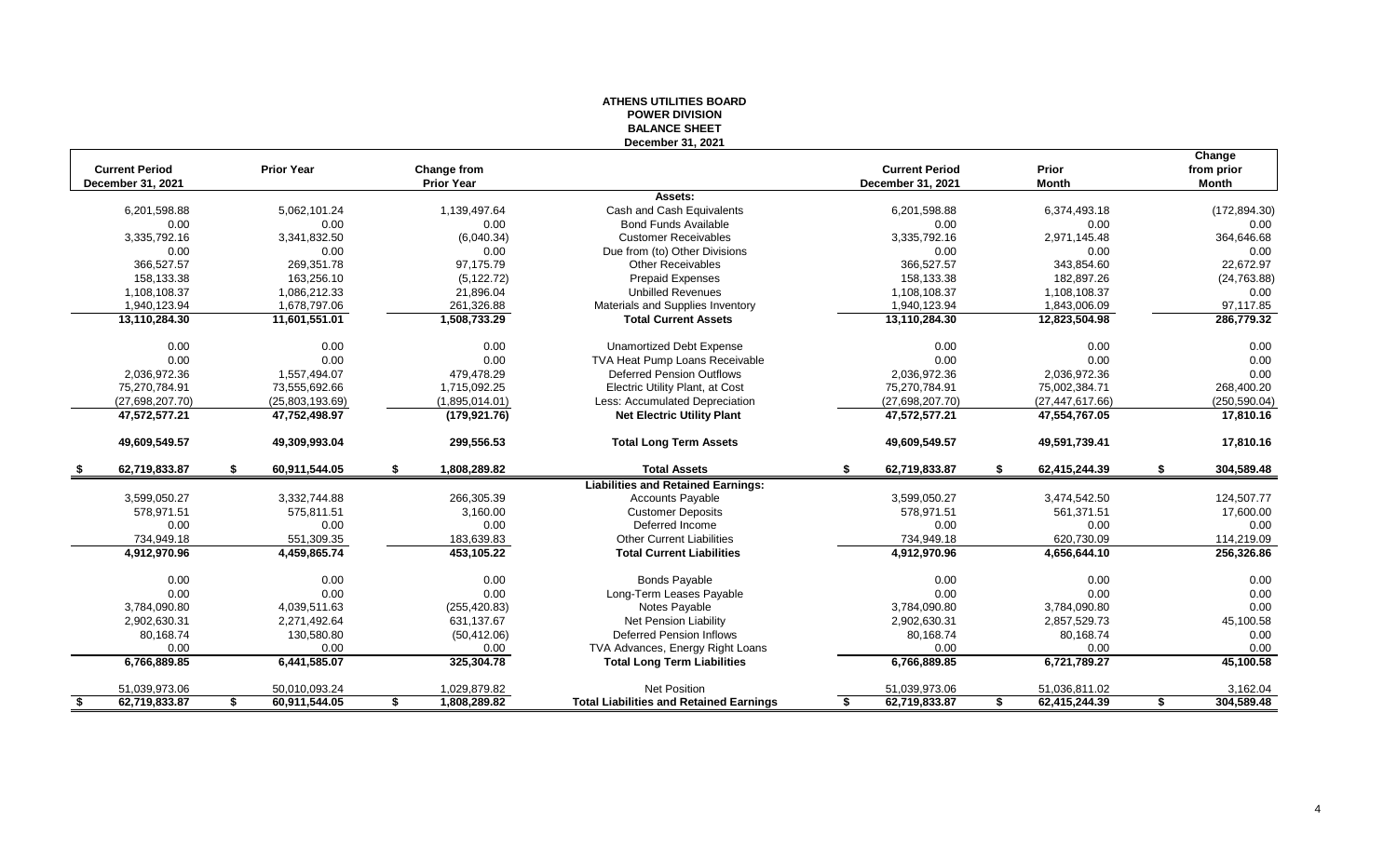### **ATHENS UTILITIES BOARD POWER DIVISION BALANCE SHEET December 31, 2021**

| <b>Current Period</b> | <b>Prior Year</b>   |                                  |                                                | <b>Current Period</b> | Prior               | Change                     |
|-----------------------|---------------------|----------------------------------|------------------------------------------------|-----------------------|---------------------|----------------------------|
| December 31, 2021     |                     | Change from<br><b>Prior Year</b> |                                                | December 31, 2021     | <b>Month</b>        | from prior<br><b>Month</b> |
|                       |                     |                                  | Assets:                                        |                       |                     |                            |
| 6,201,598.88          | 5,062,101.24        | 1,139,497.64                     | Cash and Cash Equivalents                      | 6,201,598.88          | 6,374,493.18        | (172, 894.30)              |
| 0.00                  | 0.00                | 0.00                             | <b>Bond Funds Available</b>                    | 0.00                  | 0.00                | 0.00                       |
| 3,335,792.16          | 3,341,832.50        | (6,040.34)                       | <b>Customer Receivables</b>                    | 3,335,792.16          | 2,971,145.48        | 364,646.68                 |
| 0.00                  | 0.00                | 0.00                             | Due from (to) Other Divisions                  | 0.00                  | 0.00                | 0.00                       |
| 366,527.57            | 269,351.78          | 97,175.79                        | <b>Other Receivables</b>                       | 366,527.57            | 343,854.60          | 22,672.97                  |
| 158,133.38            | 163,256.10          | (5, 122.72)                      | <b>Prepaid Expenses</b>                        | 158,133.38            | 182,897.26          | (24, 763.88)               |
| 1,108,108.37          | 1,086,212.33        | 21,896.04                        | <b>Unbilled Revenues</b>                       | 1,108,108.37          | 1,108,108.37        | 0.00                       |
| 1,940,123.94          | 1,678,797.06        | 261,326.88                       | Materials and Supplies Inventory               | 1,940,123.94          | 1,843,006.09        | 97,117.85                  |
| 13,110,284.30         | 11,601,551.01       | 1,508,733.29                     | <b>Total Current Assets</b>                    | 13,110,284.30         | 12,823,504.98       | 286,779.32                 |
| 0.00                  | 0.00                | 0.00                             | <b>Unamortized Debt Expense</b>                | 0.00                  | 0.00                | 0.00                       |
| 0.00                  | 0.00                | 0.00                             | TVA Heat Pump Loans Receivable                 | 0.00                  | 0.00                | 0.00                       |
| 2,036,972.36          | 1,557,494.07        | 479,478.29                       | <b>Deferred Pension Outflows</b>               | 2,036,972.36          | 2,036,972.36        | 0.00                       |
| 75,270,784.91         | 73,555,692.66       | 1,715,092.25                     | Electric Utility Plant, at Cost                | 75,270,784.91         | 75,002,384.71       | 268,400.20                 |
| (27,698,207.70)       | (25,803,193.69)     | (1,895,014.01)                   | Less: Accumulated Depreciation                 | (27,698,207.70)       | (27, 447, 617.66)   | (250, 590.04)              |
| 47,572,577.21         | 47,752,498.97       | (179, 921.76)                    | <b>Net Electric Utility Plant</b>              | 47,572,577.21         | 47,554,767.05       | 17,810.16                  |
| 49,609,549.57         | 49,309,993.04       | 299,556.53                       | <b>Total Long Term Assets</b>                  | 49,609,549.57         | 49,591,739.41       | 17,810.16                  |
| 62.719.833.87<br>- \$ | \$<br>60.911.544.05 | \$<br>1,808,289.82               | <b>Total Assets</b>                            | 62,719,833.87<br>\$   | \$<br>62,415,244.39 | \$<br>304,589.48           |
|                       |                     |                                  | <b>Liabilities and Retained Earnings:</b>      |                       |                     |                            |
| 3,599,050.27          | 3,332,744.88        | 266,305.39                       | <b>Accounts Payable</b>                        | 3,599,050.27          | 3,474,542.50        | 124,507.77                 |
| 578,971.51            | 575,811.51          | 3,160.00                         | <b>Customer Deposits</b>                       | 578,971.51            | 561,371.51          | 17,600.00                  |
| 0.00                  | 0.00                | 0.00                             | Deferred Income                                | 0.00                  | 0.00                | 0.00                       |
| 734,949.18            | 551,309.35          | 183,639.83                       | <b>Other Current Liabilities</b>               | 734,949.18            | 620,730.09          | 114,219.09                 |
| 4,912,970.96          | 4,459,865.74        | 453,105.22                       | <b>Total Current Liabilities</b>               | 4,912,970.96          | 4,656,644.10        | 256,326.86                 |
| 0.00                  | 0.00                | 0.00                             | <b>Bonds Payable</b>                           | 0.00                  | 0.00                | 0.00                       |
| 0.00                  | 0.00                | 0.00                             | Long-Term Leases Payable                       | 0.00                  | 0.00                | 0.00                       |
| 3,784,090.80          | 4,039,511.63        | (255, 420.83)                    | Notes Payable                                  | 3,784,090.80          | 3,784,090.80        | 0.00                       |
| 2,902,630.31          | 2,271,492.64        | 631,137.67                       | Net Pension Liability                          | 2,902,630.31          | 2,857,529.73        | 45,100.58                  |
| 80,168.74             | 130,580.80          | (50, 412.06)                     | <b>Deferred Pension Inflows</b>                | 80,168.74             | 80,168.74           | 0.00                       |
| 0.00                  | 0.00                | 0.00                             | TVA Advances, Energy Right Loans               | 0.00                  | 0.00                | 0.00                       |
| 6,766,889.85          | 6,441,585.07        | 325,304.78                       | <b>Total Long Term Liabilities</b>             | 6,766,889.85          | 6,721,789.27        | 45,100.58                  |
| 51,039,973.06         | 50,010,093.24       | 1,029,879.82                     | <b>Net Position</b>                            | 51,039,973.06         | 51,036,811.02       | 3,162.04                   |
| 62,719,833.87<br>\$   | 60,911,544.05<br>\$ | 1,808,289.82<br>\$               | <b>Total Liabilities and Retained Earnings</b> | 62,719,833.87<br>\$.  | 62,415,244.39<br>\$ | 304,589.48<br>\$           |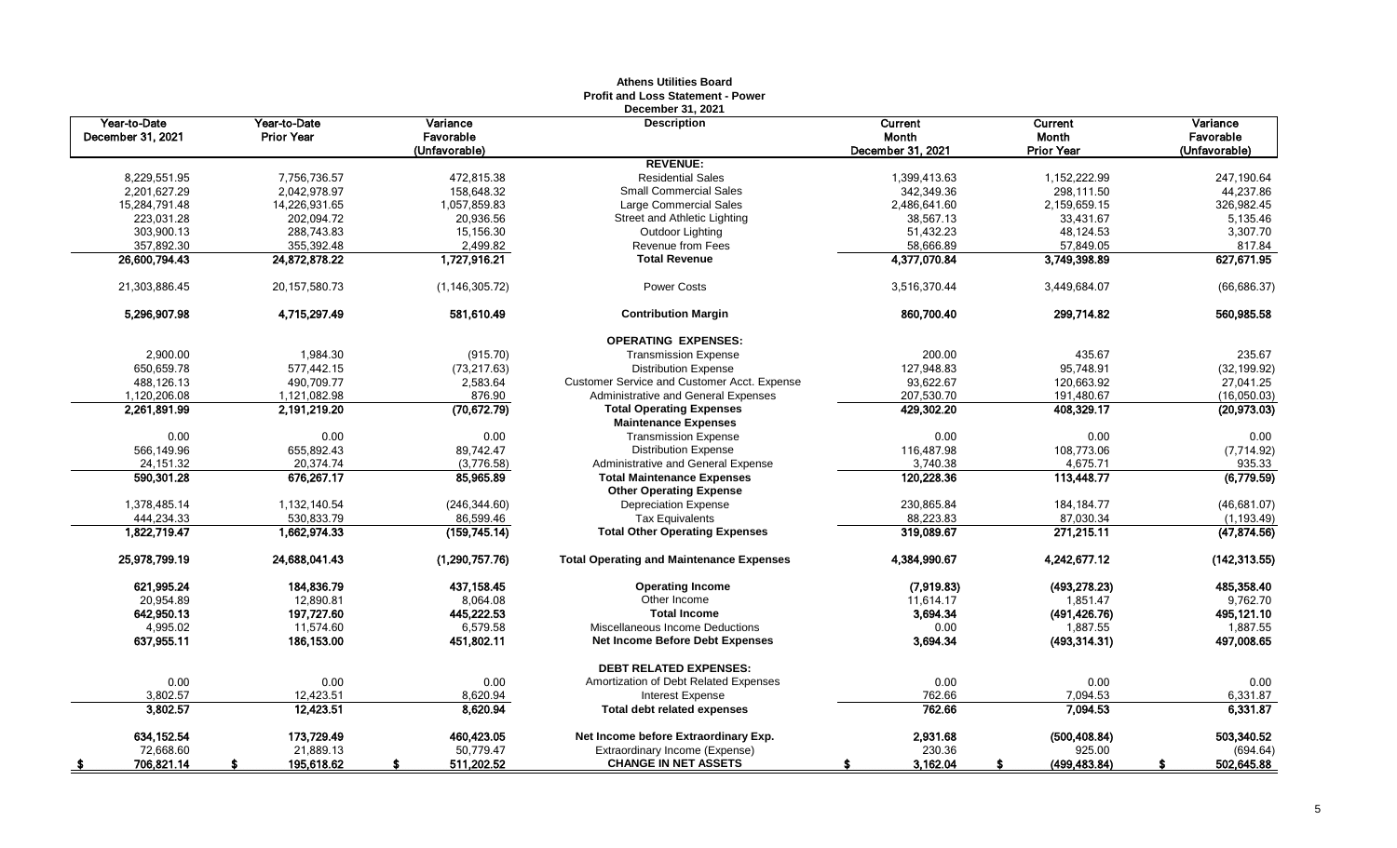|                                   |                                   |                                        | Profit and Loss Statement - Power<br>December 31, 2021         |                                              |                                       |                                        |
|-----------------------------------|-----------------------------------|----------------------------------------|----------------------------------------------------------------|----------------------------------------------|---------------------------------------|----------------------------------------|
| Year-to-Date<br>December 31, 2021 | Year-to-Date<br><b>Prior Year</b> | Variance<br>Favorable<br>(Unfavorable) | <b>Description</b>                                             | <b>Current</b><br>Month<br>December 31, 2021 | Current<br>Month<br><b>Prior Year</b> | Variance<br>Favorable<br>(Unfavorable) |
|                                   |                                   |                                        | <b>REVENUE:</b>                                                |                                              |                                       |                                        |
| 8,229,551.95                      | 7,756,736.57                      | 472.815.38                             | <b>Residential Sales</b>                                       | 1,399,413.63                                 | 1,152,222.99                          | 247.190.64                             |
| 2,201,627.29                      | 2,042,978.97                      | 158,648.32                             | <b>Small Commercial Sales</b>                                  | 342,349.36                                   | 298,111.50                            | 44,237.86                              |
| 15,284,791.48                     | 14,226,931.65                     | 1,057,859.83                           | Large Commercial Sales                                         | 2,486,641.60                                 | 2,159,659.15                          | 326,982.45                             |
| 223,031.28                        | 202,094.72                        | 20,936.56                              | Street and Athletic Lighting                                   | 38,567.13                                    | 33,431.67                             | 5,135.46                               |
| 303,900.13                        | 288,743.83                        | 15,156.30                              | Outdoor Lighting                                               | 51,432.23                                    | 48,124.53                             | 3,307.70                               |
| 357,892.30                        | 355,392.48                        | 2,499.82                               | Revenue from Fees                                              | 58,666.89                                    | 57,849.05                             | 817.84                                 |
| 26,600,794.43                     | 24,872,878.22                     | 1,727,916.21                           | <b>Total Revenue</b>                                           | 4,377,070.84                                 | 3,749,398.89                          | 627,671.95                             |
| 21,303,886.45                     | 20, 157, 580. 73                  | (1, 146, 305.72)                       | <b>Power Costs</b>                                             | 3,516,370.44                                 | 3,449,684.07                          | (66, 686.37)                           |
| 5,296,907.98                      | 4,715,297.49                      | 581,610.49                             | <b>Contribution Margin</b>                                     | 860,700.40                                   | 299,714.82                            | 560,985.58                             |
|                                   |                                   |                                        | <b>OPERATING EXPENSES:</b>                                     |                                              |                                       |                                        |
| 2,900.00                          | 1,984.30                          | (915.70)                               | <b>Transmission Expense</b>                                    | 200.00                                       | 435.67                                | 235.67                                 |
| 650,659.78                        | 577,442.15                        | (73, 217.63)                           | <b>Distribution Expense</b>                                    | 127,948.83                                   | 95,748.91                             | (32, 199.92)                           |
| 488,126.13                        | 490,709.77                        | 2,583.64                               | Customer Service and Customer Acct. Expense                    | 93,622.67                                    | 120,663.92                            | 27,041.25                              |
| 1,120,206.08                      | 1,121,082.98                      | 876.90                                 | Administrative and General Expenses                            | 207,530.70                                   | 191,480.67                            | (16,050.03)                            |
| 2,261,891.99                      | 2,191,219.20                      | (70, 672.79)                           | <b>Total Operating Expenses</b><br><b>Maintenance Expenses</b> | 429,302.20                                   | 408,329.17                            | (20,973.03)                            |
| 0.00                              | 0.00                              | 0.00                                   | <b>Transmission Expense</b>                                    | 0.00                                         | 0.00                                  | 0.00                                   |
| 566,149.96                        | 655,892.43                        | 89,742.47                              | <b>Distribution Expense</b>                                    | 116,487.98                                   | 108,773.06                            | (7,714.92)                             |
| 24,151.32                         | 20,374.74                         | (3,776.58)                             | Administrative and General Expense                             | 3,740.38                                     | 4,675.71                              | 935.33                                 |
| 590,301.28                        | 676,267.17                        | 85,965.89                              | <b>Total Maintenance Expenses</b>                              | 120,228.36                                   | 113,448.77                            | (6,779.59)                             |
|                                   |                                   |                                        | <b>Other Operating Expense</b>                                 |                                              |                                       |                                        |
| 1,378,485.14                      | 1,132,140.54                      | (246, 344.60)                          | <b>Depreciation Expense</b>                                    | 230,865.84                                   | 184, 184. 77                          | (46, 681.07)                           |
| 444,234.33                        | 530,833.79                        | 86,599.46                              | <b>Tax Equivalents</b>                                         | 88,223.83                                    | 87,030.34                             | (1, 193.49)                            |
| 1,822,719.47                      | 1,662,974.33                      | (159, 745.14)                          | <b>Total Other Operating Expenses</b>                          | 319,089.67                                   | 271,215.11                            | (47, 874.56)                           |
| 25,978,799.19                     | 24,688,041.43                     | (1, 290, 757.76)                       | <b>Total Operating and Maintenance Expenses</b>                | 4,384,990.67                                 | 4,242,677.12                          | (142, 313.55)                          |
| 621,995.24                        | 184,836.79                        | 437,158.45                             | <b>Operating Income</b>                                        | (7,919.83)                                   | (493, 278.23)                         | 485,358.40                             |
| 20,954.89                         | 12,890.81                         | 8,064.08                               | Other Income                                                   | 11,614.17                                    | 1,851.47                              | 9,762.70                               |
| 642,950.13                        | 197,727.60                        | 445,222.53                             | <b>Total Income</b>                                            | 3,694.34                                     | (491, 426.76)                         | 495,121.10                             |
| 4,995.02                          | 11,574.60                         | 6,579.58                               | Miscellaneous Income Deductions                                | 0.00                                         | 1,887.55                              | 1,887.55                               |
| 637,955.11                        | 186,153.00                        | 451,802.11                             | <b>Net Income Before Debt Expenses</b>                         | 3,694.34                                     | (493, 314.31)                         | 497,008.65                             |
|                                   |                                   |                                        | <b>DEBT RELATED EXPENSES:</b>                                  |                                              |                                       |                                        |
| 0.00                              | 0.00                              | 0.00                                   | Amortization of Debt Related Expenses                          | 0.00                                         | 0.00                                  | 0.00                                   |
| 3,802.57                          | 12,423.51                         | 8,620.94                               | Interest Expense                                               | 762.66                                       | 7,094.53                              | 6,331.87                               |
| 3,802.57                          | 12,423.51                         | 8,620.94                               | <b>Total debt related expenses</b>                             | 762.66                                       | 7,094.53                              | 6,331.87                               |
| 634, 152.54                       | 173,729.49                        | 460,423.05                             | Net Income before Extraordinary Exp.                           | 2,931.68                                     | (500, 408.84)                         | 503,340.52                             |
| 72,668.60                         | 21,889.13                         | 50,779.47                              | Extraordinary Income (Expense)                                 | 230.36                                       | 925.00                                | (694.64)                               |
| 706,821.14<br><u>_\$</u>          | 195,618.62                        | 511,202.52<br>\$                       | <b>CHANGE IN NET ASSETS</b>                                    | 3,162.04                                     | (499, 483.84)<br>S                    | 502,645.88<br>S.                       |

# **Athens Utilities Board**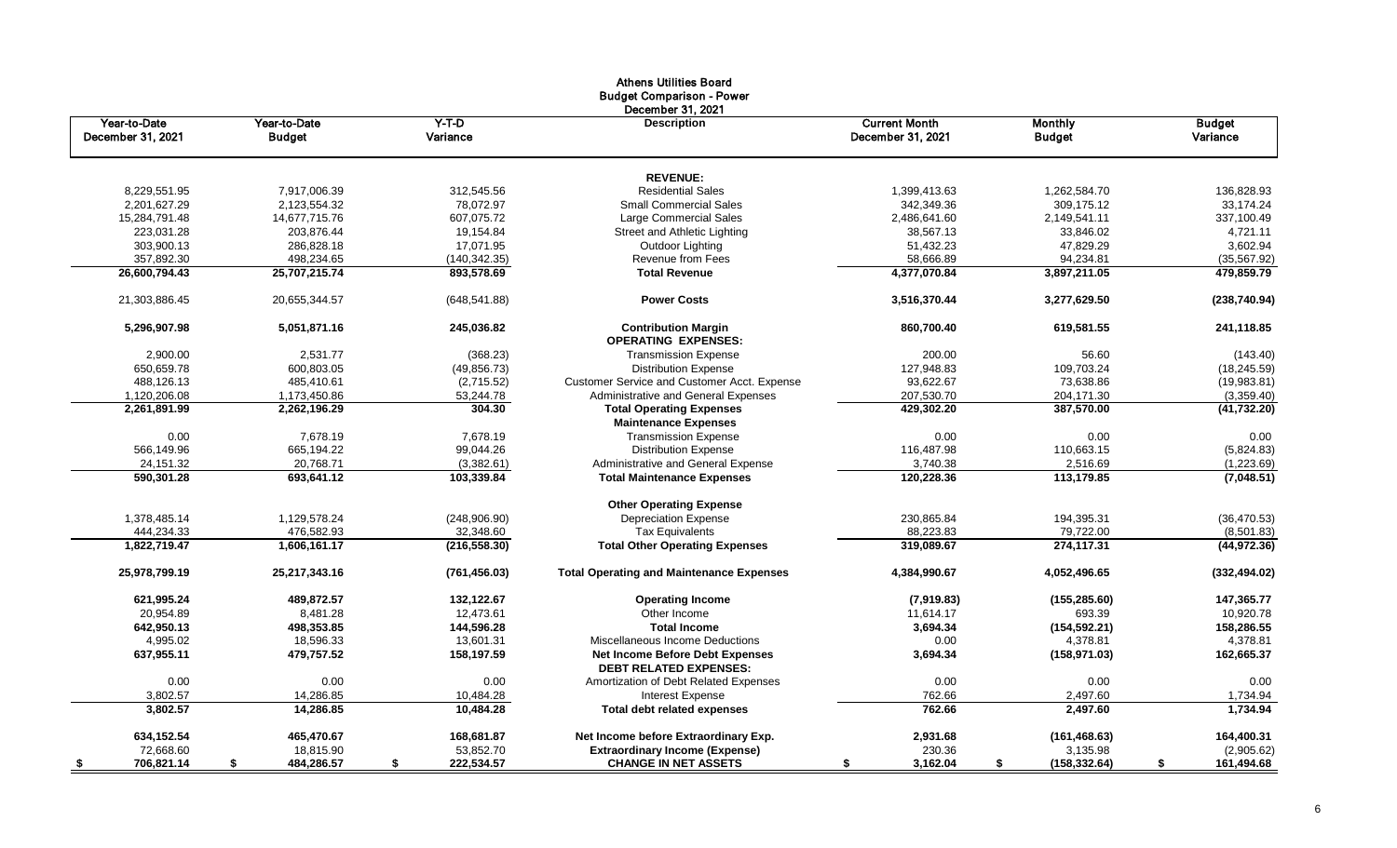|                   |                  |                  | <b>Athens Utilities Board</b><br><b>Budget Comparison - Power</b><br>December 31, 2021 |                      |                     |                  |
|-------------------|------------------|------------------|----------------------------------------------------------------------------------------|----------------------|---------------------|------------------|
| Year-to-Date      | Year-to-Date     | $Y-T-D$          | <b>Description</b>                                                                     | <b>Current Month</b> | Monthly             | <b>Budget</b>    |
| December 31, 2021 | <b>Budget</b>    | Variance         |                                                                                        | December 31, 2021    | <b>Budget</b>       | Variance         |
|                   |                  |                  | <b>REVENUE:</b>                                                                        |                      |                     |                  |
| 8,229,551.95      | 7.917.006.39     | 312.545.56       | <b>Residential Sales</b>                                                               | 1.399.413.63         | 1.262.584.70        | 136.828.93       |
| 2,201,627.29      | 2,123,554.32     | 78,072.97        | <b>Small Commercial Sales</b>                                                          | 342,349.36           | 309,175.12          | 33,174.24        |
| 15,284,791.48     | 14,677,715.76    | 607,075.72       | <b>Large Commercial Sales</b>                                                          | 2,486,641.60         | 2,149,541.11        | 337,100.49       |
| 223,031.28        | 203,876.44       | 19,154.84        | Street and Athletic Lighting                                                           | 38,567.13            | 33,846.02           | 4,721.11         |
| 303,900.13        | 286,828.18       | 17.071.95        | <b>Outdoor Lighting</b>                                                                | 51,432.23            | 47,829.29           | 3.602.94         |
| 357,892.30        | 498,234.65       | (140, 342.35)    | <b>Revenue from Fees</b>                                                               | 58,666.89            | 94,234.81           | (35, 567.92)     |
| 26,600,794.43     | 25,707,215.74    | 893,578.69       | <b>Total Revenue</b>                                                                   | 4,377,070.84         | 3,897,211.05        | 479,859.79       |
| 21,303,886.45     | 20,655,344.57    | (648, 541.88)    | <b>Power Costs</b>                                                                     | 3,516,370.44         | 3,277,629.50        | (238, 740.94)    |
| 5,296,907.98      | 5,051,871.16     | 245,036.82       | <b>Contribution Margin</b><br><b>OPERATING EXPENSES:</b>                               | 860,700.40           | 619,581.55          | 241,118.85       |
| 2,900.00          | 2,531.77         | (368.23)         | <b>Transmission Expense</b>                                                            | 200.00               | 56.60               | (143.40)         |
| 650,659.78        | 600,803.05       | (49, 856.73)     | <b>Distribution Expense</b>                                                            | 127,948.83           | 109,703.24          | (18, 245.59)     |
| 488,126.13        | 485,410.61       | (2,715.52)       | Customer Service and Customer Acct. Expense                                            | 93,622.67            | 73,638.86           | (19,983.81)      |
| 1,120,206.08      | 1,173,450.86     | 53,244.78        | Administrative and General Expenses                                                    | 207,530.70           | 204,171.30          | (3,359.40)       |
| 2,261,891.99      | 2,262,196.29     | 304.30           | <b>Total Operating Expenses</b><br><b>Maintenance Expenses</b>                         | 429,302.20           | 387,570.00          | (41, 732.20)     |
| 0.00              | 7,678.19         | 7,678.19         | <b>Transmission Expense</b>                                                            | 0.00                 | 0.00                | 0.00             |
| 566,149.96        | 665,194.22       | 99,044.26        | <b>Distribution Expense</b>                                                            | 116,487.98           | 110,663.15          | (5,824.83)       |
| 24,151.32         | 20.768.71        | (3,382.61)       | Administrative and General Expense                                                     | 3,740.38             | 2,516.69            | (1,223.69)       |
| 590,301.28        | 693,641.12       | 103,339.84       | <b>Total Maintenance Expenses</b>                                                      | 120,228.36           | 113,179.85          | (7,048.51)       |
|                   |                  |                  | <b>Other Operating Expense</b>                                                         |                      |                     |                  |
| 1,378,485.14      | 1,129,578.24     | (248,906.90)     | <b>Depreciation Expense</b>                                                            | 230,865.84           | 194,395.31          | (36, 470.53)     |
| 444,234.33        | 476,582.93       | 32,348.60        | <b>Tax Equivalents</b>                                                                 | 88,223.83            | 79,722.00           | (8,501.83)       |
| 1,822,719.47      | 1,606,161.17     | (216, 558.30)    | <b>Total Other Operating Expenses</b>                                                  | 319,089.67           | 274,117.31          | (44, 972.36)     |
| 25,978,799.19     | 25,217,343.16    | (761, 456.03)    | <b>Total Operating and Maintenance Expenses</b>                                        | 4,384,990.67         | 4,052,496.65        | (332, 494.02)    |
| 621,995.24        | 489,872.57       | 132,122.67       | <b>Operating Income</b>                                                                | (7,919.83)           | (155, 285.60)       | 147,365.77       |
| 20,954.89         | 8,481.28         | 12,473.61        | Other Income                                                                           | 11,614.17            | 693.39              | 10,920.78        |
| 642,950.13        | 498,353.85       | 144,596.28       | <b>Total Income</b>                                                                    | 3,694.34             | (154, 592.21)       | 158,286.55       |
| 4,995.02          | 18,596.33        | 13,601.31        | Miscellaneous Income Deductions                                                        | 0.00                 | 4,378.81            | 4,378.81         |
| 637,955.11        | 479,757.52       | 158,197.59       | <b>Net Income Before Debt Expenses</b><br><b>DEBT RELATED EXPENSES:</b>                | 3,694.34             | (158, 971.03)       | 162,665.37       |
| 0.00              | 0.00             | 0.00             | Amortization of Debt Related Expenses                                                  | 0.00                 | 0.00                | 0.00             |
| 3,802.57          | 14,286.85        | 10,484.28        | Interest Expense                                                                       | 762.66               | 2,497.60            | 1,734.94         |
| 3,802.57          | 14,286.85        | 10,484.28        | <b>Total debt related expenses</b>                                                     | 762.66               | 2,497.60            | 1,734.94         |
| 634,152.54        | 465,470.67       | 168,681.87       | Net Income before Extraordinary Exp.                                                   | 2,931.68             | (161, 468.63)       | 164,400.31       |
| 72,668.60         | 18,815.90        | 53,852.70        | <b>Extraordinary Income (Expense)</b>                                                  | 230.36               | 3,135.98            | (2,905.62)       |
| 706,821.14<br>\$  | 484,286.57<br>\$ | 222,534.57<br>\$ | <b>CHANGE IN NET ASSETS</b>                                                            | 3,162.04<br>\$       | (158, 332.64)<br>\$ | 161,494.68<br>\$ |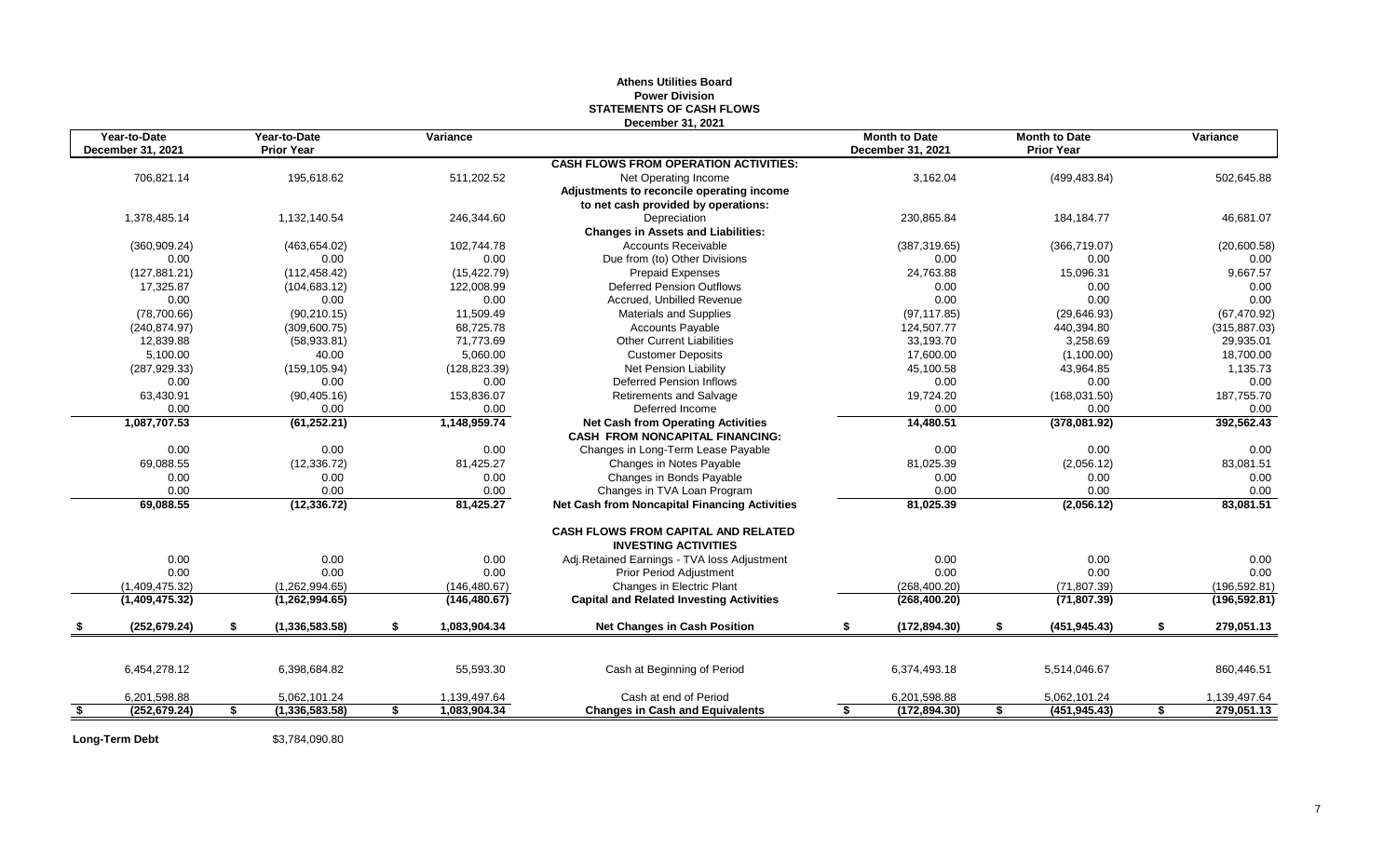#### **Athens Utilities Board Power Division STATEMENTS OF CASH FLOWS December 31, 2021**

| Year-to-Date<br>December 31, 2021 |    | Year-to-Date<br><b>Prior Year</b> |    | Variance      |                                                                              | <b>Month to Date</b><br>December 31, 2021 |               |    | <b>Month to Date</b><br><b>Prior Year</b> |    | Variance      |
|-----------------------------------|----|-----------------------------------|----|---------------|------------------------------------------------------------------------------|-------------------------------------------|---------------|----|-------------------------------------------|----|---------------|
|                                   |    |                                   |    |               | <b>CASH FLOWS FROM OPERATION ACTIVITIES:</b>                                 |                                           |               |    |                                           |    |               |
| 706,821.14                        |    | 195,618.62                        |    | 511,202.52    | Net Operating Income                                                         |                                           | 3,162.04      |    | (499, 483.84)                             |    | 502,645.88    |
|                                   |    |                                   |    |               | Adjustments to reconcile operating income                                    |                                           |               |    |                                           |    |               |
|                                   |    |                                   |    |               | to net cash provided by operations:                                          |                                           |               |    |                                           |    |               |
| 1,378,485.14                      |    | 1,132,140.54                      |    | 246,344.60    | Depreciation                                                                 |                                           | 230,865.84    |    | 184, 184. 77                              |    | 46,681.07     |
|                                   |    |                                   |    |               | <b>Changes in Assets and Liabilities:</b>                                    |                                           |               |    |                                           |    |               |
| (360, 909.24)                     |    | (463, 654.02)                     |    | 102,744.78    | <b>Accounts Receivable</b>                                                   |                                           | (387, 319.65) |    | (366, 719.07)                             |    | (20,600.58)   |
| 0.00                              |    | 0.00                              |    | 0.00          | Due from (to) Other Divisions                                                |                                           | 0.00          |    | 0.00                                      |    | 0.00          |
| (127, 881.21)                     |    | (112, 458.42)                     |    | (15, 422.79)  | <b>Prepaid Expenses</b>                                                      |                                           | 24,763.88     |    | 15,096.31                                 |    | 9,667.57      |
| 17,325.87                         |    | (104, 683.12)                     |    | 122,008.99    | <b>Deferred Pension Outflows</b>                                             |                                           | 0.00          |    | 0.00                                      |    | 0.00          |
| 0.00                              |    | 0.00                              |    | 0.00          | Accrued. Unbilled Revenue                                                    |                                           | 0.00          |    | 0.00                                      |    | 0.00          |
| (78,700.66)                       |    | (90, 210.15)                      |    | 11,509.49     | Materials and Supplies                                                       |                                           | (97, 117.85)  |    | (29, 646.93)                              |    | (67, 470.92)  |
| (240, 874.97)                     |    | (309, 600.75)                     |    | 68,725.78     | <b>Accounts Payable</b>                                                      |                                           | 124,507.77    |    | 440,394.80                                |    | (315, 887.03) |
| 12,839.88                         |    | (58, 933.81)                      |    | 71.773.69     | <b>Other Current Liabilities</b>                                             |                                           | 33,193.70     |    | 3,258.69                                  |    | 29,935.01     |
| 5,100.00                          |    | 40.00                             |    | 5,060.00      | <b>Customer Deposits</b>                                                     |                                           | 17,600.00     |    | (1,100.00)                                |    | 18,700.00     |
| (287, 929.33)                     |    | (159, 105.94)                     |    | (128, 823.39) | Net Pension Liability                                                        |                                           | 45,100.58     |    | 43,964.85                                 |    | 1,135.73      |
| 0.00                              |    | 0.00                              |    | 0.00          | <b>Deferred Pension Inflows</b>                                              |                                           | 0.00          |    | 0.00                                      |    | 0.00          |
| 63,430.91                         |    | (90, 405.16)                      |    | 153,836.07    | <b>Retirements and Salvage</b>                                               |                                           | 19,724.20     |    | (168, 031.50)                             |    | 187,755.70    |
| 0.00                              |    | 0.00                              |    | 0.00          | Deferred Income                                                              |                                           | 0.00          |    | 0.00                                      |    | 0.00          |
| 1,087,707.53                      |    | (61, 252.21)                      |    | 1,148,959.74  | <b>Net Cash from Operating Activities</b><br>CASH FROM NONCAPITAL FINANCING: |                                           | 14,480.51     |    | (378,081.92)                              |    | 392,562.43    |
| 0.00                              |    | 0.00                              |    | 0.00          | Changes in Long-Term Lease Payable                                           |                                           | 0.00          |    | 0.00                                      |    | 0.00          |
| 69,088.55                         |    | (12, 336.72)                      |    | 81,425.27     | Changes in Notes Payable                                                     |                                           | 81,025.39     |    | (2,056.12)                                |    | 83,081.51     |
| 0.00                              |    | 0.00                              |    | 0.00          | Changes in Bonds Payable                                                     |                                           | 0.00          |    | 0.00                                      |    | 0.00          |
| 0.00                              |    | 0.00                              |    | 0.00          | Changes in TVA Loan Program                                                  |                                           | 0.00          |    | 0.00                                      |    | 0.00          |
| 69,088.55                         |    | (12, 336.72)                      |    | 81,425.27     | Net Cash from Noncapital Financing Activities                                |                                           | 81,025.39     |    | (2,056.12)                                |    | 83,081.51     |
|                                   |    |                                   |    |               | <b>CASH FLOWS FROM CAPITAL AND RELATED</b><br><b>INVESTING ACTIVITIES</b>    |                                           |               |    |                                           |    |               |
| 0.00                              |    | 0.00                              |    | 0.00          | Adj.Retained Earnings - TVA loss Adjustment                                  |                                           | 0.00          |    | 0.00                                      |    | 0.00          |
| 0.00                              |    | 0.00                              |    | 0.00          | <b>Prior Period Adjustment</b>                                               |                                           | 0.00          |    | 0.00                                      |    | 0.00          |
| (1,409,475.32)                    |    | (1,262,994.65)                    |    | (146, 480.67) | Changes in Electric Plant                                                    |                                           | (268, 400.20) |    | (71, 807.39)                              |    | (196,592.81)  |
| (1,409,475.32)                    |    | (1,262,994.65)                    |    | (146, 480.67) | <b>Capital and Related Investing Activities</b>                              |                                           | (268, 400.20) |    | (71, 807.39)                              |    | (196, 592.81) |
| (252, 679.24)                     | \$ | (1, 336, 583.58)                  | \$ | 1,083,904.34  | <b>Net Changes in Cash Position</b>                                          | \$                                        | (172, 894.30) | \$ | (451, 945.43)                             | \$ | 279,051.13    |
|                                   |    |                                   |    |               |                                                                              |                                           |               |    |                                           |    |               |
| 6,454,278.12                      |    | 6,398,684.82                      |    | 55,593.30     | Cash at Beginning of Period                                                  |                                           | 6,374,493.18  |    | 5,514,046.67                              |    | 860,446.51    |
| 6,201,598.88                      |    | 5,062,101.24                      |    | 1,139,497.64  | Cash at end of Period                                                        |                                           | 6,201,598.88  |    | 5,062,101.24                              |    | 1,139,497.64  |
| \$<br>(252, 679.24)               | s, | (1,336,583.58)                    | s, | 1,083,904.34  | <b>Changes in Cash and Equivalents</b>                                       | $\overline{\mathbf{s}}$                   | (172, 894.30) | s, | (451, 945.43)                             | Ŝ, | 279,051.13    |

**Long-Term Debt** \$3,784,090.80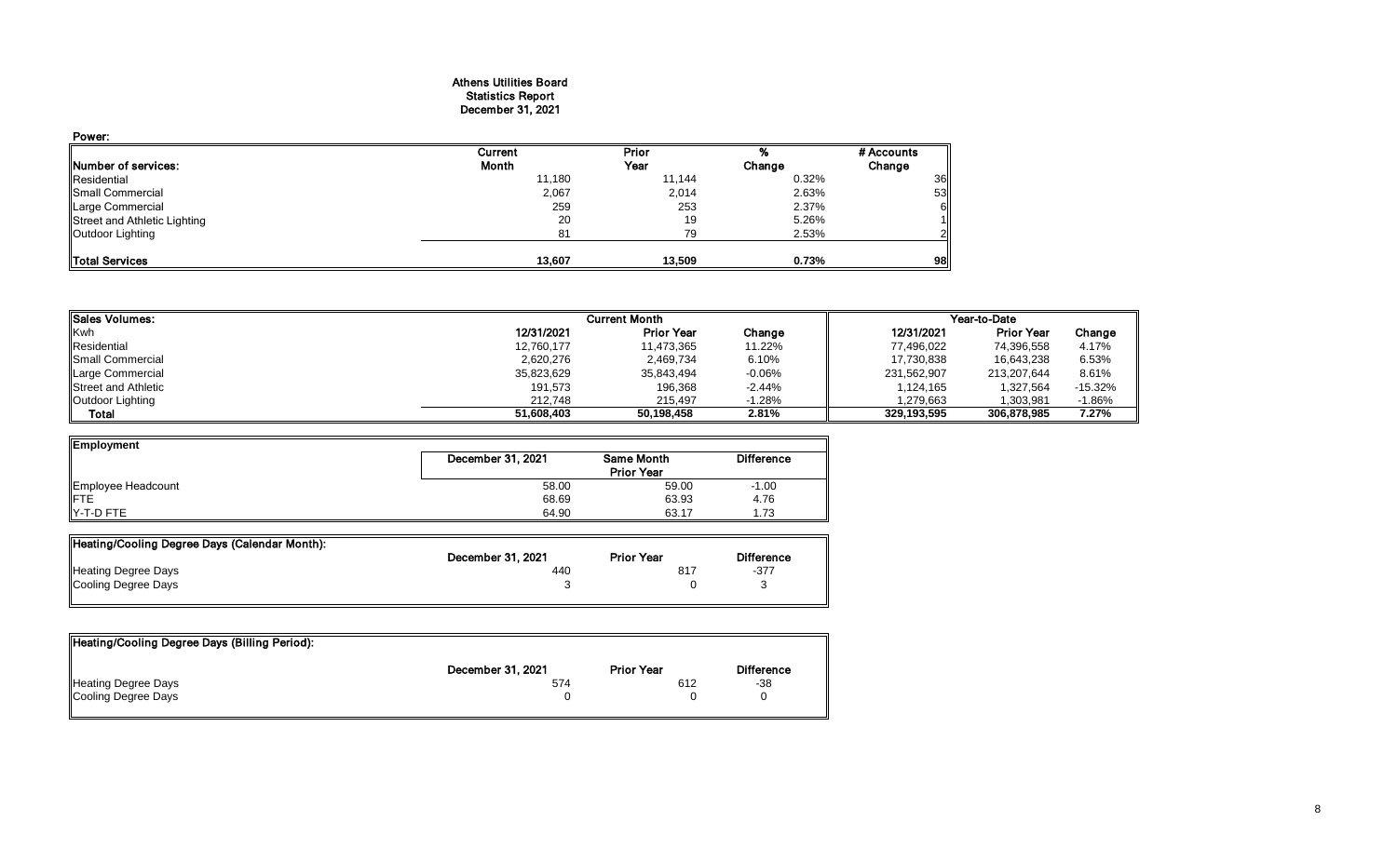## Athens Utilities Board Statistics Report December 31, 2021

| Power:                       |         |        |        |            |
|------------------------------|---------|--------|--------|------------|
|                              | Current | Prior  | %      | # Accounts |
| <b>INumber of services:</b>  | Month   | Year   | Change | Change     |
| Residential                  | 11,180  | 11,144 | 0.32%  | <b>36</b>  |
| Small Commercial             | 2,067   | 2,014  | 2.63%  | 53         |
| Large Commercial             | 259     | 253    | 2.37%  | 61         |
| Street and Athletic Lighting | 20      | 19     | 5.26%  |            |
| Outdoor Lighting             | 81      | 79     | 2.53%  | 211        |
|                              |         |        |        |            |
| Total Services               | 13.607  | 13.509 | 0.73%  | 98         |

| <b>ISales Volumes:</b>      |            | <b>Current Month</b> |          | Year-to-Date |                   |           |  |
|-----------------------------|------------|----------------------|----------|--------------|-------------------|-----------|--|
| <b>Kwh</b>                  | 12/31/2021 | <b>Prior Year</b>    | Change   | 12/31/2021   | <b>Prior Year</b> | Change    |  |
| Residential                 | 12,760,177 | 11,473,365           | 11.22%   | 77,496,022   | 74,396,558        | 4.17%     |  |
| <b>I</b> ISmall Commercial  | 2,620,276  | 2,469,734            | 6.10%    | 17,730,838   | 16.643.238        | 6.53%     |  |
| Large Commercial            | 35,823,629 | 35,843,494           | $-0.06%$ | 231,562,907  | 213,207,644       | 8.61%     |  |
| <b>IStreet and Athletic</b> | 191.573    | 196,368              | $-2.44%$ | 1.124.165    | 1.327.564         | $-15.32%$ |  |
| Outdoor Lighting            | 212.748    | 215.497              | $-1.28%$ | 1.279.663    | 1.303.981         | $-1.86%$  |  |
| Total                       | 51.608.403 | 50.198.458           | 2.81%    | 329,193,595  | 306,878,985       | 7.27%     |  |

| Employment            |                   |                   |         |
|-----------------------|-------------------|-------------------|---------|
|                       | December 31, 2021 | <b>Difference</b> |         |
| Employee Headcount    | 58.00             | 59.00             | $-1.00$ |
| <b>IFTE</b>           | 68.69             | 63.93             | 4.76    |
| $\parallel$ Y-T-D FTE | 64.90             | 63.17             | 1.73    |

| Heating/Cooling Degree Days (Calendar Month): |                   |                   |                   |
|-----------------------------------------------|-------------------|-------------------|-------------------|
|                                               | December 31, 2021 | <b>Prior Year</b> | <b>Difference</b> |
| Heating Degree Days                           | 440               | 817               | -377              |
| Cooling Degree Days                           |                   |                   |                   |
|                                               |                   |                   |                   |

| Heating/Cooling Degree Days (Billing Period): |                   |                   |                   |
|-----------------------------------------------|-------------------|-------------------|-------------------|
|                                               | December 31, 2021 | <b>Prior Year</b> | <b>Difference</b> |
| Heating Degree Days                           | 574               | 612               | -38               |
| Cooling Degree Days                           |                   |                   |                   |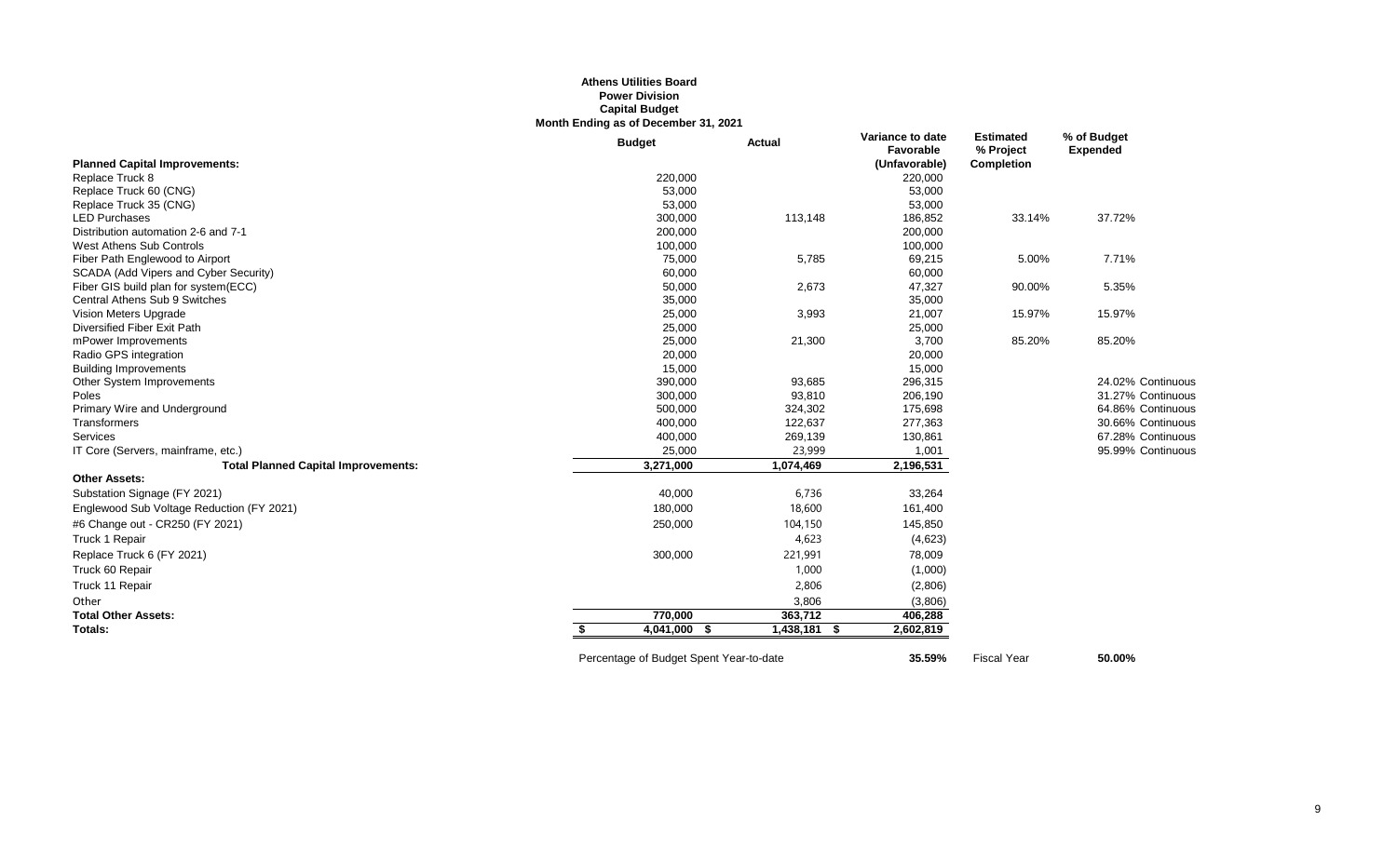## **Athens Utilities Board Power Division Capital Budget Month Ending as of December 31, 2021**

|                                            | <b>Budget</b> | Actual            | Variance to date<br>Favorable | <b>Estimated</b><br>% Project | % of Budget<br><b>Expended</b> |
|--------------------------------------------|---------------|-------------------|-------------------------------|-------------------------------|--------------------------------|
| <b>Planned Capital Improvements:</b>       |               |                   | (Unfavorable)                 | Completion                    |                                |
| Replace Truck 8                            | 220,000       |                   | 220,000                       |                               |                                |
| Replace Truck 60 (CNG)                     | 53,000        |                   | 53,000                        |                               |                                |
| Replace Truck 35 (CNG)                     | 53,000        |                   | 53,000                        |                               |                                |
| <b>LED Purchases</b>                       | 300,000       | 113,148           | 186,852                       | 33.14%                        | 37.72%                         |
| Distribution automation 2-6 and 7-1        | 200,000       |                   | 200,000                       |                               |                                |
| West Athens Sub Controls                   | 100,000       |                   | 100,000                       |                               |                                |
| Fiber Path Englewood to Airport            | 75,000        | 5,785             | 69,215                        | 5.00%                         | 7.71%                          |
| SCADA (Add Vipers and Cyber Security)      | 60,000        |                   | 60,000                        |                               |                                |
| Fiber GIS build plan for system(ECC)       | 50,000        | 2,673             | 47,327                        | 90.00%                        | 5.35%                          |
| Central Athens Sub 9 Switches              | 35,000        |                   | 35,000                        |                               |                                |
| Vision Meters Upgrade                      | 25,000        | 3,993             | 21,007                        | 15.97%                        | 15.97%                         |
| Diversified Fiber Exit Path                | 25,000        |                   | 25,000                        |                               |                                |
| mPower Improvements                        | 25,000        | 21,300            | 3,700                         | 85.20%                        | 85.20%                         |
| Radio GPS integration                      | 20,000        |                   | 20,000                        |                               |                                |
| <b>Building Improvements</b>               | 15,000        |                   | 15,000                        |                               |                                |
| Other System Improvements                  | 390,000       | 93,685            | 296,315                       |                               | 24.02% Continuous              |
| Poles                                      | 300,000       | 93,810            | 206,190                       |                               | 31.27% Continuous              |
| Primary Wire and Underground               | 500,000       | 324,302           | 175,698                       |                               | 64.86% Continuous              |
| Transformers                               | 400,000       | 122,637           | 277,363                       |                               | 30.66% Continuous              |
| Services                                   | 400,000       | 269,139           | 130,861                       |                               | 67.28% Continuous              |
| IT Core (Servers, mainframe, etc.)         | 25,000        | 23,999            | 1,001                         |                               | 95.99% Continuous              |
| <b>Total Planned Capital Improvements:</b> | 3,271,000     | 1,074,469         | 2,196,531                     |                               |                                |
| <b>Other Assets:</b>                       |               |                   |                               |                               |                                |
| Substation Signage (FY 2021)               | 40,000        | 6,736             | 33,264                        |                               |                                |
| Englewood Sub Voltage Reduction (FY 2021)  | 180,000       | 18,600            | 161,400                       |                               |                                |
| #6 Change out - CR250 (FY 2021)            | 250,000       | 104,150           | 145,850                       |                               |                                |
| Truck 1 Repair                             |               | 4,623             | (4,623)                       |                               |                                |
| Replace Truck 6 (FY 2021)                  | 300,000       | 221,991           | 78,009                        |                               |                                |
| Truck 60 Repair                            |               | 1,000             | (1,000)                       |                               |                                |
| Truck 11 Repair                            |               | 2,806             | (2,806)                       |                               |                                |
| Other                                      |               | 3,806             | (3,806)                       |                               |                                |
| <b>Total Other Assets:</b>                 | 770.000       | 363,712           | 406,288                       |                               |                                |
| Totals:                                    | 4,041,000 \$  | 1,438,181<br>- \$ | 2,602,819                     |                               |                                |
|                                            |               |                   |                               |                               |                                |

Percentage of Budget Spent Year-to-date **35.59%** Fiscal Year **50.00%**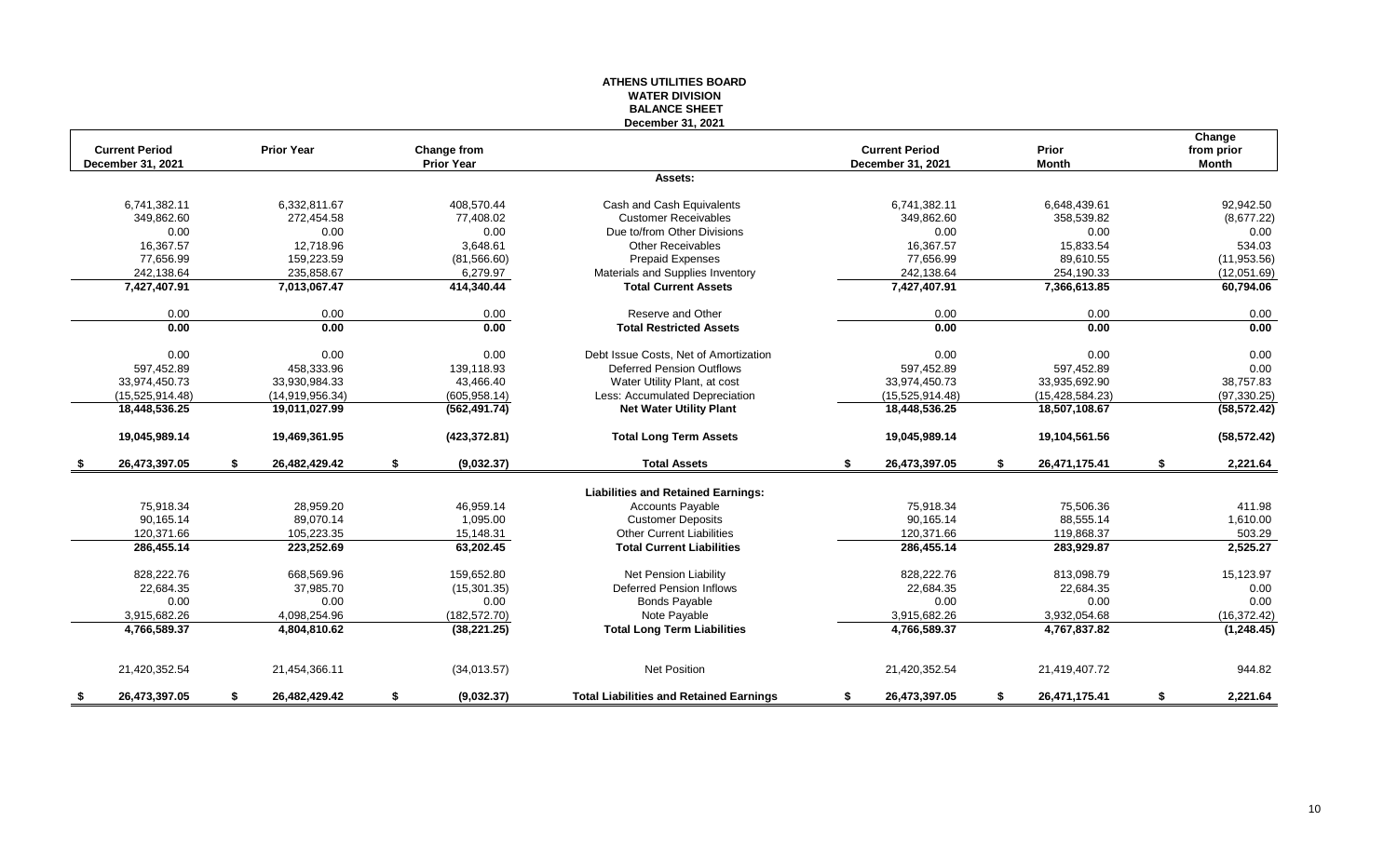#### **ATHENS UTILITIES BOARD WATER DIVISION BALANCE SHEET December 31, 2021**

|     | <b>Current Period</b> | <b>Prior Year</b>   | Change from       |                                                | <b>Current Period</b> | Prior               | Change<br>from prior |
|-----|-----------------------|---------------------|-------------------|------------------------------------------------|-----------------------|---------------------|----------------------|
|     | December 31, 2021     |                     | <b>Prior Year</b> |                                                | December 31, 2021     | <b>Month</b>        | <b>Month</b>         |
|     |                       |                     |                   | Assets:                                        |                       |                     |                      |
|     | 6,741,382.11          | 6.332.811.67        | 408.570.44        | Cash and Cash Equivalents                      | 6,741,382.11          | 6,648,439.61        | 92,942.50            |
|     | 349,862.60            | 272,454.58          | 77,408.02         | <b>Customer Receivables</b>                    | 349.862.60            | 358,539.82          | (8,677.22)           |
|     | 0.00                  | 0.00                | 0.00              | Due to/from Other Divisions                    | 0.00                  | 0.00                | 0.00                 |
|     | 16,367.57             | 12,718.96           | 3,648.61          | <b>Other Receivables</b>                       | 16,367.57             | 15,833.54           | 534.03               |
|     | 77,656.99             | 159,223.59          | (81, 566.60)      | <b>Prepaid Expenses</b>                        | 77,656.99             | 89,610.55           | (11,953.56)          |
|     | 242,138.64            | 235,858.67          | 6,279.97          | Materials and Supplies Inventory               | 242,138.64            | 254,190.33          | (12,051.69)          |
|     | 7,427,407.91          | 7,013,067.47        | 414,340.44        | <b>Total Current Assets</b>                    | 7,427,407.91          | 7,366,613.85        | 60,794.06            |
|     | 0.00                  | 0.00                | 0.00              | Reserve and Other                              | 0.00                  | 0.00                | 0.00                 |
|     | 0.00                  | 0.00                | 0.00              | <b>Total Restricted Assets</b>                 | 0.00                  | 0.00                | 0.00                 |
|     | 0.00                  | 0.00                | 0.00              | Debt Issue Costs, Net of Amortization          | 0.00                  | 0.00                | 0.00                 |
|     | 597,452.89            | 458,333.96          | 139,118.93        | <b>Deferred Pension Outflows</b>               | 597,452.89            | 597,452.89          | 0.00                 |
|     | 33,974,450.73         | 33,930,984.33       | 43,466.40         | Water Utility Plant, at cost                   | 33,974,450.73         | 33,935,692.90       | 38,757.83            |
|     | (15,525,914.48)       | (14,919,956.34)     | (605, 958.14)     | Less: Accumulated Depreciation                 | (15,525,914.48)       | (15, 428, 584.23)   | (97, 330.25)         |
|     | 18,448,536.25         | 19,011,027.99       | (562, 491.74)     | <b>Net Water Utility Plant</b>                 | 18,448,536.25         | 18,507,108.67       | (58, 572.42)         |
|     | 19,045,989.14         | 19,469,361.95       | (423, 372.81)     | <b>Total Long Term Assets</b>                  | 19,045,989.14         | 19,104,561.56       | (58, 572.42)         |
| - 5 | 26,473,397.05         | \$<br>26,482,429.42 | \$<br>(9,032.37)  | <b>Total Assets</b>                            | \$<br>26,473,397.05   | \$<br>26,471,175.41 | \$<br>2,221.64       |
|     |                       |                     |                   | <b>Liabilities and Retained Earnings:</b>      |                       |                     |                      |
|     | 75,918.34             | 28,959.20           | 46.959.14         | <b>Accounts Payable</b>                        | 75,918.34             | 75,506.36           | 411.98               |
|     | 90,165.14             | 89,070.14           | 1,095.00          | <b>Customer Deposits</b>                       | 90,165.14             | 88,555.14           | 1,610.00             |
|     | 120,371.66            | 105,223.35          | 15,148.31         | <b>Other Current Liabilities</b>               | 120,371.66            | 119,868.37          | 503.29               |
|     | 286,455.14            | 223,252.69          | 63,202.45         | <b>Total Current Liabilities</b>               | 286,455.14            | 283,929.87          | 2,525.27             |
|     | 828,222.76            | 668,569.96          | 159,652.80        | Net Pension Liability                          | 828,222.76            | 813,098.79          | 15,123.97            |
|     | 22,684.35             | 37,985.70           | (15, 301.35)      | <b>Deferred Pension Inflows</b>                | 22,684.35             | 22,684.35           | 0.00                 |
|     | 0.00                  | 0.00                | 0.00              | <b>Bonds Payable</b>                           | 0.00                  | 0.00                | 0.00                 |
|     | 3,915,682.26          | 4,098,254.96        | (182, 572.70)     | Note Payable                                   | 3,915,682.26          | 3,932,054.68        | (16, 372.42)         |
|     | 4,766,589.37          | 4,804,810.62        | (38, 221.25)      | <b>Total Long Term Liabilities</b>             | 4,766,589.37          | 4,767,837.82        | (1, 248.45)          |
|     |                       |                     |                   |                                                |                       |                     |                      |
|     | 21,420,352.54         | 21,454,366.11       | (34,013.57)       | <b>Net Position</b>                            | 21,420,352.54         | 21,419,407.72       | 944.82               |
| \$  | 26,473,397.05         | \$<br>26.482.429.42 | \$<br>(9,032.37)  | <b>Total Liabilities and Retained Earnings</b> | \$<br>26,473,397.05   | \$<br>26,471,175.41 | \$<br>2,221.64       |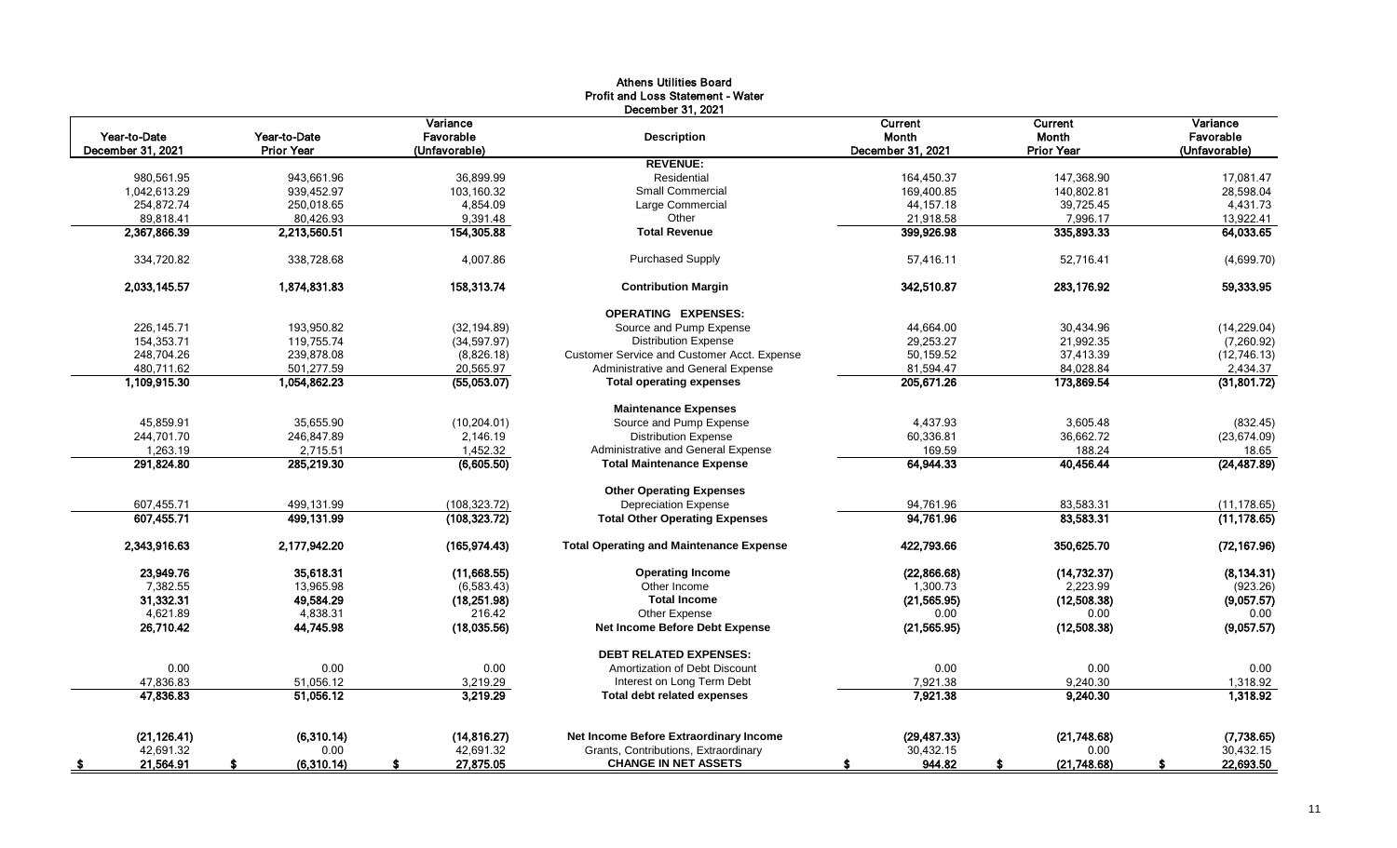|                                   |                                   |                                        | <b>Athens Utilities Board</b><br><b>Profit and Loss Statement - Water</b><br>December 31, 2021 |                                       |                                       |                                        |
|-----------------------------------|-----------------------------------|----------------------------------------|------------------------------------------------------------------------------------------------|---------------------------------------|---------------------------------------|----------------------------------------|
| Year-to-Date<br>December 31, 2021 | Year-to-Date<br><b>Prior Year</b> | Variance<br>Favorable<br>(Unfavorable) | <b>Description</b>                                                                             | Current<br>Month<br>December 31, 2021 | Current<br>Month<br><b>Prior Year</b> | Variance<br>Favorable<br>(Unfavorable) |
|                                   |                                   |                                        | <b>REVENUE:</b>                                                                                |                                       |                                       |                                        |
| 980,561.95                        | 943.661.96                        | 36,899.99                              | Residential                                                                                    | 164,450.37                            | 147,368.90                            | 17,081.47                              |
| 1,042,613.29                      | 939,452.97                        | 103,160.32                             | Small Commercial                                                                               | 169,400.85                            | 140,802.81                            | 28,598.04                              |
| 254,872.74                        | 250,018.65                        | 4,854.09                               | Large Commercial                                                                               | 44, 157. 18                           | 39,725.45                             | 4,431.73                               |
| 89,818.41                         | 80,426.93                         | 9,391.48                               | Other                                                                                          | 21,918.58                             | 7,996.17                              | 13,922.41                              |
| 2,367,866.39                      | 2,213,560.51                      | 154,305.88                             | <b>Total Revenue</b>                                                                           | 399,926.98                            | 335,893.33                            | 64,033.65                              |
| 334,720.82                        | 338,728.68                        | 4,007.86                               | <b>Purchased Supply</b>                                                                        | 57,416.11                             | 52,716.41                             | (4,699.70)                             |
| 2,033,145.57                      | 1,874,831.83                      | 158,313.74                             | <b>Contribution Margin</b>                                                                     | 342,510.87                            | 283,176.92                            | 59,333.95                              |
|                                   |                                   |                                        | <b>OPERATING EXPENSES:</b>                                                                     |                                       |                                       |                                        |
| 226,145.71                        | 193,950.82                        | (32, 194.89)                           | Source and Pump Expense                                                                        | 44,664.00                             | 30,434.96                             | (14, 229.04)                           |
| 154,353.71                        | 119,755.74                        | (34, 597.97)                           | <b>Distribution Expense</b>                                                                    | 29,253.27                             | 21,992.35                             | (7,260.92)                             |
| 248,704.26                        | 239.878.08                        | (8,826.18)                             | Customer Service and Customer Acct. Expense                                                    | 50,159.52                             | 37,413.39                             | (12, 746.13)                           |
| 480.711.62                        | 501.277.59                        | 20.565.97                              | Administrative and General Expense                                                             | 81,594.47                             | 84,028.84                             | 2,434.37                               |
| 1,109,915.30                      | 1,054,862.23                      | (55,053.07)                            | <b>Total operating expenses</b>                                                                | 205,671.26                            | 173,869.54                            | (31,801.72)                            |
|                                   |                                   |                                        | <b>Maintenance Expenses</b>                                                                    |                                       |                                       |                                        |
| 45,859.91                         | 35,655.90                         | (10, 204.01)                           | Source and Pump Expense                                                                        | 4,437.93                              | 3,605.48                              | (832.45)                               |
| 244,701.70                        | 246,847.89                        | 2,146.19                               | <b>Distribution Expense</b>                                                                    | 60,336.81                             | 36,662.72                             | (23, 674.09)                           |
| 1,263.19                          | 2,715.51                          | 1,452.32                               | Administrative and General Expense                                                             | 169.59                                | 188.24                                | 18.65                                  |
| 291,824.80                        | 285,219.30                        | (6,605.50)                             | <b>Total Maintenance Expense</b>                                                               | 64,944.33                             | 40,456.44                             | (24, 487.89)                           |
|                                   |                                   |                                        | <b>Other Operating Expenses</b>                                                                |                                       |                                       |                                        |
| 607,455.71                        | 499.131.99                        | (108, 323.72)                          | <b>Depreciation Expense</b>                                                                    | 94.761.96                             | 83,583.31                             | (11, 178.65)                           |
| 607.455.71                        | 499,131.99                        | (108, 323, 72)                         | <b>Total Other Operating Expenses</b>                                                          | 94,761.96                             | 83,583.31                             | (11, 178.65)                           |
| 2,343,916.63                      | 2,177,942.20                      | (165, 974.43)                          | <b>Total Operating and Maintenance Expense</b>                                                 | 422,793.66                            | 350,625.70                            | (72, 167.96)                           |
| 23,949.76                         | 35,618.31                         | (11,668.55)                            | <b>Operating Income</b>                                                                        | (22, 866.68)                          | (14, 732.37)                          | (8, 134.31)                            |
| 7,382.55                          | 13,965.98                         | (6,583.43)                             | Other Income                                                                                   | 1,300.73                              | 2,223.99                              | (923.26)                               |
| 31,332.31                         | 49,584.29                         | (18, 251.98)                           | <b>Total Income</b>                                                                            | (21, 565.95)                          | (12,508.38)                           | (9,057.57)                             |
| 4,621.89                          | 4,838.31                          | 216.42                                 | Other Expense                                                                                  | 0.00                                  | 0.00                                  | 0.00                                   |
| 26,710.42                         | 44,745.98                         | (18,035.56)                            | <b>Net Income Before Debt Expense</b>                                                          | (21, 565.95)                          | (12,508.38)                           | (9,057.57)                             |
|                                   |                                   |                                        | <b>DEBT RELATED EXPENSES:</b>                                                                  |                                       |                                       |                                        |
| 0.00                              | 0.00                              | 0.00                                   | Amortization of Debt Discount                                                                  | 0.00                                  | 0.00                                  | 0.00                                   |
| 47,836.83                         | 51,056.12                         | 3,219.29                               | Interest on Long Term Debt                                                                     | 7,921.38                              | 9,240.30                              | 1,318.92                               |
| 47,836.83                         | 51,056.12                         | 3,219.29                               | Total debt related expenses                                                                    | 7,921.38                              | 9,240.30                              | 1,318.92                               |
| (21, 126.41)                      | (6,310.14)                        | (14, 816.27)                           | Net Income Before Extraordinary Income                                                         | (29, 487.33)                          | (21,748.68)                           | (7,738.65)                             |
| 42,691.32                         | 0.00                              | 42,691.32                              | Grants, Contributions, Extraordinary                                                           | 30,432.15                             | 0.00                                  | 30,432.15                              |
| 21,564.91<br>- \$                 | (6,310.14)                        | 27,875.05                              | <b>CHANGE IN NET ASSETS</b>                                                                    | 944.82                                | (21,748.68)                           | 22,693.50                              |

11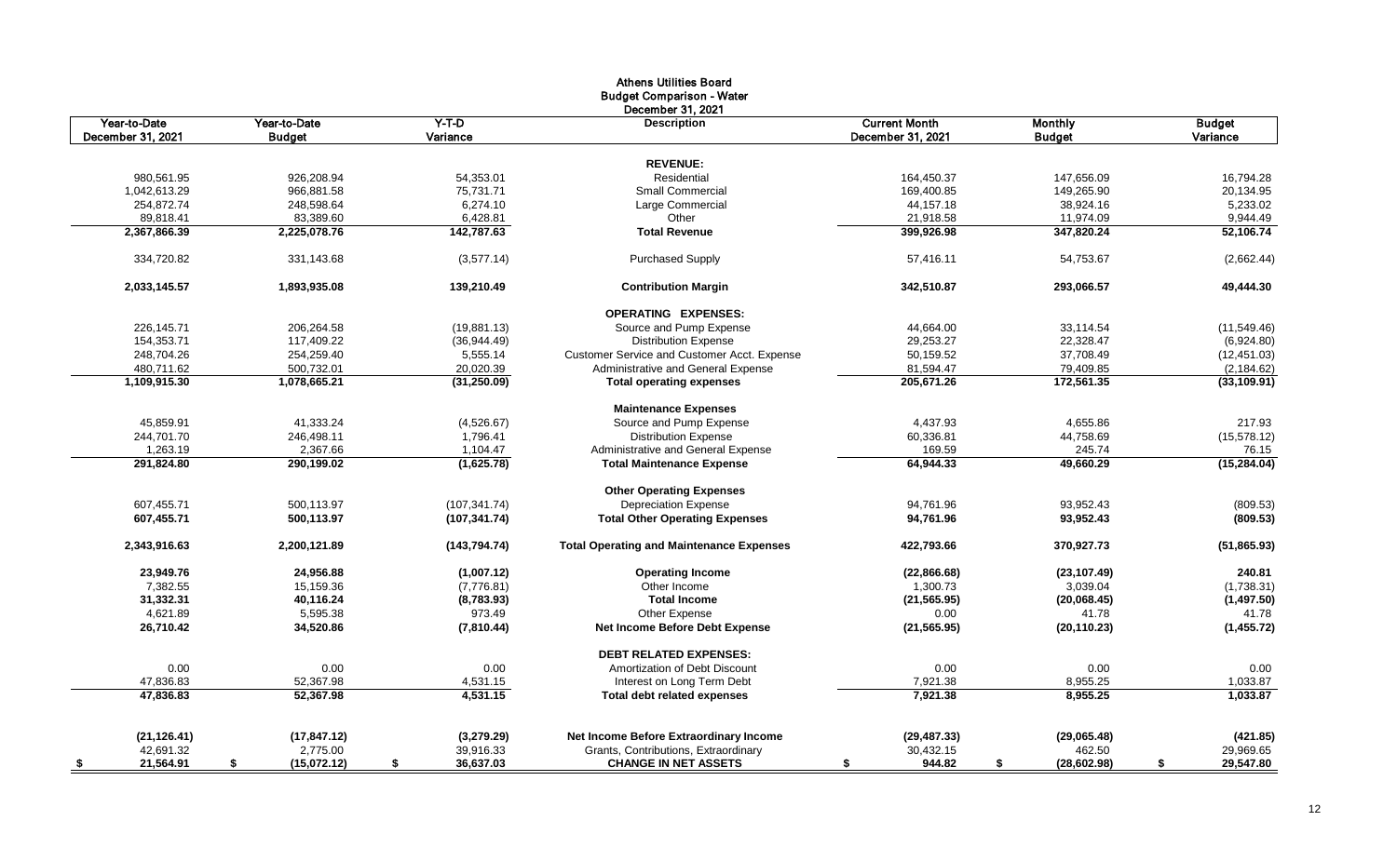|                   |                   |                 | <b>Athens Utilities Board</b><br><b>Budget Comparison - Water</b><br>December 31, 2021 |                      |                   |                 |
|-------------------|-------------------|-----------------|----------------------------------------------------------------------------------------|----------------------|-------------------|-----------------|
| Year-to-Date      | Year-to-Date      | $Y-T-D$         | <b>Description</b>                                                                     | <b>Current Month</b> | Monthly           | <b>Budget</b>   |
| December 31, 2021 | <b>Budget</b>     | Variance        |                                                                                        | December 31, 2021    | <b>Budget</b>     | Variance        |
|                   |                   |                 | <b>REVENUE:</b>                                                                        |                      |                   |                 |
| 980,561.95        | 926,208.94        | 54,353.01       | Residential                                                                            | 164,450.37           | 147,656.09        | 16,794.28       |
| 1,042,613.29      | 966,881.58        | 75,731.71       | Small Commercial                                                                       | 169,400.85           | 149,265.90        | 20,134.95       |
| 254,872.74        | 248,598.64        | 6,274.10        | Large Commercial                                                                       | 44,157.18            | 38,924.16         | 5,233.02        |
| 89,818.41         | 83,389.60         | 6,428.81        | Other                                                                                  | 21,918.58            | 11,974.09         | 9,944.49        |
| 2,367,866.39      | 2,225,078.76      | 142,787.63      | <b>Total Revenue</b>                                                                   | 399,926.98           | 347,820.24        | 52,106.74       |
|                   |                   |                 |                                                                                        |                      |                   |                 |
| 334,720.82        | 331,143.68        | (3,577.14)      | <b>Purchased Supply</b>                                                                | 57,416.11            | 54,753.67         | (2,662.44)      |
| 2,033,145.57      | 1,893,935.08      | 139,210.49      | <b>Contribution Margin</b>                                                             | 342,510.87           | 293,066.57        | 49,444.30       |
|                   |                   |                 | <b>OPERATING EXPENSES:</b>                                                             |                      |                   |                 |
| 226,145.71        | 206,264.58        | (19, 881.13)    | Source and Pump Expense                                                                | 44,664.00            | 33,114.54         | (11, 549.46)    |
| 154,353.71        | 117,409.22        | (36, 944.49)    | <b>Distribution Expense</b>                                                            | 29,253.27            | 22,328.47         | (6,924.80)      |
| 248,704.26        | 254,259.40        | 5,555.14        | <b>Customer Service and Customer Acct. Expense</b>                                     | 50,159.52            | 37,708.49         | (12, 451.03)    |
| 480,711.62        | 500,732.01        | 20,020.39       | Administrative and General Expense                                                     | 81,594.47            | 79,409.85         | (2, 184.62)     |
| 1,109,915.30      | 1,078,665.21      | (31, 250.09)    | <b>Total operating expenses</b>                                                        | 205,671.26           | 172,561.35        | (33, 109.91)    |
|                   |                   |                 | <b>Maintenance Expenses</b>                                                            |                      |                   |                 |
| 45,859.91         | 41,333.24         | (4,526.67)      | Source and Pump Expense                                                                | 4,437.93             | 4,655.86          | 217.93          |
| 244,701.70        | 246,498.11        | 1,796.41        | <b>Distribution Expense</b>                                                            | 60,336.81            | 44,758.69         | (15, 578.12)    |
| 1,263.19          | 2,367.66          | 1,104.47        | Administrative and General Expense                                                     | 169.59               | 245.74            | 76.15           |
| 291,824.80        | 290,199.02        | (1,625.78)      | <b>Total Maintenance Expense</b>                                                       | 64,944.33            | 49,660.29         | (15, 284.04)    |
|                   |                   |                 | <b>Other Operating Expenses</b>                                                        |                      |                   |                 |
| 607,455.71        | 500,113.97        | (107, 341.74)   | <b>Depreciation Expense</b>                                                            | 94,761.96            | 93,952.43         | (809.53)        |
| 607,455.71        | 500,113.97        | (107, 341.74)   | <b>Total Other Operating Expenses</b>                                                  | 94,761.96            | 93,952.43         | (809.53)        |
|                   |                   |                 |                                                                                        |                      |                   |                 |
| 2,343,916.63      | 2,200,121.89      | (143, 794.74)   | <b>Total Operating and Maintenance Expenses</b>                                        | 422,793.66           | 370,927.73        | (51, 865.93)    |
| 23,949.76         | 24,956.88         | (1,007.12)      | <b>Operating Income</b>                                                                | (22,866.68)          | (23, 107.49)      | 240.81          |
| 7,382.55          | 15,159.36         | (7,776.81)      | Other Income                                                                           | 1,300.73             | 3,039.04          | (1,738.31)      |
| 31,332.31         | 40,116.24         | (8,783.93)      | <b>Total Income</b>                                                                    | (21, 565.95)         | (20,068.45)       | (1,497.50)      |
| 4,621.89          | 5,595.38          | 973.49          | Other Expense                                                                          | 0.00                 | 41.78             | 41.78           |
| 26,710.42         | 34,520.86         | (7,810.44)      | Net Income Before Debt Expense                                                         | (21, 565.95)         | (20, 110.23)      | (1,455.72)      |
|                   |                   |                 | <b>DEBT RELATED EXPENSES:</b>                                                          |                      |                   |                 |
| 0.00              | 0.00              | 0.00            | Amortization of Debt Discount                                                          | 0.00                 | 0.00              | 0.00            |
| 47,836.83         | 52,367.98         | 4,531.15        | Interest on Long Term Debt                                                             | 7,921.38             | 8,955.25          | 1,033.87        |
| 47,836.83         | 52,367.98         | 4,531.15        | <b>Total debt related expenses</b>                                                     | 7,921.38             | 8,955.25          | 1,033.87        |
|                   |                   |                 |                                                                                        |                      |                   |                 |
| (21, 126.41)      | (17, 847.12)      | (3,279.29)      | Net Income Before Extraordinary Income                                                 | (29, 487.33)         | (29,065.48)       | (421.85)        |
| 42,691.32         | 2,775.00          | 39,916.33       | Grants, Contributions, Extraordinary                                                   | 30,432.15            | 462.50            | 29,969.65       |
| 21,564.91<br>- \$ | (15,072.12)<br>\$ | 36,637.03<br>\$ | <b>CHANGE IN NET ASSETS</b>                                                            | 944.82<br>\$         | (28, 602.98)<br>S | 29,547.80<br>\$ |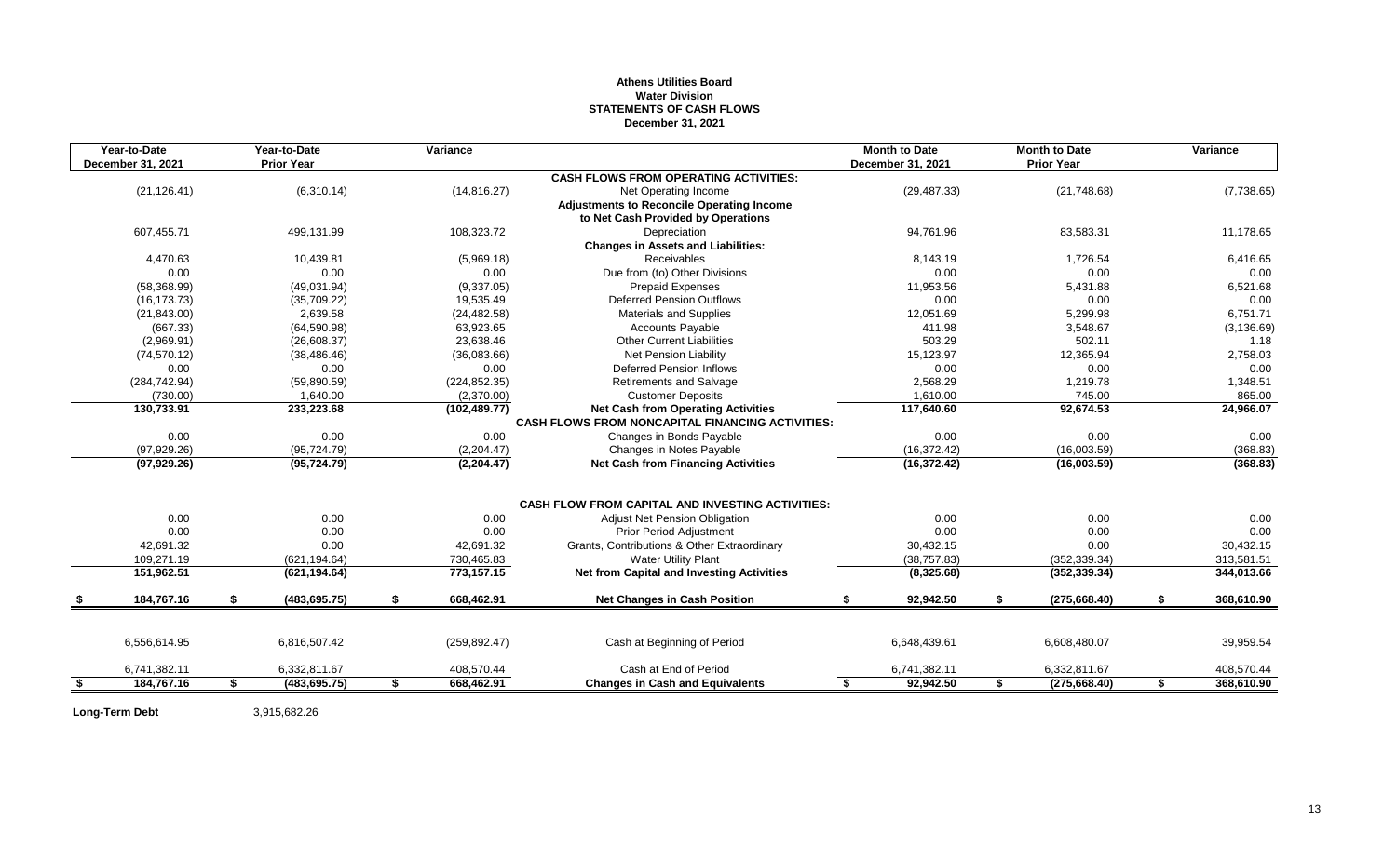## **Athens Utilities Board Water Division STATEMENTS OF CASH FLOWS December 31, 2021**

| Year-to-Date<br>December 31, 2021 | Year-to-Date<br><b>Prior Year</b> | Variance         |                                                                                        |    | <b>Month to Date</b><br>December 31, 2021 | <b>Month to Date</b><br><b>Prior Year</b> | Variance         |
|-----------------------------------|-----------------------------------|------------------|----------------------------------------------------------------------------------------|----|-------------------------------------------|-------------------------------------------|------------------|
|                                   |                                   |                  | <b>CASH FLOWS FROM OPERATING ACTIVITIES:</b>                                           |    |                                           |                                           |                  |
| (21, 126.41)                      | (6,310.14)                        | (14, 816.27)     | Net Operating Income                                                                   |    | (29, 487.33)                              | (21, 748.68)                              | (7,738.65)       |
|                                   |                                   |                  | <b>Adjustments to Reconcile Operating Income</b><br>to Net Cash Provided by Operations |    |                                           |                                           |                  |
| 607,455.71                        | 499,131.99                        | 108,323.72       | Depreciation                                                                           |    | 94,761.96                                 | 83,583.31                                 | 11,178.65        |
|                                   |                                   |                  | <b>Changes in Assets and Liabilities:</b>                                              |    |                                           |                                           |                  |
| 4,470.63                          | 10,439.81                         | (5,969.18)       | <b>Receivables</b>                                                                     |    | 8,143.19                                  | 1,726.54                                  | 6,416.65         |
| 0.00                              | 0.00                              | 0.00             | Due from (to) Other Divisions                                                          |    | 0.00                                      | 0.00                                      | 0.00             |
| (58, 368.99)                      | (49,031.94)                       | (9,337.05)       | <b>Prepaid Expenses</b>                                                                |    | 11,953.56                                 | 5,431.88                                  | 6,521.68         |
| (16, 173.73)                      | (35,709.22)                       | 19,535.49        | <b>Deferred Pension Outflows</b>                                                       |    | 0.00                                      | 0.00                                      | 0.00             |
| (21, 843.00)                      | 2.639.58                          | (24, 482.58)     | <b>Materials and Supplies</b>                                                          |    | 12.051.69                                 | 5,299.98                                  | 6,751.71         |
| (667.33)                          | (64, 590.98)                      | 63,923.65        | Accounts Payable                                                                       |    | 411.98                                    | 3,548.67                                  | (3, 136.69)      |
| (2,969.91)                        | (26,608.37)                       | 23,638.46        | <b>Other Current Liabilities</b>                                                       |    | 503.29                                    | 502.11                                    | 1.18             |
| (74, 570.12)                      | (38, 486.46)                      | (36,083.66)      | <b>Net Pension Liability</b>                                                           |    | 15,123.97                                 | 12,365.94                                 | 2,758.03         |
| 0.00                              | 0.00                              | 0.00             | <b>Deferred Pension Inflows</b>                                                        |    | 0.00                                      | 0.00                                      | 0.00             |
| (284, 742.94)                     | (59,890.59)                       | (224, 852.35)    | <b>Retirements and Salvage</b>                                                         |    | 2,568.29                                  | 1,219.78                                  | 1,348.51         |
| (730.00)                          | 1,640.00                          | (2,370.00)       | <b>Customer Deposits</b>                                                               |    | 1,610.00                                  | 745.00                                    | 865.00           |
| 130,733.91                        | 233,223.68                        | (102, 489.77)    | <b>Net Cash from Operating Activities</b>                                              |    | 117,640.60                                | 92,674.53                                 | 24,966.07        |
|                                   |                                   |                  | <b>CASH FLOWS FROM NONCAPITAL FINANCING ACTIVITIES:</b>                                |    |                                           |                                           |                  |
| 0.00                              | 0.00                              | 0.00             | Changes in Bonds Payable                                                               |    | 0.00                                      | 0.00                                      | 0.00             |
| (97, 929.26)                      | (95, 724.79)                      | (2,204.47)       | Changes in Notes Payable                                                               |    | (16, 372.42)                              | (16,003.59)                               | (368.83)         |
| (97, 929.26)                      | (95, 724.79)                      | (2,204.47)       | <b>Net Cash from Financing Activities</b>                                              |    | (16, 372.42)                              | (16,003.59)                               | (368.83)         |
|                                   |                                   |                  | <b>CASH FLOW FROM CAPITAL AND INVESTING ACTIVITIES:</b>                                |    |                                           |                                           |                  |
| 0.00                              | 0.00                              | 0.00             | Adjust Net Pension Obligation                                                          |    | 0.00                                      | 0.00                                      | 0.00             |
| 0.00                              | 0.00                              | 0.00             | <b>Prior Period Adjustment</b>                                                         |    | 0.00                                      | 0.00                                      | 0.00             |
| 42.691.32                         | 0.00                              | 42,691.32        | Grants, Contributions & Other Extraordinary                                            |    | 30,432.15                                 | 0.00                                      | 30,432.15        |
| 109,271.19                        | (621, 194.64)                     | 730,465.83       | <b>Water Utility Plant</b>                                                             |    | (38, 757.83)                              | (352, 339.34)                             | 313,581.51       |
| 151,962.51                        | (621, 194.64)                     | 773,157.15       | Net from Capital and Investing Activities                                              |    | (8,325.68)                                | (352, 339.34)                             | 344,013.66       |
|                                   |                                   |                  |                                                                                        |    |                                           |                                           |                  |
| 184,767.16                        | \$<br>(483, 695.75)               | \$<br>668,462.91 | <b>Net Changes in Cash Position</b>                                                    | \$ | 92,942.50                                 | \$<br>(275, 668.40)                       | \$<br>368,610.90 |
|                                   |                                   |                  |                                                                                        |    |                                           |                                           |                  |
| 6,556,614.95                      | 6,816,507.42                      | (259, 892.47)    | Cash at Beginning of Period                                                            |    | 6,648,439.61                              | 6,608,480.07                              | 39,959.54        |
| 6,741,382.11                      | 6,332,811.67                      | 408,570.44       | Cash at End of Period                                                                  |    | 6,741,382.11                              | 6,332,811.67                              | 408,570.44       |
| \$<br>184,767.16                  | \$<br>(483, 695.75)               | \$<br>668,462.91 | <b>Changes in Cash and Equivalents</b>                                                 | S  | 92,942.50                                 | \$<br>(275, 668.40)                       | \$<br>368,610.90 |

**Long-Term Debt** 3,915,682.26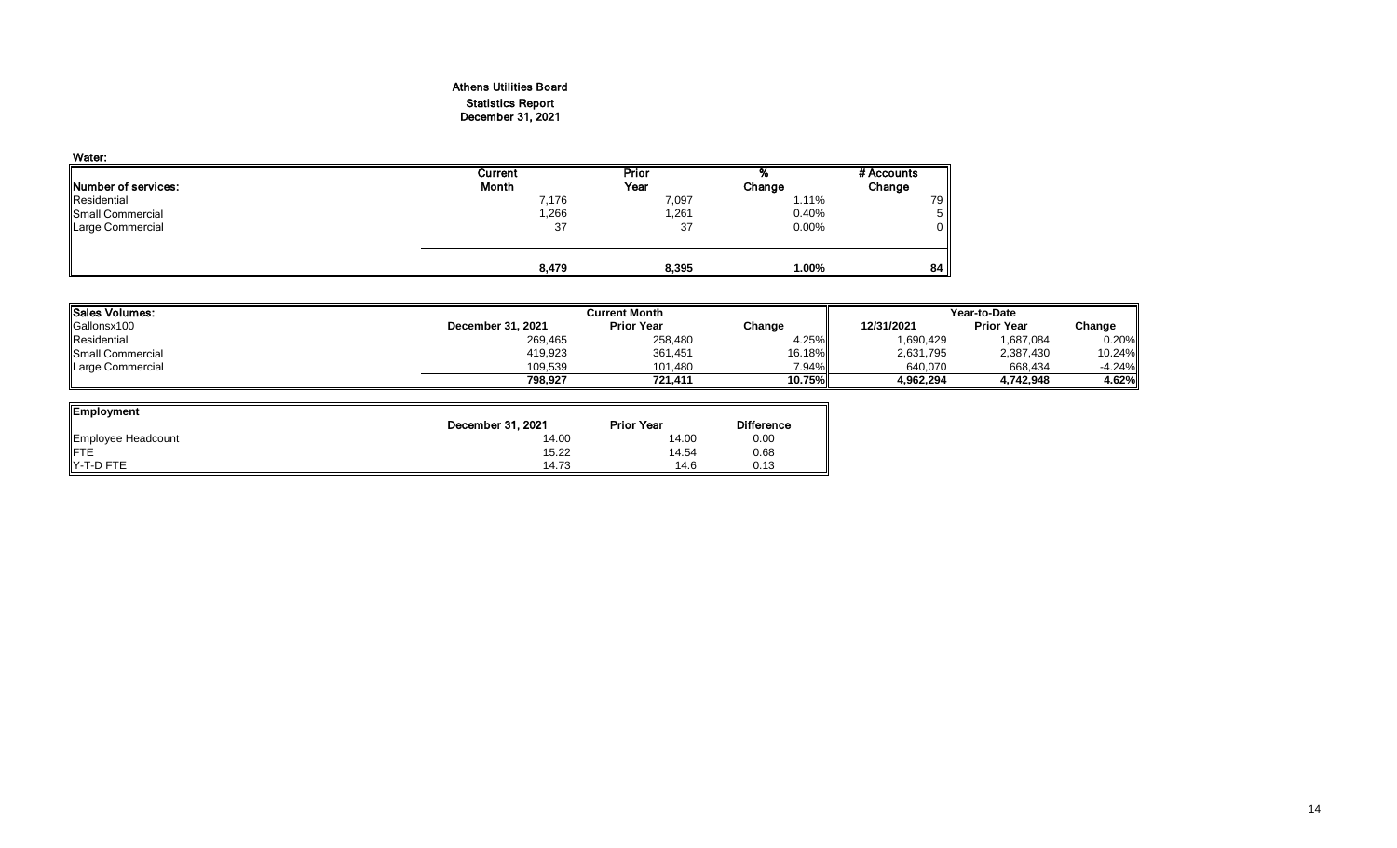## Athens Utilities Board Statistics Report December 31, 2021

| Water:              |         |              |        |            |
|---------------------|---------|--------------|--------|------------|
|                     | Current | <b>Prior</b> |        | # Accounts |
| Number of services: | Month   | Year         | Change | Change     |
| Residential         | 7,176   | 7,097        | 1.11%  | 79 I       |
| Small Commercial    | ,266    | 1,261        | 0.40%  | 5 II       |
| Large Commercial    | 37      | 37           | 0.00%  | 0 II       |
|                     |         |              |        |            |
|                     | 8.479   | 8,395        | 1.00%  | 84         |

| <b>ISales Volumes:</b>   |                   | Current Month     | Year-to-Date |            |                   |           |
|--------------------------|-------------------|-------------------|--------------|------------|-------------------|-----------|
| Gallonsx100              | December 31, 2021 | <b>Prior Year</b> | Change       | 12/31/2021 | <b>Prior Year</b> | Change    |
| Residential              | 269,465           | 258,480           | 4.25%        | 1,690,429  | 1,687,084         | 0.20%     |
| <b>ISmall Commercial</b> | 419,923           | 361,451           | 16.18%       | 2,631,795  | 2,387,430         | $10.24\%$ |
| Large Commercial         | 109,539           | 101.480           | $7.94\%$     | 640.070    | 668,434           | $-4.24%$  |
|                          | 798.927           | 721.411           | 10.75%       | 4.962.294  | 4,742,948         | 4.62%     |

| Employment         |                   |                   |                   |
|--------------------|-------------------|-------------------|-------------------|
|                    | December 31, 2021 | <b>Prior Year</b> | <b>Difference</b> |
| Employee Headcount | 14.00             | 14.00             | 0.00              |
| <b>IFTE</b>        | 15.22             | 14.54             | 0.68              |
| IY-T-D FTE         | 14.73             | 14.6              | 0.13              |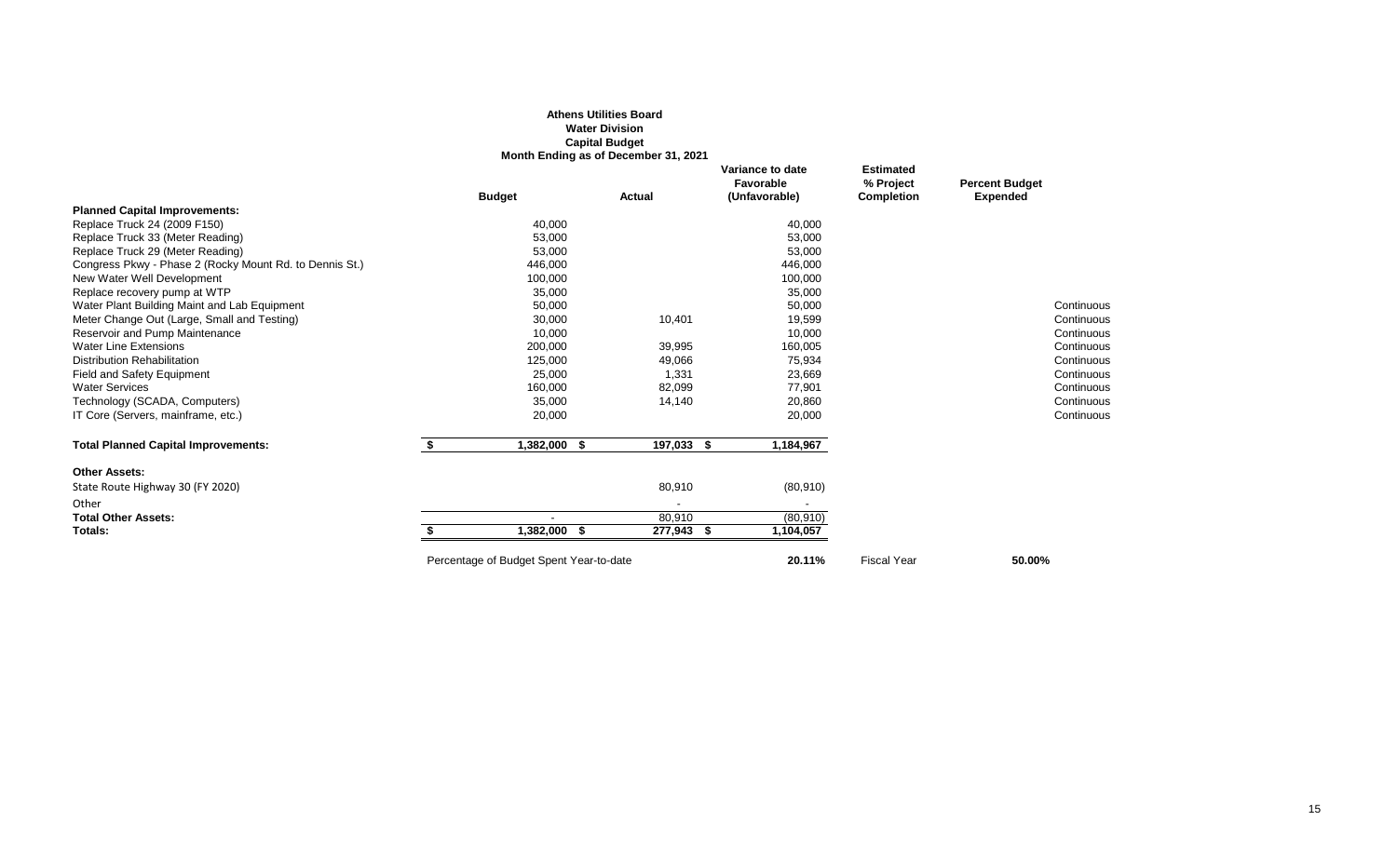|                                                         |                                         | <b>Athens Utilities Board</b><br><b>Water Division</b><br><b>Capital Budget</b><br>Month Ending as of December 31, 2021 |                                                |                                                    |                                          |
|---------------------------------------------------------|-----------------------------------------|-------------------------------------------------------------------------------------------------------------------------|------------------------------------------------|----------------------------------------------------|------------------------------------------|
|                                                         | <b>Budget</b>                           | Actual                                                                                                                  | Variance to date<br>Favorable<br>(Unfavorable) | <b>Estimated</b><br>% Project<br><b>Completion</b> | <b>Percent Budget</b><br><b>Expended</b> |
| <b>Planned Capital Improvements:</b>                    |                                         |                                                                                                                         |                                                |                                                    |                                          |
| Replace Truck 24 (2009 F150)                            | 40,000                                  |                                                                                                                         | 40,000                                         |                                                    |                                          |
| Replace Truck 33 (Meter Reading)                        | 53,000                                  |                                                                                                                         | 53,000                                         |                                                    |                                          |
| Replace Truck 29 (Meter Reading)                        | 53,000                                  |                                                                                                                         | 53,000                                         |                                                    |                                          |
| Congress Pkwy - Phase 2 (Rocky Mount Rd. to Dennis St.) | 446,000                                 |                                                                                                                         | 446,000                                        |                                                    |                                          |
| New Water Well Development                              | 100,000                                 |                                                                                                                         | 100,000                                        |                                                    |                                          |
| Replace recovery pump at WTP                            | 35,000                                  |                                                                                                                         | 35,000                                         |                                                    |                                          |
| Water Plant Building Maint and Lab Equipment            | 50,000                                  |                                                                                                                         | 50,000                                         |                                                    | Continuous                               |
| Meter Change Out (Large, Small and Testing)             | 30,000                                  | 10,401                                                                                                                  | 19,599                                         |                                                    | Continuous                               |
| Reservoir and Pump Maintenance                          | 10,000                                  |                                                                                                                         | 10,000                                         |                                                    | Continuous                               |
| <b>Water Line Extensions</b>                            | 200,000                                 | 39,995                                                                                                                  | 160,005                                        |                                                    | Continuous                               |
| <b>Distribution Rehabilitation</b>                      | 125,000                                 | 49,066                                                                                                                  | 75,934                                         |                                                    | Continuous                               |
| <b>Field and Safety Equipment</b>                       | 25,000                                  | 1,331                                                                                                                   | 23,669                                         |                                                    | Continuous                               |
| <b>Water Services</b>                                   | 160,000                                 | 82,099                                                                                                                  | 77,901                                         |                                                    | Continuous                               |
| Technology (SCADA, Computers)                           | 35,000                                  | 14,140                                                                                                                  | 20,860                                         |                                                    | Continuous                               |
| IT Core (Servers, mainframe, etc.)                      | 20,000                                  |                                                                                                                         | 20,000                                         |                                                    | Continuous                               |
| <b>Total Planned Capital Improvements:</b>              | \$<br>1,382,000 \$                      | 197,033 \$                                                                                                              | 1,184,967                                      |                                                    |                                          |
| <b>Other Assets:</b>                                    |                                         |                                                                                                                         |                                                |                                                    |                                          |
| State Route Highway 30 (FY 2020)                        |                                         | 80,910                                                                                                                  | (80, 910)                                      |                                                    |                                          |
| Other                                                   |                                         |                                                                                                                         |                                                |                                                    |                                          |
| <b>Total Other Assets:</b>                              |                                         | 80,910                                                                                                                  | (80, 910)                                      |                                                    |                                          |
| Totals:                                                 | 1,382,000                               | 277,943 \$<br>- 56                                                                                                      | 1,104,057                                      |                                                    |                                          |
|                                                         | Percentage of Budget Spent Year-to-date |                                                                                                                         | 20.11%                                         | <b>Fiscal Year</b>                                 | 50.00%                                   |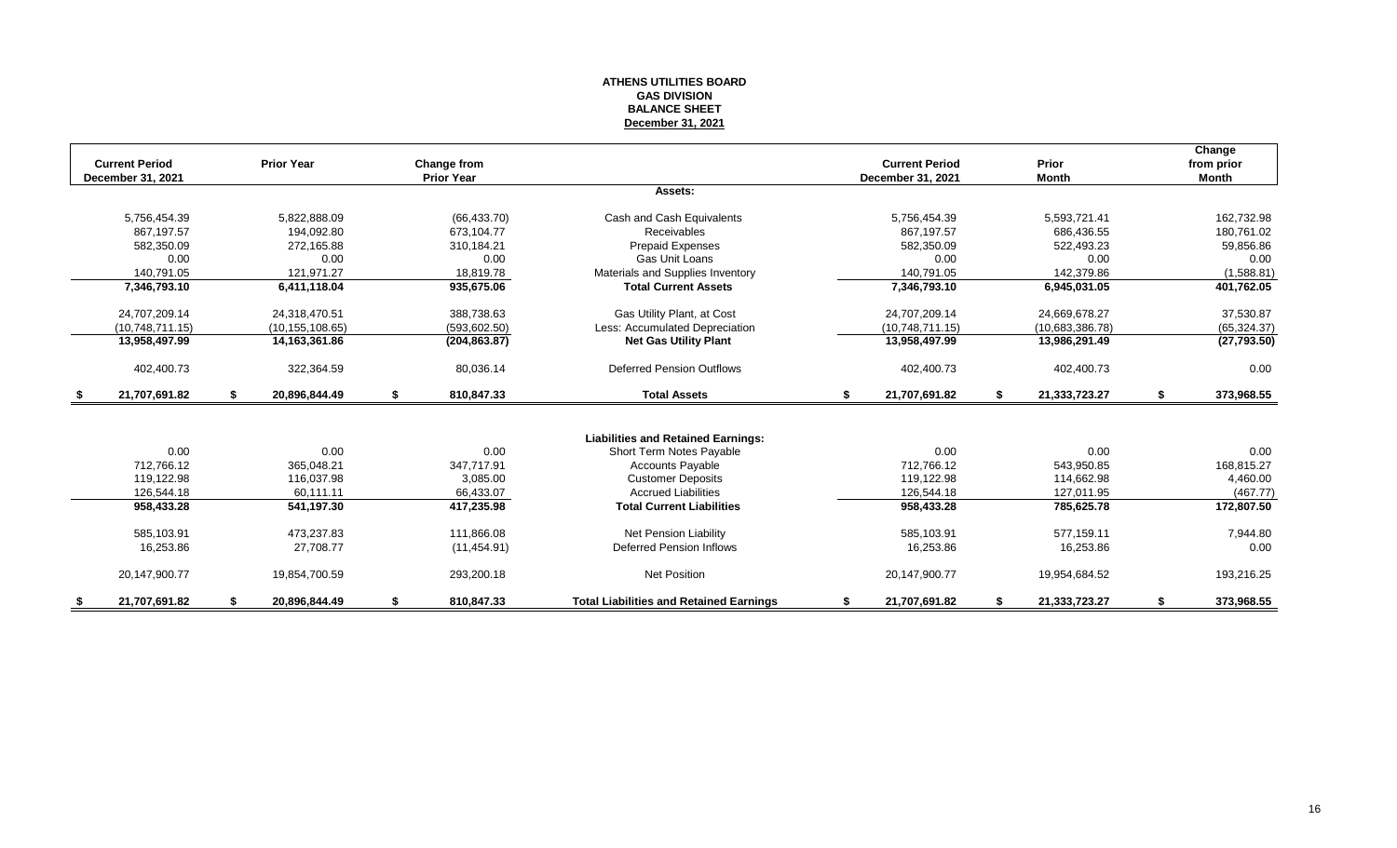#### **ATHENS UTILITIES BOARD GAS DIVISION BALANCE SHEET December 31, 2021**

|      | <b>Current Period</b> | <b>Prior Year</b>   | Change from       |                                                | <b>Current Period</b> | Prior               |    | Change<br>from prior |
|------|-----------------------|---------------------|-------------------|------------------------------------------------|-----------------------|---------------------|----|----------------------|
|      | December 31, 2021     |                     | <b>Prior Year</b> |                                                | December 31, 2021     | Month               |    | <b>Month</b>         |
|      |                       |                     |                   | Assets:                                        |                       |                     |    |                      |
|      | 5,756,454.39          | 5,822,888.09        | (66, 433.70)      | Cash and Cash Equivalents                      | 5,756,454.39          | 5,593,721.41        |    | 162,732.98           |
|      | 867.197.57            | 194.092.80          | 673.104.77        | Receivables                                    | 867.197.57            | 686,436.55          |    | 180,761.02           |
|      | 582.350.09            | 272.165.88          | 310.184.21        | <b>Prepaid Expenses</b>                        | 582.350.09            | 522.493.23          |    | 59,856.86            |
|      | 0.00                  | 0.00                | 0.00              | Gas Unit Loans                                 | 0.00                  | 0.00                |    | 0.00                 |
|      | 140.791.05            | 121.971.27          | 18,819.78         | Materials and Supplies Inventory               | 140.791.05            | 142.379.86          |    | (1,588.81)           |
|      | 7,346,793.10          | 6,411,118.04        | 935,675.06        | <b>Total Current Assets</b>                    | 7,346,793.10          | 6,945,031.05        |    | 401,762.05           |
|      | 24,707,209.14         | 24,318,470.51       | 388,738.63        | Gas Utility Plant, at Cost                     | 24,707,209.14         | 24,669,678.27       |    | 37,530.87            |
|      | (10.748.711.15)       | (10, 155, 108.65)   | (593,602.50)      | Less: Accumulated Depreciation                 | (10.748.711.15)       | (10,683,386.78)     |    | (65, 324.37)         |
|      | 13,958,497.99         | 14,163,361.86       | (204, 863.87)     | <b>Net Gas Utility Plant</b>                   | 13,958,497.99         | 13,986,291.49       |    | (27, 793.50)         |
|      | 402,400.73            | 322,364.59          | 80,036.14         | <b>Deferred Pension Outflows</b>               | 402,400.73            | 402,400.73          |    | 0.00                 |
| - 56 | 21,707,691.82         | \$<br>20,896,844.49 | \$<br>810,847.33  | <b>Total Assets</b>                            | \$<br>21,707,691.82   | \$<br>21,333,723.27 | Ŝ. | 373,968.55           |
|      |                       |                     |                   |                                                |                       |                     |    |                      |
|      |                       |                     |                   | <b>Liabilities and Retained Earnings:</b>      |                       |                     |    |                      |
|      | 0.00                  | 0.00                | 0.00              | Short Term Notes Payable                       | 0.00                  | 0.00                |    | 0.00                 |
|      | 712.766.12            | 365.048.21          | 347.717.91        | <b>Accounts Payable</b>                        | 712.766.12            | 543,950.85          |    | 168,815.27           |
|      | 119,122.98            | 116,037.98          | 3,085.00          | <b>Customer Deposits</b>                       | 119,122.98            | 114,662.98          |    | 4,460.00             |
|      | 126,544.18            | 60.111.11           | 66.433.07         | <b>Accrued Liabilities</b>                     | 126,544.18            | 127,011.95          |    | (467.77)             |
|      | 958,433.28            | 541,197.30          | 417,235.98        | <b>Total Current Liabilities</b>               | 958,433.28            | 785,625.78          |    | 172,807.50           |
|      | 585,103.91            | 473,237.83          | 111,866.08        | <b>Net Pension Liability</b>                   | 585,103.91            | 577,159.11          |    | 7,944.80             |
|      | 16,253.86             | 27.708.77           | (11, 454.91)      | <b>Deferred Pension Inflows</b>                | 16,253.86             | 16,253.86           |    | 0.00                 |
|      | 20,147,900.77         | 19,854,700.59       | 293,200.18        | <b>Net Position</b>                            | 20,147,900.77         | 19,954,684.52       |    | 193,216.25           |
| - 56 | 21.707.691.82         | \$<br>20,896,844.49 | \$<br>810.847.33  | <b>Total Liabilities and Retained Earnings</b> | \$<br>21,707,691.82   | 21,333,723.27       | S. | 373,968.55           |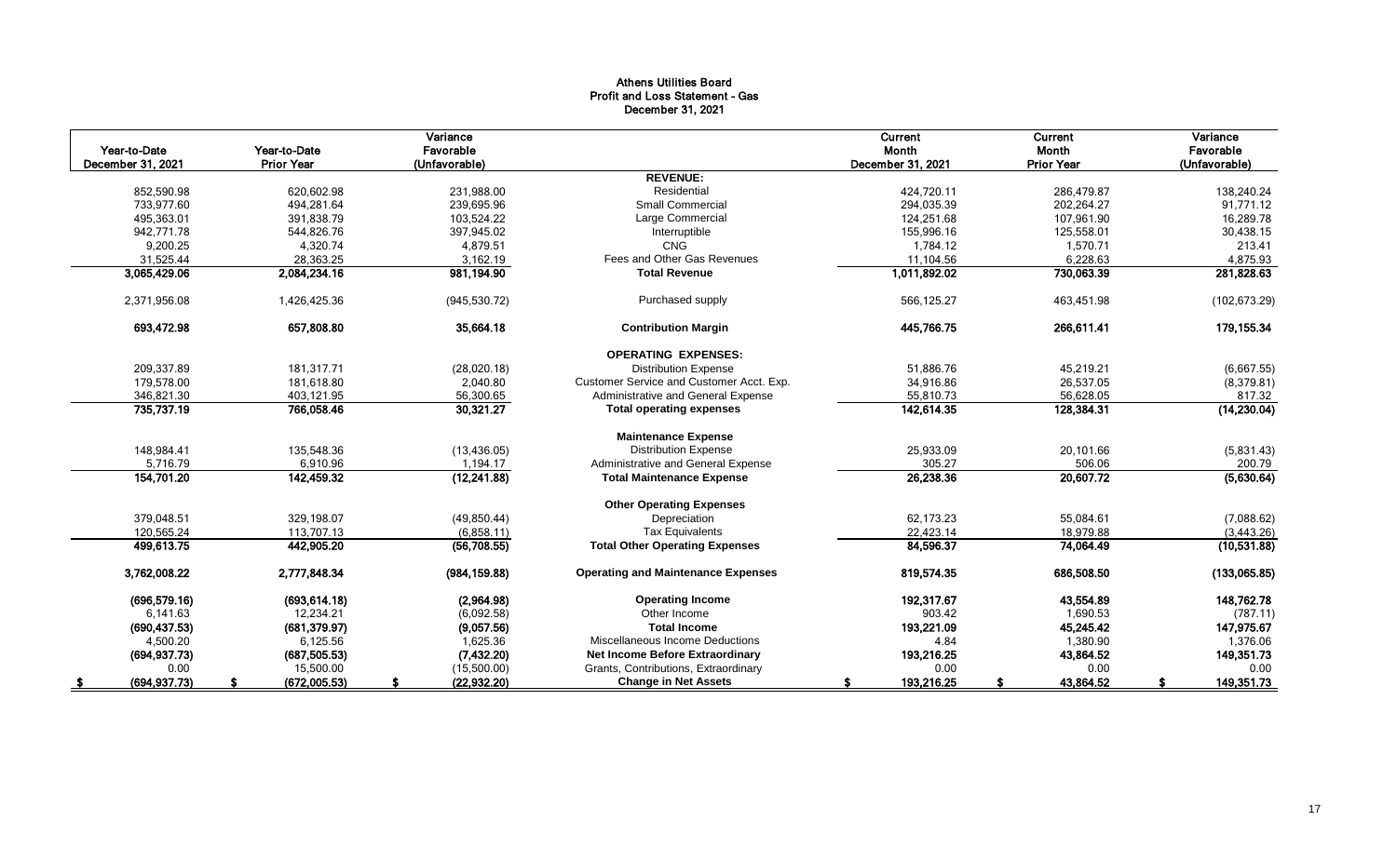## Athens Utilities Board Profit and Loss Statement - Gas December 31, 2021

| Year-to-Date<br>December 31, 2021 | Year-to-Date<br><b>Prior Year</b> | Variance<br>Favorable<br>(Unfavorable) |                                           | Current<br>Month<br>December 31, 2021 | Current<br>Month<br><b>Prior Year</b> | Variance<br>Favorable<br>(Unfavorable) |
|-----------------------------------|-----------------------------------|----------------------------------------|-------------------------------------------|---------------------------------------|---------------------------------------|----------------------------------------|
|                                   |                                   |                                        | <b>REVENUE:</b>                           |                                       |                                       |                                        |
| 852.590.98                        | 620.602.98                        | 231.988.00                             | Residential                               | 424,720.11                            | 286.479.87                            | 138.240.24                             |
| 733,977.60                        | 494,281.64                        | 239,695.96                             | <b>Small Commercial</b>                   | 294,035.39                            | 202,264.27                            | 91,771.12                              |
| 495,363.01                        | 391,838.79                        | 103,524.22                             | Large Commercial                          | 124,251.68                            | 107,961.90                            | 16,289.78                              |
| 942,771.78                        | 544,826.76                        | 397,945.02                             | Interruptible                             | 155,996.16                            | 125,558.01                            | 30,438.15                              |
| 9,200.25                          | 4,320.74                          | 4,879.51                               | <b>CNG</b>                                | 1,784.12                              | 1,570.71                              | 213.41                                 |
| 31,525.44                         | 28,363.25                         | 3,162.19                               | Fees and Other Gas Revenues               | 11,104.56                             | 6,228.63                              | 4,875.93                               |
| 3,065,429.06                      | 2,084,234.16                      | 981,194.90                             | <b>Total Revenue</b>                      | 1,011,892.02                          | 730,063.39                            | 281,828.63                             |
| 2,371,956.08                      | 1,426,425.36                      | (945, 530.72)                          | Purchased supply                          | 566,125.27                            | 463,451.98                            | (102, 673.29)                          |
| 693,472.98                        | 657,808.80                        | 35,664.18                              | <b>Contribution Margin</b>                | 445,766.75                            | 266,611.41                            | 179, 155.34                            |
|                                   |                                   |                                        | <b>OPERATING EXPENSES:</b>                |                                       |                                       |                                        |
| 209,337.89                        | 181,317.71                        | (28,020.18)                            | <b>Distribution Expense</b>               | 51,886.76                             | 45,219.21                             | (6,667.55)                             |
| 179,578.00                        | 181,618.80                        | 2,040.80                               | Customer Service and Customer Acct. Exp.  | 34,916.86                             | 26,537.05                             | (8,379.81)                             |
| 346,821.30                        | 403.121.95                        | 56,300.65                              | Administrative and General Expense        | 55.810.73                             | 56,628.05                             | 817.32                                 |
| 735,737.19                        | 766,058.46                        | 30,321.27                              | <b>Total operating expenses</b>           | 142,614.35                            | 128,384.31                            | (14, 230.04)                           |
|                                   |                                   |                                        | <b>Maintenance Expense</b>                |                                       |                                       |                                        |
| 148,984.41                        | 135,548.36                        | (13, 436.05)                           | <b>Distribution Expense</b>               | 25,933.09                             | 20,101.66                             | (5,831.43)                             |
| 5,716.79                          | 6,910.96                          | 1,194.17                               | Administrative and General Expense        | 305.27                                | 506.06                                | 200.79                                 |
| 154,701.20                        | 142,459.32                        | (12, 241.88)                           | <b>Total Maintenance Expense</b>          | 26,238.36                             | 20,607.72                             | (5,630.64)                             |
|                                   |                                   |                                        | <b>Other Operating Expenses</b>           |                                       |                                       |                                        |
| 379,048.51                        | 329.198.07                        | (49, 850.44)                           | Depreciation                              | 62,173.23                             | 55,084.61                             | (7,088.62)                             |
| 120,565.24                        | 113,707.13                        | (6,858.11)                             | <b>Tax Equivalents</b>                    | 22,423.14                             | 18,979.88                             | (3,443.26)                             |
| 499,613.75                        | 442,905.20                        | (56,708.55)                            | <b>Total Other Operating Expenses</b>     | 84,596.37                             | 74,064.49                             | (10,531.88)                            |
| 3,762,008.22                      | 2,777,848.34                      | (984, 159.88)                          | <b>Operating and Maintenance Expenses</b> | 819,574.35                            | 686,508.50                            | (133,065.85)                           |
| (696, 579.16)                     | (693, 614.18)                     | (2,964.98)                             | <b>Operating Income</b>                   | 192,317.67                            | 43,554.89                             | 148,762.78                             |
| 6,141.63                          | 12,234.21                         | (6,092.58)                             | Other Income                              | 903.42                                | 1,690.53                              | (787.11)                               |
| (690, 437.53)                     | (681, 379.97)                     | (9,057.56)                             | <b>Total Income</b>                       | 193,221.09                            | 45,245.42                             | 147,975.67                             |
| 4,500.20                          | 6,125.56                          | 1,625.36                               | Miscellaneous Income Deductions           | 4.84                                  | 1,380.90                              | 1,376.06                               |
| (694, 937.73)                     | (687, 505.53)                     | (7, 432.20)                            | <b>Net Income Before Extraordinary</b>    | 193,216.25                            | 43,864.52                             | 149,351.73                             |
| 0.00                              | 15,500.00                         | (15,500.00)                            | Grants, Contributions, Extraordinary      | 0.00                                  | 0.00                                  | 0.00                                   |
| (694, 937.73)<br>S                | (672,005.53)                      | (22, 932.20)                           | <b>Change in Net Assets</b>               | 193,216.25<br>S                       | 43,864.52                             | 149,351.73                             |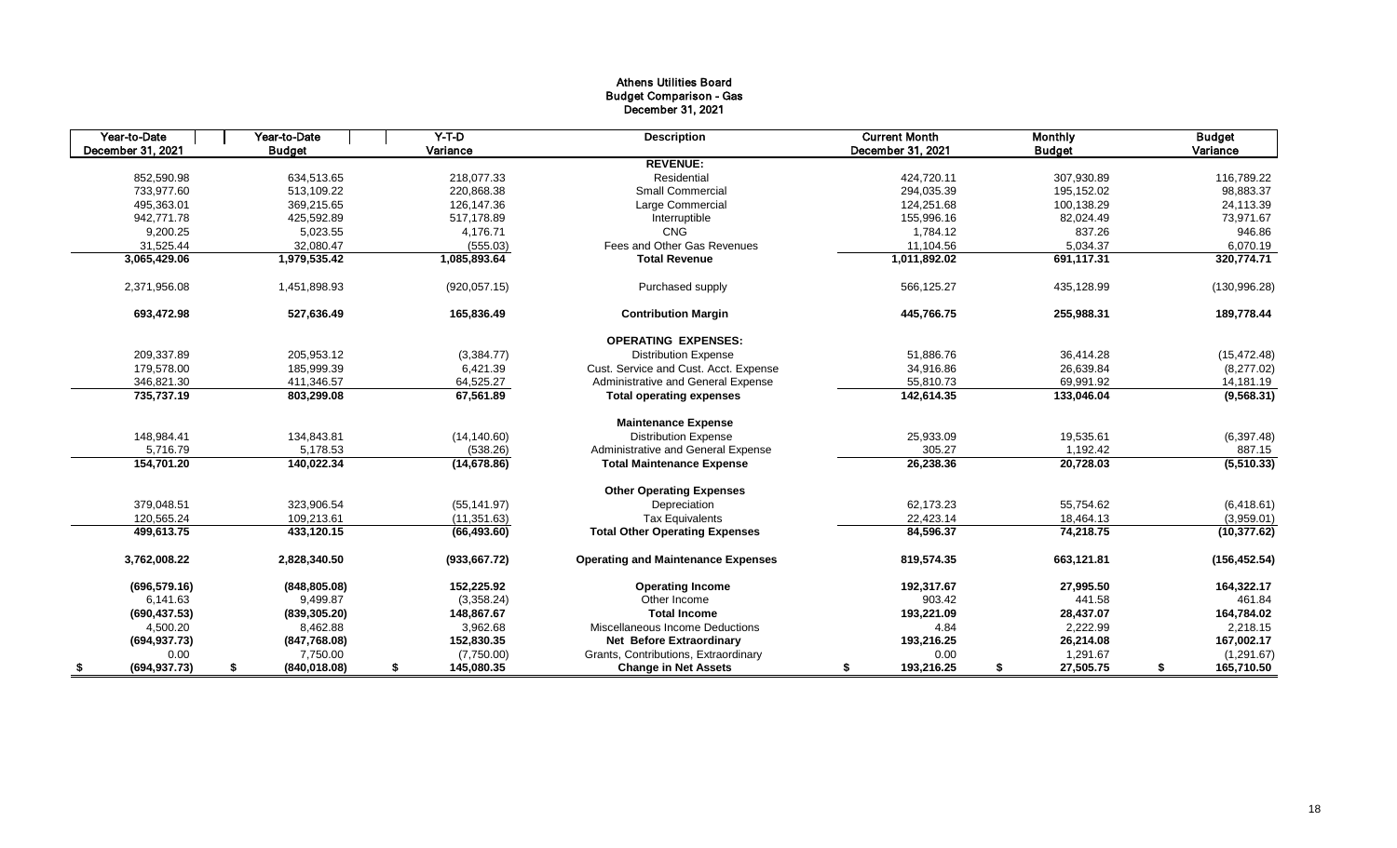## Athens Utilities Board Budget Comparison - Gas December 31, 2021

| Year-to-Date        | Year-to-Date        | $Y-T-D$          | <b>Description</b>                        | <b>Current Month</b> | Monthly         | <b>Budget</b>    |
|---------------------|---------------------|------------------|-------------------------------------------|----------------------|-----------------|------------------|
| December 31, 2021   | <b>Budget</b>       | Variance         |                                           | December 31, 2021    | <b>Budget</b>   | Variance         |
|                     |                     |                  | <b>REVENUE:</b>                           |                      |                 |                  |
| 852,590.98          | 634,513.65          | 218.077.33       | Residential                               | 424,720.11           | 307,930.89      | 116,789.22       |
| 733,977.60          | 513.109.22          | 220.868.38       | <b>Small Commercial</b>                   | 294,035.39           | 195,152.02      | 98,883.37        |
| 495,363.01          | 369,215.65          | 126,147.36       | Large Commercial                          | 124,251.68           | 100,138.29      | 24,113.39        |
| 942.771.78          | 425,592.89          | 517.178.89       | Interruptible                             | 155,996.16           | 82.024.49       | 73,971.67        |
| 9,200.25            | 5,023.55            | 4,176.71         | <b>CNG</b>                                | 1,784.12             | 837.26          | 946.86           |
| 31,525.44           | 32,080.47           | (555.03)         | Fees and Other Gas Revenues               | 11.104.56            | 5,034.37        | 6,070.19         |
| 3,065,429.06        | 1,979,535.42        | 1,085,893.64     | <b>Total Revenue</b>                      | 1,011,892.02         | 691,117.31      | 320,774.71       |
| 2,371,956.08        | 1,451,898.93        | (920, 057.15)    | Purchased supply                          | 566,125.27           | 435,128.99      | (130, 996.28)    |
| 693,472.98          | 527,636.49          | 165,836.49       | <b>Contribution Margin</b>                | 445,766.75           | 255,988.31      | 189,778.44       |
|                     |                     |                  | <b>OPERATING EXPENSES:</b>                |                      |                 |                  |
| 209,337.89          | 205,953.12          | (3,384.77)       | <b>Distribution Expense</b>               | 51,886.76            | 36,414.28       | (15, 472.48)     |
| 179,578.00          | 185,999.39          | 6,421.39         | Cust. Service and Cust. Acct. Expense     | 34,916.86            | 26,639.84       | (8,277.02)       |
| 346,821.30          | 411,346.57          | 64,525.27        | Administrative and General Expense        | 55,810.73            | 69,991.92       | 14,181.19        |
| 735,737.19          | 803,299.08          | 67,561.89        | <b>Total operating expenses</b>           | 142,614.35           | 133,046.04      | (9, 568.31)      |
|                     |                     |                  | <b>Maintenance Expense</b>                |                      |                 |                  |
| 148,984.41          | 134,843.81          | (14, 140.60)     | <b>Distribution Expense</b>               | 25,933.09            | 19,535.61       | (6, 397.48)      |
| 5,716.79            | 5,178.53            | (538.26)         | Administrative and General Expense        | 305.27               | 1,192.42        | 887.15           |
| 154,701.20          | 140,022.34          | (14, 678.86)     | <b>Total Maintenance Expense</b>          | 26,238.36            | 20,728.03       | (5,510.33)       |
|                     |                     |                  | <b>Other Operating Expenses</b>           |                      |                 |                  |
| 379,048.51          | 323,906.54          | (55, 141.97)     | Depreciation                              | 62,173.23            | 55,754.62       | (6,418.61)       |
| 120.565.24          | 109.213.61          | (11, 351.63)     | <b>Tax Equivalents</b>                    | 22.423.14            | 18.464.13       | (3,959.01)       |
| 499,613.75          | 433,120.15          | (66, 493.60)     | <b>Total Other Operating Expenses</b>     | 84,596.37            | 74,218.75       | (10, 377.62)     |
| 3,762,008.22        | 2,828,340.50        | (933, 667.72)    | <b>Operating and Maintenance Expenses</b> | 819,574.35           | 663,121.81      | (156, 452.54)    |
| (696, 579.16)       | (848, 805.08)       | 152,225.92       | <b>Operating Income</b>                   | 192,317.67           | 27,995.50       | 164,322.17       |
| 6,141.63            | 9,499.87            | (3,358.24)       | Other Income                              | 903.42               | 441.58          | 461.84           |
| (690, 437.53)       | (839, 305.20)       | 148,867.67       | <b>Total Income</b>                       | 193,221.09           | 28,437.07       | 164,784.02       |
| 4,500.20            | 8,462.88            | 3,962.68         | Miscellaneous Income Deductions           | 4.84                 | 2,222.99        | 2,218.15         |
| (694, 937.73)       | (847,768.08)        | 152,830.35       | <b>Net Before Extraordinary</b>           | 193,216.25           | 26,214.08       | 167,002.17       |
| 0.00                | 7,750.00            | (7,750.00)       | Grants, Contributions, Extraordinary      | 0.00                 | 1,291.67        | (1,291.67)       |
| (694, 937.73)<br>\$ | (840, 018.08)<br>\$ | 145,080.35<br>\$ | <b>Change in Net Assets</b>               | 193,216.25<br>\$     | 27,505.75<br>\$ | 165,710.50<br>\$ |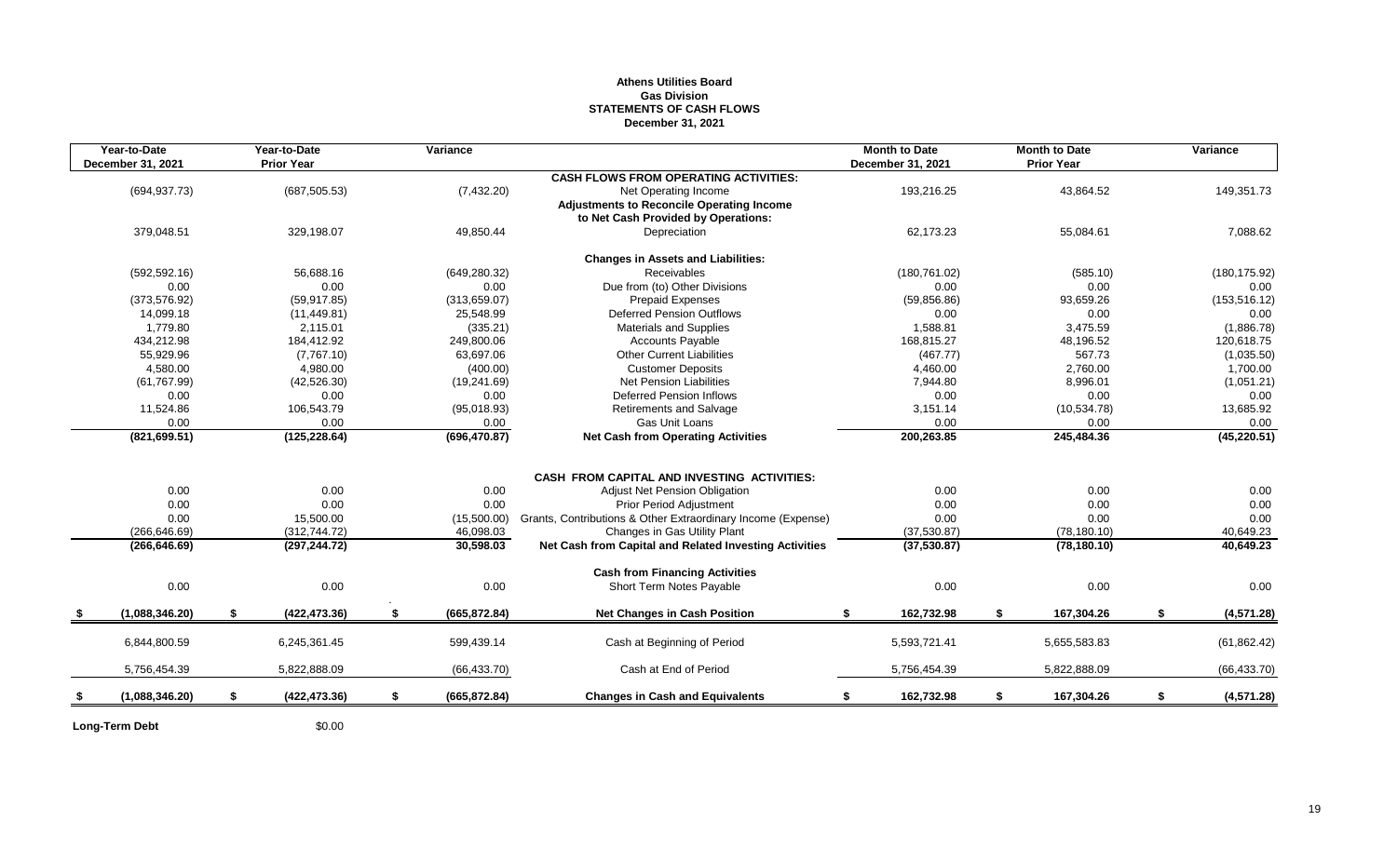## **Athens Utilities Board Gas Division STATEMENTS OF CASH FLOWS December 31, 2021**

|     | Year-to-Date<br>December 31, 2021 | Year-to-Date<br><b>Prior Year</b> | Variance            |                                                              | <b>Month to Date</b><br>December 31, 2021 | <b>Month to Date</b><br><b>Prior Year</b> | Variance          |
|-----|-----------------------------------|-----------------------------------|---------------------|--------------------------------------------------------------|-------------------------------------------|-------------------------------------------|-------------------|
|     |                                   |                                   |                     | <b>CASH FLOWS FROM OPERATING ACTIVITIES:</b>                 |                                           |                                           |                   |
|     | (694, 937.73)                     | (687, 505.53)                     | (7, 432.20)         | Net Operating Income                                         | 193,216.25                                | 43,864.52                                 | 149,351.73        |
|     |                                   |                                   |                     | <b>Adjustments to Reconcile Operating Income</b>             |                                           |                                           |                   |
|     |                                   |                                   |                     | to Net Cash Provided by Operations:                          |                                           |                                           |                   |
|     | 379,048.51                        | 329,198.07                        | 49,850.44           | Depreciation                                                 | 62,173.23                                 | 55,084.61                                 | 7,088.62          |
|     |                                   |                                   |                     | <b>Changes in Assets and Liabilities:</b>                    |                                           |                                           |                   |
|     | (592, 592, 16)                    | 56.688.16                         | (649, 280.32)       | <b>Receivables</b>                                           | (180, 761.02)                             | (585.10)                                  | (180, 175.92)     |
|     | 0.00                              | 0.00                              | 0.00                | Due from (to) Other Divisions                                | 0.00                                      | 0.00                                      | 0.00              |
|     | (373, 576.92)                     | (59, 917.85)                      | (313, 659.07)       | <b>Prepaid Expenses</b>                                      | (59, 856.86)                              | 93,659.26                                 | (153, 516.12)     |
|     | 14,099.18                         | (11, 449.81)                      | 25,548.99           | <b>Deferred Pension Outflows</b>                             | 0.00                                      | 0.00                                      | 0.00              |
|     | 1,779.80                          | 2,115.01                          | (335.21)            | Materials and Supplies                                       | 1,588.81                                  | 3,475.59                                  | (1,886.78)        |
|     | 434,212.98                        | 184,412.92                        | 249,800.06          | <b>Accounts Payable</b>                                      | 168,815.27                                | 48,196.52                                 | 120,618.75        |
|     | 55,929.96                         | (7,767.10)                        | 63,697.06           | <b>Other Current Liabilities</b>                             | (467.77)                                  | 567.73                                    | (1,035.50)        |
|     | 4,580.00                          | 4,980.00                          | (400.00)            | <b>Customer Deposits</b>                                     | 4,460.00                                  | 2,760.00                                  | 1,700.00          |
|     | (61, 767.99)                      | (42, 526.30)                      | (19, 241.69)        | Net Pension Liabilities                                      | 7,944.80                                  | 8,996.01                                  | (1,051.21)        |
|     | 0.00                              | 0.00                              | 0.00                | <b>Deferred Pension Inflows</b>                              | 0.00                                      | 0.00                                      | 0.00              |
|     | 11,524.86                         | 106,543.79                        | (95,018.93)         | <b>Retirements and Salvage</b>                               | 3,151.14                                  | (10, 534.78)                              | 13,685.92         |
|     | 0.00                              | 0.00                              | 0.00                | Gas Unit Loans                                               | 0.00                                      | 0.00                                      | 0.00              |
|     | (821, 699.51)                     | (125, 228.64)                     | (696, 470.87)       | <b>Net Cash from Operating Activities</b>                    | 200,263.85                                | 245,484.36                                | (45, 220.51)      |
|     |                                   |                                   |                     |                                                              |                                           |                                           |                   |
|     |                                   |                                   |                     | CASH FROM CAPITAL AND INVESTING ACTIVITIES:                  |                                           |                                           |                   |
|     | 0.00                              | 0.00                              | 0.00                | Adjust Net Pension Obligation                                | 0.00                                      | 0.00                                      | 0.00              |
|     | 0.00                              | 0.00                              | 0.00                | <b>Prior Period Adjustment</b>                               | 0.00                                      | 0.00                                      | 0.00              |
|     | 0.00                              | 15,500.00                         | (15,500.00)         | Grants, Contributions & Other Extraordinary Income (Expense) | 0.00                                      | 0.00                                      | 0.00              |
|     | (266.646.69)                      | (312, 744.72)                     | 46,098.03           | Changes in Gas Utility Plant                                 | (37,530.87)                               | (78, 180.10)                              | 40,649.23         |
|     | (266, 646.69)                     | (297, 244.72)                     | 30,598.03           | Net Cash from Capital and Related Investing Activities       | (37,530.87)                               | (78, 180.10)                              | 40,649.23         |
|     |                                   |                                   |                     | <b>Cash from Financing Activities</b>                        |                                           |                                           |                   |
|     | 0.00                              | 0.00                              | 0.00                | Short Term Notes Payable                                     | 0.00                                      | 0.00                                      | 0.00              |
| - 5 | (1,088,346.20)                    | \$<br>(422, 473.36)               | \$<br>(665, 872.84) | <b>Net Changes in Cash Position</b>                          | 162,732.98<br>\$                          | \$<br>167,304.26                          | \$<br>(4, 571.28) |
|     |                                   |                                   |                     |                                                              |                                           |                                           |                   |
|     | 6,844,800.59                      | 6,245,361.45                      | 599,439.14          | Cash at Beginning of Period                                  | 5,593,721.41                              | 5,655,583.83                              | (61, 862.42)      |
|     | 5,756,454.39                      | 5,822,888.09                      | (66, 433.70)        | Cash at End of Period                                        | 5,756,454.39                              | 5,822,888.09                              | (66, 433.70)      |
| \$  | (1,088,346.20)                    | \$<br>(422, 473.36)               | \$<br>(665, 872.84) | <b>Changes in Cash and Equivalents</b>                       | 162,732.98<br>\$                          | \$<br>167,304.26                          | \$<br>(4,571.28)  |

**Long-Term Debt** \$0.00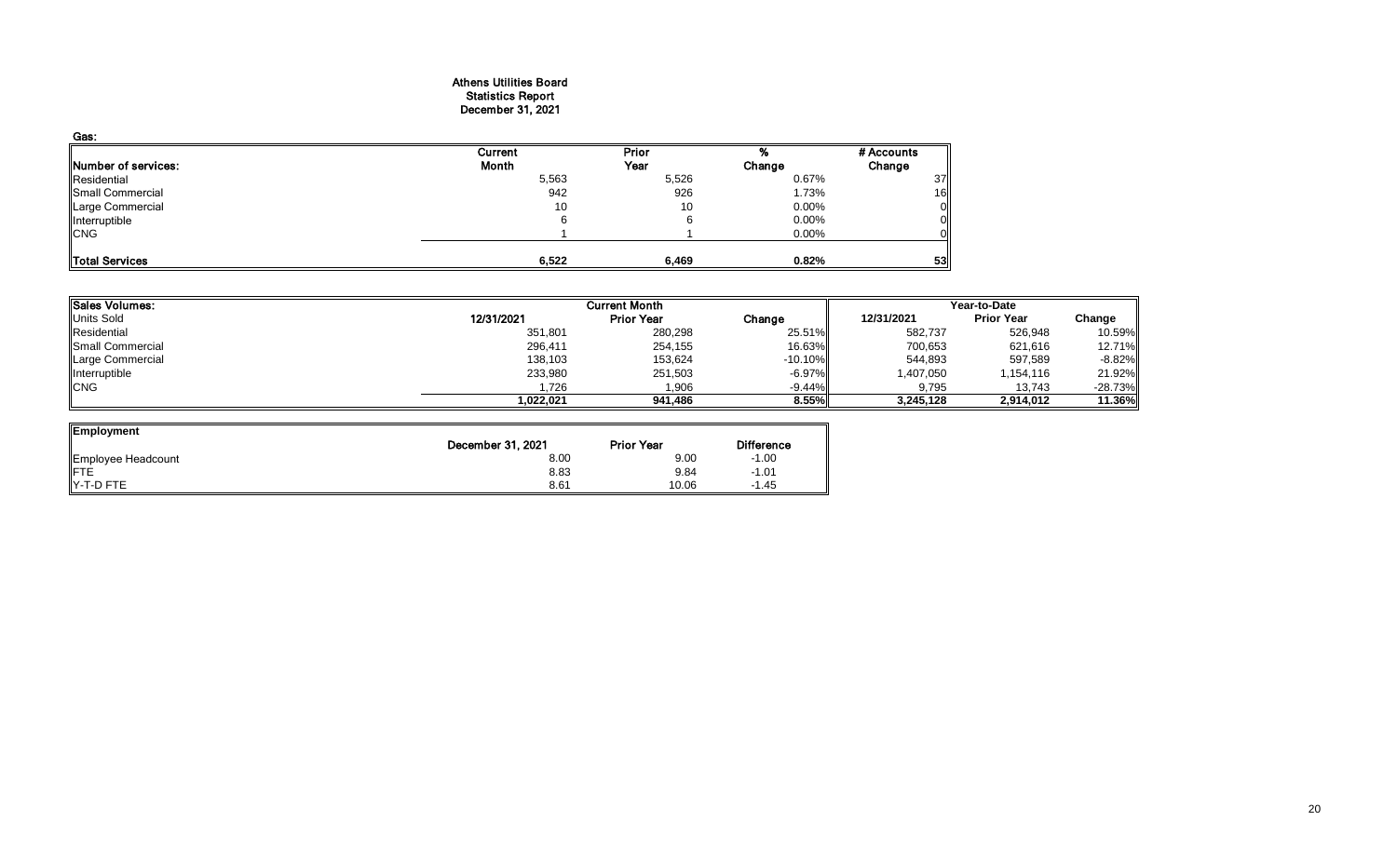## Athens Utilities Board Statistics Report December 31, 2021

| Gas:                       |         |       |          |                 |
|----------------------------|---------|-------|----------|-----------------|
|                            | Current | Prior |          | # Accounts      |
| <b>Number of services:</b> | Month   | Year  | Change   | Change          |
| Residential                | 5,563   | 5,526 | 0.67%    | 37              |
| Small Commercial           | 942     | 926   | 1.73%    | 16 <sub>l</sub> |
| Large Commercial           | 10      | 10    | $0.00\%$ | Οl              |
| Interruptible              |         |       | 0.00%    | 0               |
| <b>CNG</b>                 |         |       | 0.00%    |                 |
|                            |         |       |          |                 |
| Total Services             | 6,522   | 6,469 | 0.82%    | 53              |

| <b>Sales Volumes:</b> |            |                   | Year-to-Date |            |                   |            |
|-----------------------|------------|-------------------|--------------|------------|-------------------|------------|
| <b>Units Sold</b>     | 12/31/2021 | <b>Prior Year</b> | Change       | 12/31/2021 | <b>Prior Year</b> | Change     |
| Residential           | 351,801    | 280,298           | 25.51%       | 582,737    | 526,948           | 10.59%     |
| Small Commercial      | 296,411    | 254,155           | 16.63%       | 700,653    | 621,616           | 12.71%     |
| Large Commercial      | 138,103    | 153,624           | $-10.10%$    | 544,893    | 597,589           | $-8.82\%$  |
| Interruptible         | 233,980    | 251,503           | -6.97%       | 1,407,050  | 1,154,116         | 21.92%     |
| <b>CNG</b>            | .726       | 1.906             | $-9.44%$     | 9.795      | 13.743            | $-28.73\%$ |
|                       | .022.021   | 941,486           | 8.55%        | 3,245,128  | 2,914,012         | 11.36%     |

| Employment         |                   |                   |                   |
|--------------------|-------------------|-------------------|-------------------|
|                    | December 31, 2021 | <b>Prior Year</b> | <b>Difference</b> |
| Employee Headcount | 8.00              | 9.00              | $-1.00$           |
| <b>IFTE</b>        | 8.83              | 9.84              | $-1.01$           |
| IY-T-D FTE         | 8.61              | 10.06             | $-1.45$           |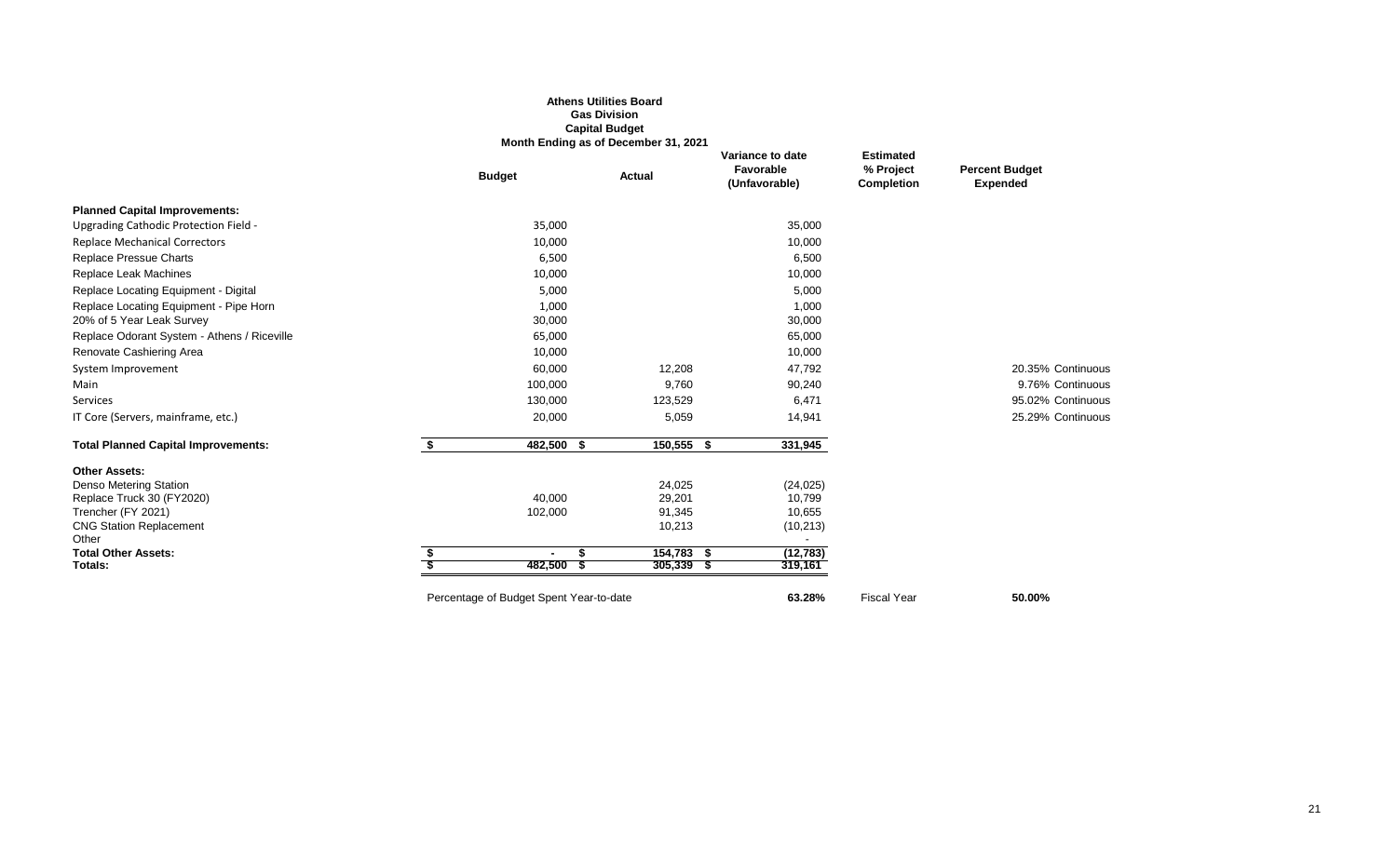|                                             |                                         | <b>Athens Utilities Board</b><br><b>Gas Division</b><br><b>Capital Budget</b><br>Month Ending as of December 31, 2021 |                                                |                                                    |                                          |
|---------------------------------------------|-----------------------------------------|-----------------------------------------------------------------------------------------------------------------------|------------------------------------------------|----------------------------------------------------|------------------------------------------|
|                                             | <b>Budget</b>                           | Actual                                                                                                                | Variance to date<br>Favorable<br>(Unfavorable) | <b>Estimated</b><br>% Project<br><b>Completion</b> | <b>Percent Budget</b><br><b>Expended</b> |
| <b>Planned Capital Improvements:</b>        |                                         |                                                                                                                       |                                                |                                                    |                                          |
| Upgrading Cathodic Protection Field -       | 35,000                                  |                                                                                                                       | 35,000                                         |                                                    |                                          |
| <b>Replace Mechanical Correctors</b>        | 10,000                                  |                                                                                                                       | 10,000                                         |                                                    |                                          |
| Replace Pressue Charts                      | 6,500                                   |                                                                                                                       | 6,500                                          |                                                    |                                          |
| Replace Leak Machines                       | 10,000                                  |                                                                                                                       | 10,000                                         |                                                    |                                          |
| Replace Locating Equipment - Digital        | 5,000                                   |                                                                                                                       | 5,000                                          |                                                    |                                          |
| Replace Locating Equipment - Pipe Horn      | 1,000                                   |                                                                                                                       | 1,000                                          |                                                    |                                          |
| 20% of 5 Year Leak Survey                   | 30,000                                  |                                                                                                                       | 30,000                                         |                                                    |                                          |
| Replace Odorant System - Athens / Riceville | 65,000                                  |                                                                                                                       | 65,000                                         |                                                    |                                          |
| Renovate Cashiering Area                    | 10,000                                  |                                                                                                                       | 10,000                                         |                                                    |                                          |
| System Improvement                          | 60,000                                  | 12,208                                                                                                                | 47,792                                         |                                                    | 20.35% Continuous                        |
| Main                                        | 100,000                                 | 9,760                                                                                                                 | 90,240                                         |                                                    | 9.76% Continuous                         |
| Services                                    | 130,000                                 | 123,529                                                                                                               | 6,471                                          |                                                    | 95.02% Continuous                        |
| IT Core (Servers, mainframe, etc.)          | 20,000                                  | 5,059                                                                                                                 | 14,941                                         |                                                    | 25.29% Continuous                        |
| <b>Total Planned Capital Improvements:</b>  | \$<br>482,500 \$                        | $150,555$ \$                                                                                                          | 331,945                                        |                                                    |                                          |
| <b>Other Assets:</b>                        |                                         |                                                                                                                       |                                                |                                                    |                                          |
| Denso Metering Station                      |                                         | 24,025                                                                                                                | (24, 025)                                      |                                                    |                                          |
| Replace Truck 30 (FY2020)                   | 40,000                                  | 29,201                                                                                                                | 10,799                                         |                                                    |                                          |
| Trencher (FY 2021)                          | 102,000                                 | 91,345                                                                                                                | 10,655                                         |                                                    |                                          |
| <b>CNG Station Replacement</b><br>Other     |                                         | 10,213                                                                                                                | (10, 213)                                      |                                                    |                                          |
| <b>Total Other Assets:</b>                  | S.<br>$\blacksquare$                    | $154,783$ \$                                                                                                          | (12, 783)                                      |                                                    |                                          |
| Totals:                                     | 482,500<br>- \$                         | $305,339$ \$                                                                                                          | 319,161                                        |                                                    |                                          |
|                                             | Percentage of Budget Spent Year-to-date |                                                                                                                       | 63.28%                                         | <b>Fiscal Year</b>                                 | 50.00%                                   |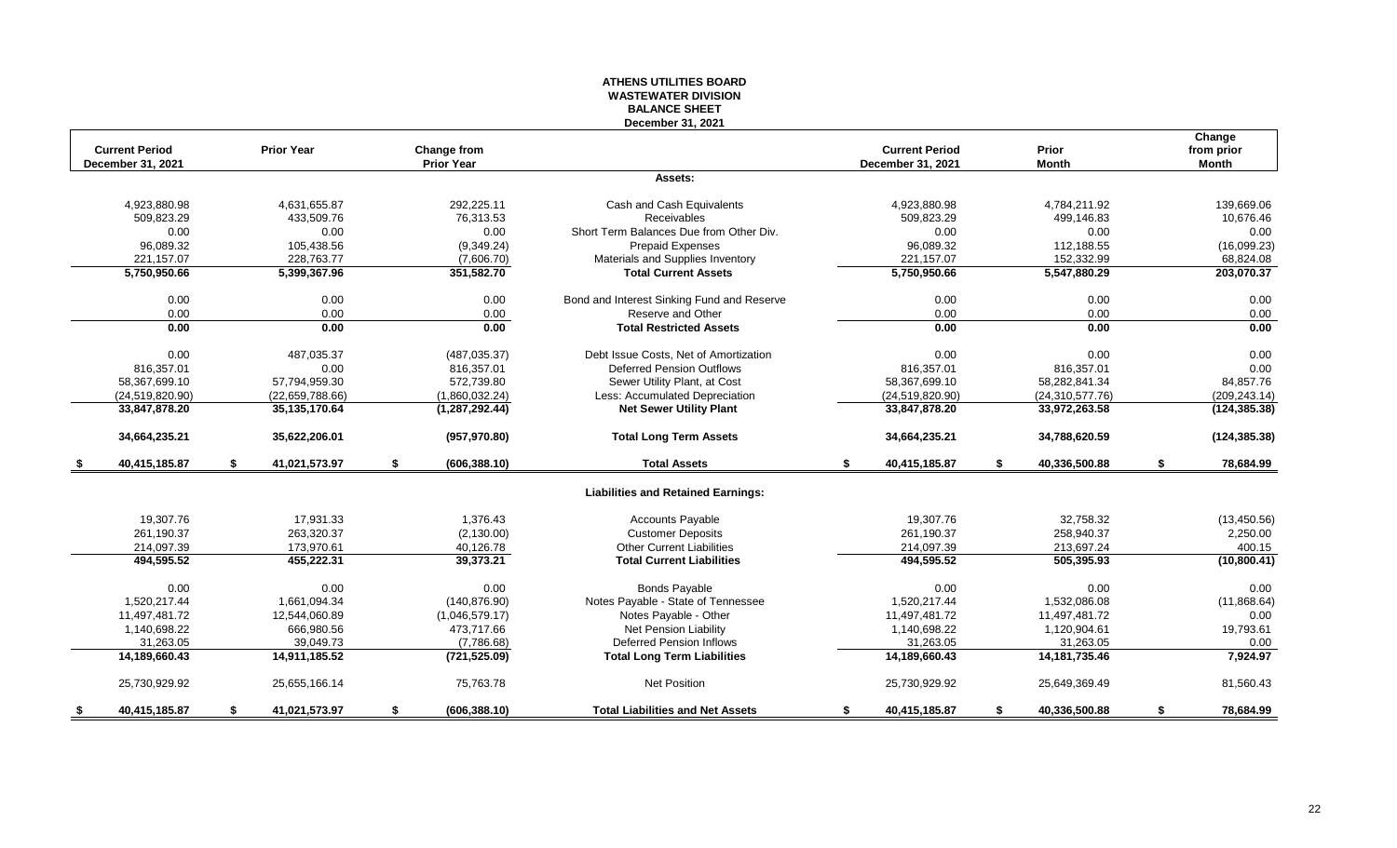#### **ATHENS UTILITIES BOARD WASTEWATER DIVISION BALANCE SHEET December 31, 2021**

| <b>Current Period</b> | <b>Prior Year</b>   | Change from         | December 31, 2021                          | <b>Current Period</b> | Prior               | Change<br>from prior |
|-----------------------|---------------------|---------------------|--------------------------------------------|-----------------------|---------------------|----------------------|
| December 31, 2021     |                     | <b>Prior Year</b>   |                                            | December 31, 2021     | <b>Month</b>        | <b>Month</b>         |
|                       |                     |                     | Assets:                                    |                       |                     |                      |
| 4,923,880.98          | 4,631,655.87        | 292,225.11          | Cash and Cash Equivalents                  | 4,923,880.98          | 4,784,211.92        | 139.669.06           |
| 509,823.29            | 433,509.76          | 76,313.53           | Receivables                                | 509,823.29            | 499.146.83          | 10.676.46            |
| 0.00                  | 0.00                | 0.00                | Short Term Balances Due from Other Div.    | 0.00                  | 0.00                | 0.00                 |
| 96,089.32             | 105,438.56          | (9,349.24)          | <b>Prepaid Expenses</b>                    | 96,089.32             | 112,188.55          | (16,099.23)          |
| 221,157.07            | 228,763.77          | (7,606.70)          | Materials and Supplies Inventory           | 221, 157.07           | 152,332.99          | 68,824.08            |
| 5,750,950.66          | 5,399,367.96        | 351,582.70          | <b>Total Current Assets</b>                | 5,750,950.66          | 5,547,880.29        | 203,070.37           |
| 0.00                  | 0.00                | 0.00                | Bond and Interest Sinking Fund and Reserve | 0.00                  | 0.00                | 0.00                 |
| 0.00                  | 0.00                | 0.00                | Reserve and Other                          | 0.00                  | 0.00                | 0.00                 |
| 0.00                  | 0.00                | 0.00                | <b>Total Restricted Assets</b>             | 0.00                  | 0.00                | 0.00                 |
| 0.00                  | 487,035.37          | (487, 035.37)       | Debt Issue Costs. Net of Amortization      | 0.00                  | 0.00                | 0.00                 |
| 816,357.01            | 0.00                | 816,357.01          | <b>Deferred Pension Outflows</b>           | 816,357.01            | 816,357.01          | 0.00                 |
| 58,367,699.10         | 57,794,959.30       | 572,739.80          | Sewer Utility Plant, at Cost               | 58,367,699.10         | 58,282,841.34       | 84,857.76            |
| (24, 519, 820.90)     | (22,659,788.66)     | (1,860,032.24)      | Less: Accumulated Depreciation             | (24, 519, 820.90)     | (24, 310, 577.76)   | (209, 243.14)        |
| 33,847,878.20         | 35,135,170.64       | (1, 287, 292.44)    | <b>Net Sewer Utility Plant</b>             | 33,847,878.20         | 33,972,263.58       | (124, 385.38)        |
| 34,664,235.21         | 35,622,206.01       | (957, 970.80)       | <b>Total Long Term Assets</b>              | 34,664,235.21         | 34,788,620.59       | (124, 385.38)        |
| 40,415,185.87         | \$<br>41,021,573.97 | \$<br>(606, 388.10) | <b>Total Assets</b>                        | 40,415,185.87<br>\$   | \$<br>40,336,500.88 | \$<br>78.684.99      |
|                       |                     |                     | <b>Liabilities and Retained Earnings:</b>  |                       |                     |                      |
| 19,307.76             | 17,931.33           | 1,376.43            | <b>Accounts Payable</b>                    | 19,307.76             | 32,758.32           | (13, 450.56)         |
| 261.190.37            | 263.320.37          | (2, 130.00)         | <b>Customer Deposits</b>                   | 261.190.37            | 258.940.37          | 2,250.00             |
| 214,097.39            | 173,970.61          | 40,126.78           | <b>Other Current Liabilities</b>           | 214,097.39            | 213,697.24          | 400.15               |
| 494,595.52            | 455,222.31          | 39,373.21           | <b>Total Current Liabilities</b>           | 494,595.52            | 505,395.93          | (10,800.41)          |
| 0.00                  | 0.00                | 0.00                | <b>Bonds Payable</b>                       | 0.00                  | 0.00                | 0.00                 |
| 1,520,217.44          | 1,661,094.34        | (140, 876.90)       | Notes Payable - State of Tennessee         | 1,520,217.44          | 1,532,086.08        | (11, 868.64)         |
| 11,497,481.72         | 12,544,060.89       | (1,046,579.17)      | Notes Payable - Other                      | 11,497,481.72         | 11,497,481.72       | 0.00                 |
| 1,140,698.22          | 666,980.56          | 473,717.66          | Net Pension Liability                      | 1,140,698.22          | 1,120,904.61        | 19,793.61            |
| 31,263.05             | 39,049.73           | (7,786.68)          | <b>Deferred Pension Inflows</b>            | 31,263.05             | 31,263.05           | 0.00                 |
| 14,189,660.43         | 14,911,185.52       | (721, 525.09)       | <b>Total Long Term Liabilities</b>         | 14,189,660.43         | 14, 181, 735. 46    | 7.924.97             |
| 25,730,929.92         | 25,655,166.14       | 75,763.78           | <b>Net Position</b>                        | 25,730,929.92         | 25,649,369.49       | 81,560.43            |
| 40,415,185.87<br>\$   | 41,021,573.97<br>\$ | \$<br>(606, 388.10) | <b>Total Liabilities and Net Assets</b>    | 40,415,185.87<br>\$   | 40,336,500.88<br>\$ | \$<br>78.684.99      |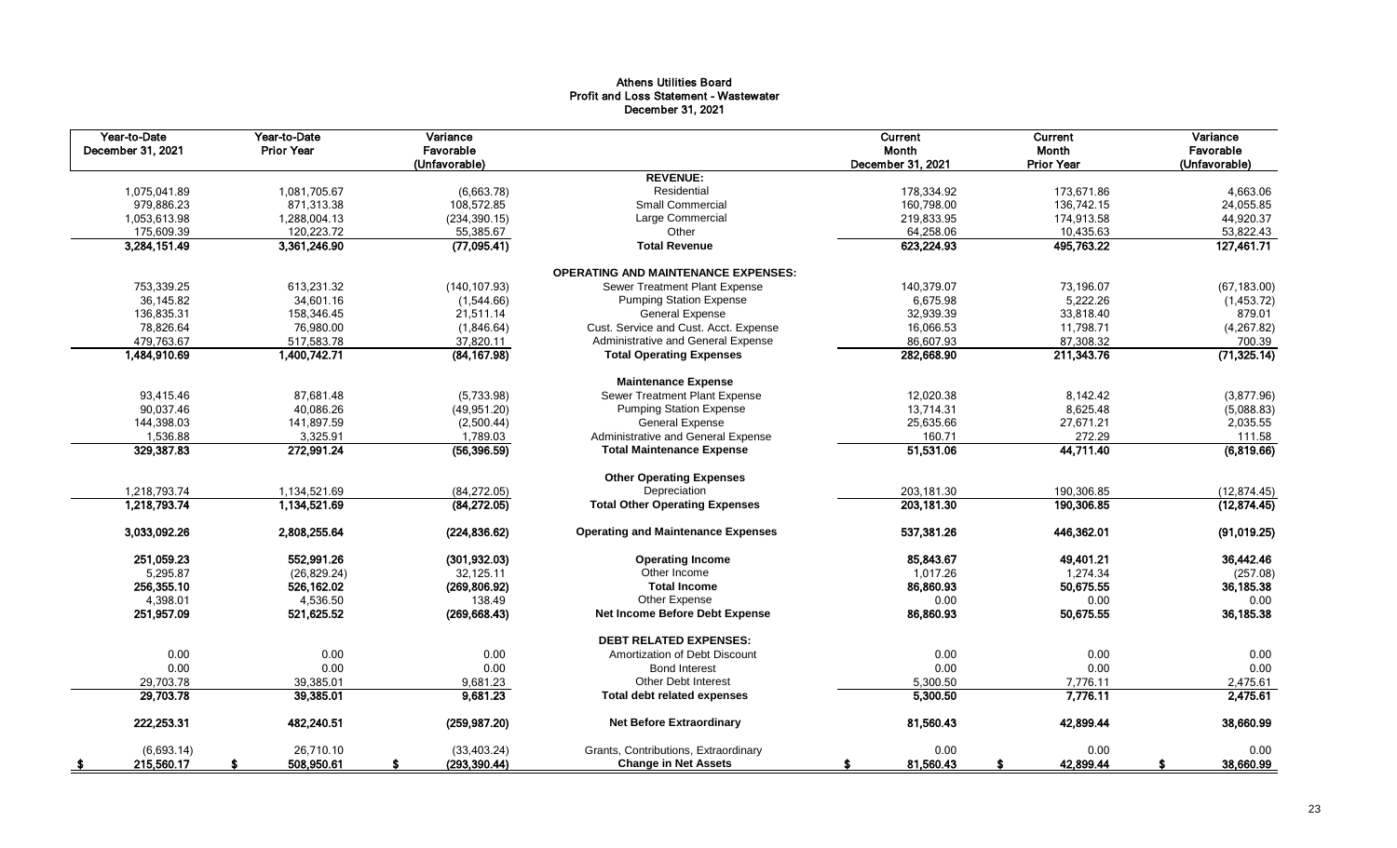## Athens Utilities Board Profit and Loss Statement - Wastewater December 31, 2021

| Year-to-Date<br>December 31, 2021 | Year-to-Date<br><b>Prior Year</b> | Variance<br>Favorable<br>(Unfavorable) |                                            | Current<br>Month<br>December 31, 2021 | Current<br>Month<br><b>Prior Year</b> | Variance<br>Favorable<br>(Unfavorable) |
|-----------------------------------|-----------------------------------|----------------------------------------|--------------------------------------------|---------------------------------------|---------------------------------------|----------------------------------------|
|                                   |                                   |                                        | <b>REVENUE:</b>                            |                                       |                                       |                                        |
| 1,075,041.89                      | 1,081,705.67                      | (6,663.78)                             | Residential                                | 178,334.92                            | 173,671.86                            | 4,663.06                               |
| 979,886.23                        | 871,313.38                        | 108,572.85                             | Small Commercial                           | 160,798.00                            | 136,742.15                            | 24,055.85                              |
| 1,053,613.98                      | 1,288,004.13                      | (234, 390.15)                          | Large Commercial                           | 219,833.95                            | 174,913.58                            | 44,920.37                              |
| 175,609.39                        | 120,223.72                        | 55,385.67                              | Other                                      | 64,258.06                             | 10,435.63                             | 53,822.43                              |
| 3,284,151.49                      | 3,361,246.90                      | (77,095.41)                            | <b>Total Revenue</b>                       | 623,224.93                            | 495,763.22                            | 127,461.71                             |
|                                   |                                   |                                        | <b>OPERATING AND MAINTENANCE EXPENSES:</b> |                                       |                                       |                                        |
| 753,339.25                        | 613,231.32                        | (140, 107.93)                          | Sewer Treatment Plant Expense              | 140,379.07                            | 73,196.07                             | (67, 183.00)                           |
| 36.145.82                         | 34.601.16                         | (1,544.66)                             | <b>Pumping Station Expense</b>             | 6,675.98                              | 5,222.26                              | (1,453.72)                             |
| 136,835.31                        | 158,346.45                        | 21,511.14                              | <b>General Expense</b>                     | 32,939.39                             | 33,818.40                             | 879.01                                 |
| 78,826.64                         | 76,980.00                         | (1,846.64)                             | Cust. Service and Cust. Acct. Expense      | 16,066.53                             | 11,798.71                             | (4, 267.82)                            |
| 479,763.67                        | 517,583.78                        | 37,820.11                              | Administrative and General Expense         | 86,607.93                             | 87,308.32                             | 700.39                                 |
| 1,484,910.69                      | 1,400,742.71                      | (84, 167.98)                           | <b>Total Operating Expenses</b>            | 282,668.90                            | 211,343.76                            | (71, 325.14)                           |
|                                   |                                   |                                        | <b>Maintenance Expense</b>                 |                                       |                                       |                                        |
| 93,415.46                         | 87,681.48                         | (5,733.98)                             | Sewer Treatment Plant Expense              | 12,020.38                             | 8,142.42                              | (3,877.96)                             |
| 90,037.46                         | 40,086.26                         | (49, 951.20)                           | <b>Pumping Station Expense</b>             | 13,714.31                             | 8,625.48                              | (5,088.83)                             |
| 144,398.03                        | 141,897.59                        | (2,500.44)                             | <b>General Expense</b>                     | 25,635.66                             | 27,671.21                             | 2,035.55                               |
| 1,536.88                          | 3,325.91                          | 1,789.03                               | Administrative and General Expense         | 160.71                                | 272.29                                | 111.58                                 |
| 329,387.83                        | 272,991.24                        | (56, 396.59)                           | <b>Total Maintenance Expense</b>           | 51,531.06                             | 44,711.40                             | (6,819.66)                             |
|                                   |                                   |                                        | <b>Other Operating Expenses</b>            |                                       |                                       |                                        |
| 1,218,793.74                      | 1,134,521.69                      | (84, 272.05)                           | Depreciation                               | 203,181.30                            | 190,306.85                            | (12, 874.45)                           |
| 1,218,793.74                      | 1,134,521.69                      | (84, 272.05)                           | <b>Total Other Operating Expenses</b>      | 203, 181.30                           | 190,306.85                            | (12, 874.45)                           |
| 3.033.092.26                      | 2,808,255.64                      | (224.836.62)                           | <b>Operating and Maintenance Expenses</b>  | 537,381.26                            | 446,362.01                            | (91,019.25)                            |
| 251,059.23                        | 552,991.26                        | (301, 932.03)                          | <b>Operating Income</b>                    | 85,843.67                             | 49.401.21                             | 36,442.46                              |
| 5,295.87                          | (26, 829.24)                      | 32,125.11                              | Other Income                               | 1.017.26                              | 1.274.34                              | (257.08)                               |
| 256,355.10                        | 526,162.02                        | (269, 806.92)                          | <b>Total Income</b>                        | 86,860.93                             | 50,675.55                             | 36,185.38                              |
| 4,398.01                          | 4,536.50                          | 138.49                                 | Other Expense                              | 0.00                                  | 0.00                                  | 0.00                                   |
| 251,957.09                        | 521,625.52                        | (269, 668.43)                          | Net Income Before Debt Expense             | 86,860.93                             | 50,675.55                             | 36,185.38                              |
|                                   |                                   |                                        | <b>DEBT RELATED EXPENSES:</b>              |                                       |                                       |                                        |
| 0.00                              | 0.00                              | 0.00                                   | Amortization of Debt Discount              | 0.00                                  | 0.00                                  | 0.00                                   |
| 0.00                              | 0.00                              | 0.00                                   | <b>Bond Interest</b>                       | 0.00                                  | 0.00                                  | 0.00                                   |
| 29,703.78                         | 39,385.01                         | 9,681.23                               | <b>Other Debt Interest</b>                 | 5,300.50                              | 7,776.11                              | 2,475.61                               |
| 29,703.78                         | 39,385.01                         | 9,681.23                               | <b>Total debt related expenses</b>         | 5,300.50                              | 7,776.11                              | 2,475.61                               |
| 222.253.31                        | 482.240.51                        | (259, 987.20)                          | <b>Net Before Extraordinary</b>            | 81,560.43                             | 42.899.44                             | 38,660.99                              |
| (6,693.14)                        | 26,710.10                         | (33, 403.24)                           | Grants, Contributions, Extraordinary       | 0.00                                  | 0.00                                  | 0.00                                   |
| 215,560.17<br>- \$                | 508,950.61<br>S                   | (293, 390.44)<br>S                     | <b>Change in Net Assets</b>                | 81,560.43<br>S                        | 42,899.44<br>\$                       | 38,660.99<br>S                         |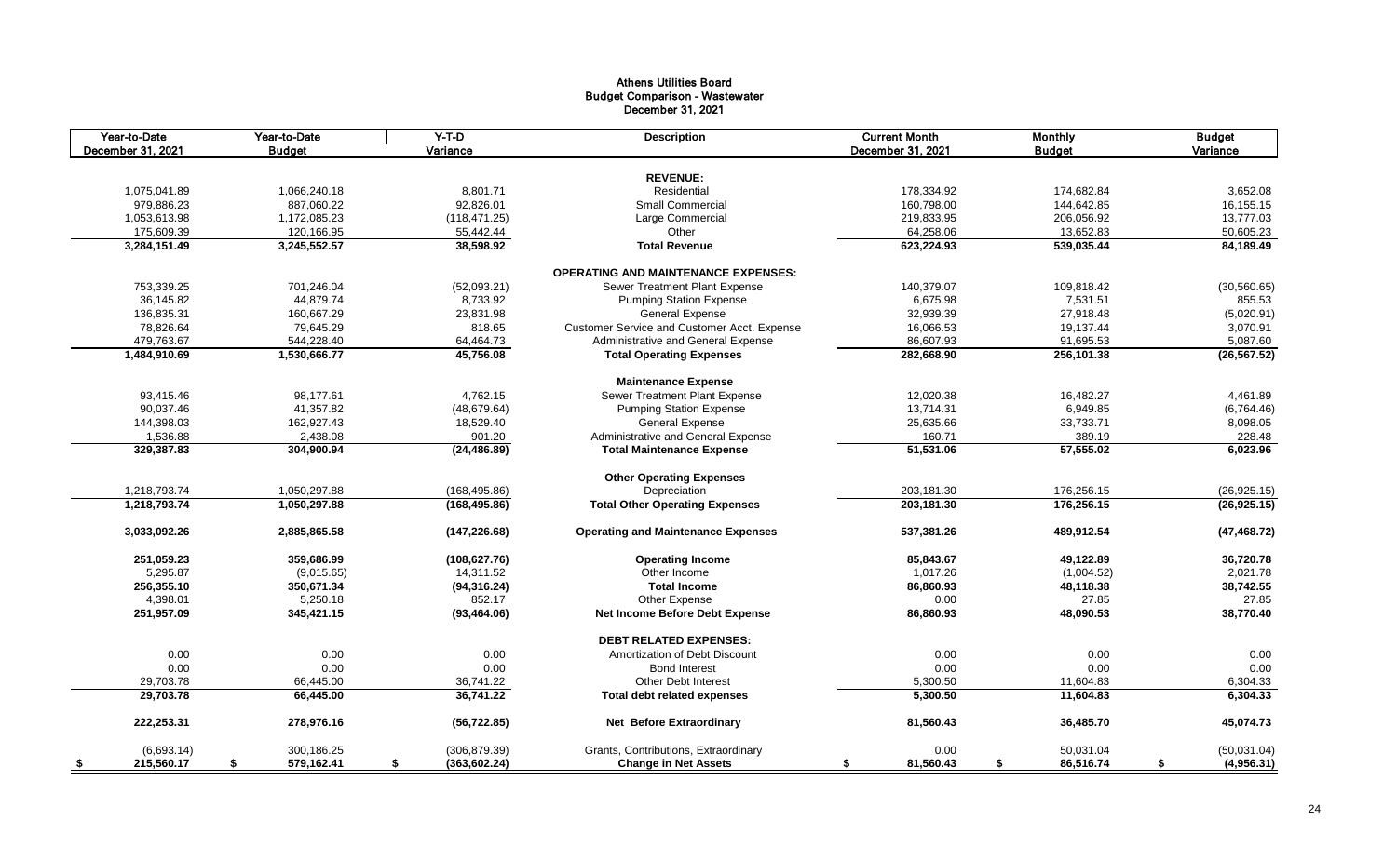## Athens Utilities Board Budget Comparison - Wastewater December 31, 2021

| Year-to-Date<br>December 31, 2021 | Year-to-Date<br><b>Budget</b> | $Y-T-D$<br>Variance | <b>Description</b>                          | <b>Current Month</b><br>December 31, 2021 | <b>Monthly</b><br><b>Budget</b> | <b>Budget</b><br>Variance |
|-----------------------------------|-------------------------------|---------------------|---------------------------------------------|-------------------------------------------|---------------------------------|---------------------------|
|                                   |                               |                     |                                             |                                           |                                 |                           |
|                                   |                               |                     | <b>REVENUE:</b>                             |                                           |                                 |                           |
| 1,075,041.89                      | 1,066,240.18                  | 8.801.71            | Residential                                 | 178.334.92                                | 174.682.84                      | 3,652.08                  |
| 979,886.23                        | 887,060.22                    | 92,826.01           | <b>Small Commercial</b>                     | 160,798.00                                | 144,642.85                      | 16, 155. 15               |
| 1,053,613.98                      | 1,172,085.23                  | (118, 471.25)       | Large Commercial                            | 219,833.95                                | 206,056.92                      | 13,777.03                 |
| 175,609.39                        | 120,166.95                    | 55,442.44           | Other                                       | 64,258.06                                 | 13,652.83                       | 50,605.23                 |
| 3,284,151.49                      | 3,245,552.57                  | 38,598.92           | <b>Total Revenue</b>                        | 623,224.93                                | 539,035.44                      | 84,189.49                 |
|                                   |                               |                     | <b>OPERATING AND MAINTENANCE EXPENSES:</b>  |                                           |                                 |                           |
| 753,339.25                        | 701,246.04                    | (52,093.21)         | Sewer Treatment Plant Expense               | 140,379.07                                | 109,818.42                      | (30, 560.65)              |
| 36,145.82                         | 44.879.74                     | 8,733.92            | <b>Pumping Station Expense</b>              | 6,675.98                                  | 7,531.51                        | 855.53                    |
| 136,835.31                        | 160,667.29                    | 23,831.98           | <b>General Expense</b>                      | 32,939.39                                 | 27,918.48                       | (5,020.91)                |
| 78,826.64                         | 79,645.29                     | 818.65              | Customer Service and Customer Acct. Expense | 16,066.53                                 | 19,137.44                       | 3,070.91                  |
| 479,763.67                        | 544,228.40                    | 64,464.73           | Administrative and General Expense          | 86,607.93                                 | 91,695.53                       | 5,087.60                  |
| 1,484,910.69                      | 1,530,666.77                  | 45,756.08           | <b>Total Operating Expenses</b>             | 282,668.90                                | 256,101.38                      | (26, 567.52)              |
|                                   |                               |                     | <b>Maintenance Expense</b>                  |                                           |                                 |                           |
| 93,415.46                         | 98,177.61                     | 4,762.15            | Sewer Treatment Plant Expense               | 12,020.38                                 | 16,482.27                       | 4,461.89                  |
| 90,037.46                         | 41,357.82                     | (48, 679.64)        | <b>Pumping Station Expense</b>              | 13,714.31                                 | 6,949.85                        | (6,764.46)                |
| 144,398.03                        | 162,927.43                    | 18,529.40           | <b>General Expense</b>                      | 25,635.66                                 | 33,733.71                       | 8,098.05                  |
| 1,536.88                          | 2,438.08                      | 901.20              | Administrative and General Expense          | 160.71                                    | 389.19                          | 228.48                    |
| 329,387.83                        | 304,900.94                    | (24, 486.89)        | <b>Total Maintenance Expense</b>            | 51,531.06                                 | 57,555.02                       | 6,023.96                  |
|                                   |                               |                     | <b>Other Operating Expenses</b>             |                                           |                                 |                           |
| 1,218,793.74                      | 1,050,297.88                  | (168, 495.86)       | Depreciation                                | 203,181.30                                | 176,256.15                      | (26, 925.15)              |
| 1,218,793.74                      | 1,050,297.88                  | (168, 495.86)       | <b>Total Other Operating Expenses</b>       | 203,181.30                                | 176,256.15                      | (26, 925.15)              |
| 3,033,092.26                      | 2,885,865.58                  | (147, 226.68)       | <b>Operating and Maintenance Expenses</b>   | 537,381.26                                | 489,912.54                      | (47, 468.72)              |
|                                   |                               |                     |                                             |                                           |                                 |                           |
| 251,059.23                        | 359,686.99                    | (108, 627.76)       | <b>Operating Income</b>                     | 85,843.67                                 | 49,122.89                       | 36,720.78                 |
| 5,295.87                          | (9,015.65)                    | 14,311.52           | Other Income                                | 1,017.26                                  | (1,004.52)                      | 2,021.78                  |
| 256,355.10                        | 350,671.34                    | (94, 316.24)        | <b>Total Income</b>                         | 86.860.93                                 | 48,118.38                       | 38,742.55                 |
| 4,398.01                          | 5,250.18                      | 852.17              | Other Expense                               | 0.00                                      | 27.85                           | 27.85                     |
| 251,957.09                        | 345,421.15                    | (93, 464.06)        | Net Income Before Debt Expense              | 86,860.93                                 | 48,090.53                       | 38,770.40                 |
|                                   |                               |                     | <b>DEBT RELATED EXPENSES:</b>               |                                           |                                 |                           |
| 0.00                              | 0.00                          | 0.00                | Amortization of Debt Discount               | 0.00                                      | 0.00                            | 0.00                      |
| 0.00                              | 0.00                          | 0.00                | <b>Bond Interest</b>                        | 0.00                                      | 0.00                            | 0.00                      |
| 29,703.78                         | 66,445.00                     | 36,741.22           | <b>Other Debt Interest</b>                  | 5,300.50                                  | 11,604.83                       | 6,304.33                  |
| 29,703.78                         | 66,445.00                     | 36,741.22           | <b>Total debt related expenses</b>          | 5,300.50                                  | 11,604.83                       | 6,304.33                  |
| 222,253.31                        | 278,976.16                    | (56, 722.85)        | <b>Net Before Extraordinary</b>             | 81,560.43                                 | 36,485.70                       | 45,074.73                 |
| (6,693.14)                        | 300.186.25                    | (306, 879.39)       | Grants, Contributions, Extraordinary        | 0.00                                      | 50,031.04                       | (50,031.04)               |
| 215,560.17<br>- \$                | 579,162.41<br>S               | (363, 602.24)<br>\$ | <b>Change in Net Assets</b>                 | 81,560.43<br>\$                           | 86,516.74<br>\$                 | (4,956.31)<br>S           |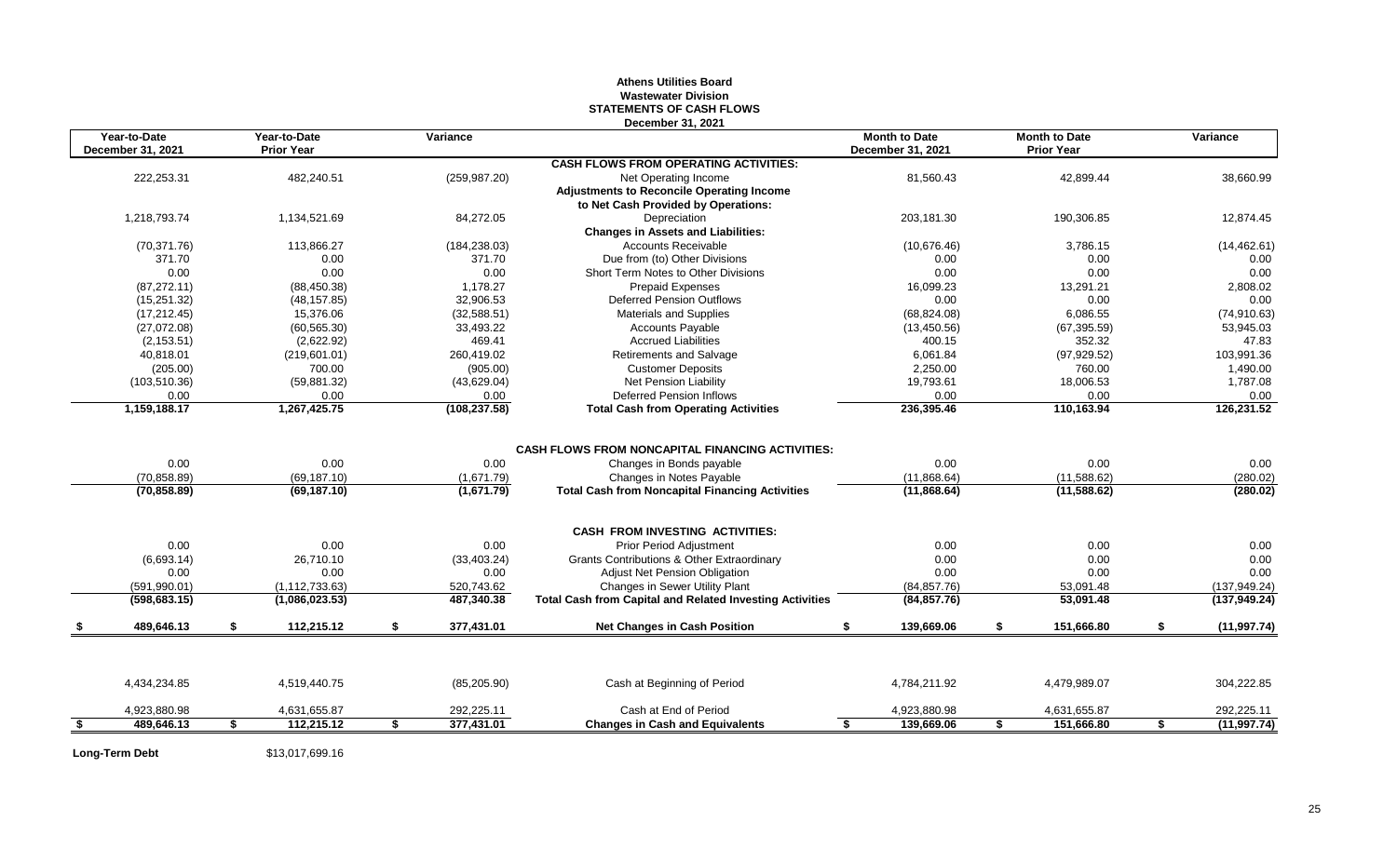### **Athens Utilities Board Wastewater Division STATEMENTS OF CASH FLOWS December 31, 2021**

|      | Year-to-Date<br>Year-to-Date<br>Variance<br><b>Prior Year</b><br>December 31, 2021 |    | PCCCIIIDCI JI. ZUZI | <b>Month to Date</b><br>December 31, 2021 | <b>Month to Date</b><br><b>Prior Year</b>                       |                                       | Variance |              |                    |
|------|------------------------------------------------------------------------------------|----|---------------------|-------------------------------------------|-----------------------------------------------------------------|---------------------------------------|----------|--------------|--------------------|
|      |                                                                                    |    |                     |                                           | <b>CASH FLOWS FROM OPERATING ACTIVITIES:</b>                    |                                       |          |              |                    |
|      | 222,253.31                                                                         |    | 482,240.51          | (259, 987.20)                             | Net Operating Income                                            | 81,560.43                             |          | 42,899.44    | 38,660.99          |
|      |                                                                                    |    |                     |                                           | <b>Adjustments to Reconcile Operating Income</b>                |                                       |          |              |                    |
|      |                                                                                    |    |                     |                                           | to Net Cash Provided by Operations:                             |                                       |          |              |                    |
|      | 1,218,793.74                                                                       |    | 1,134,521.69        | 84,272.05                                 | Depreciation                                                    | 203,181.30                            |          | 190,306.85   | 12,874.45          |
|      |                                                                                    |    |                     |                                           | <b>Changes in Assets and Liabilities:</b>                       |                                       |          |              |                    |
|      | (70, 371.76)                                                                       |    | 113,866.27          | (184, 238.03)                             | <b>Accounts Receivable</b>                                      | (10,676.46)                           |          | 3,786.15     | (14, 462.61)       |
|      | 371.70                                                                             |    | 0.00                | 371.70                                    | Due from (to) Other Divisions                                   | 0.00                                  |          | 0.00         | 0.00               |
|      | 0.00                                                                               |    | 0.00                | 0.00                                      | Short Term Notes to Other Divisions                             | 0.00                                  |          | 0.00         | 0.00               |
|      | (87, 272.11)                                                                       |    | (88, 450.38)        | 1.178.27                                  | <b>Prepaid Expenses</b>                                         | 16.099.23                             |          | 13.291.21    | 2,808.02           |
|      | (15, 251.32)                                                                       |    | (48, 157.85)        | 32,906.53                                 | <b>Deferred Pension Outflows</b>                                | 0.00                                  |          | 0.00         | 0.00               |
|      | (17, 212.45)                                                                       |    | 15,376.06           | (32, 588.51)                              | Materials and Supplies                                          | (68, 824.08)                          |          | 6,086.55     | (74, 910.63)       |
|      | (27,072.08)                                                                        |    | (60, 565.30)        | 33,493.22                                 | <b>Accounts Payable</b>                                         | (13, 450.56)                          |          | (67, 395.59) | 53.945.03          |
|      | (2, 153.51)                                                                        |    | (2,622.92)          | 469.41                                    | <b>Accrued Liabilities</b>                                      | 400.15                                |          | 352.32       | 47.83              |
|      | 40,818.01                                                                          |    | (219, 601.01)       | 260,419.02                                | <b>Retirements and Salvage</b>                                  | 6,061.84                              |          | (97, 929.52) | 103,991.36         |
|      | (205.00)                                                                           |    | 700.00              | (905.00)                                  | <b>Customer Deposits</b>                                        | 2,250.00                              |          | 760.00       | 1,490.00           |
|      | (103, 510.36)                                                                      |    | (59, 881.32)        | (43,629.04)                               | Net Pension Liability                                           | 19,793.61                             |          | 18,006.53    | 1,787.08           |
|      | 0.00                                                                               |    | 0.00                | 0.00                                      | <b>Deferred Pension Inflows</b>                                 | 0.00                                  |          | 0.00         | 0.00               |
|      | 1,159,188.17                                                                       |    | 1,267,425.75        | (108, 237.58)                             | <b>Total Cash from Operating Activities</b>                     | 236,395.46                            |          | 110,163.94   | 126,231.52         |
|      |                                                                                    |    |                     |                                           |                                                                 |                                       |          |              |                    |
|      |                                                                                    |    |                     |                                           | <b>CASH FLOWS FROM NONCAPITAL FINANCING ACTIVITIES:</b>         |                                       |          |              |                    |
|      | 0.00                                                                               |    | 0.00                | 0.00                                      | Changes in Bonds payable                                        | 0.00                                  |          | 0.00         | 0.00               |
|      | (70, 858.89)                                                                       |    | (69, 187, 10)       | (1,671.79)                                | Changes in Notes Payable                                        | (11,868.64)                           |          | (11,588.62)  | (280.02)           |
|      | (70, 858.89)                                                                       |    | (69, 187.10)        | (1,671.79)                                | <b>Total Cash from Noncapital Financing Activities</b>          | (11,868.64)                           |          | (11, 588.62) | (280.02)           |
|      |                                                                                    |    |                     |                                           | <b>CASH FROM INVESTING ACTIVITIES:</b>                          |                                       |          |              |                    |
|      | 0.00                                                                               |    | 0.00                | 0.00                                      | <b>Prior Period Adjustment</b>                                  | 0.00                                  |          | 0.00         | 0.00               |
|      | (6,693.14)                                                                         |    | 26,710.10           | (33, 403.24)                              | <b>Grants Contributions &amp; Other Extraordinary</b>           | 0.00                                  |          | 0.00         | 0.00               |
|      | 0.00                                                                               |    | 0.00                | 0.00                                      | Adjust Net Pension Obligation                                   | 0.00                                  |          | 0.00         | 0.00               |
|      | (591.990.01)                                                                       |    | (1.112.733.63)      | 520,743.62                                | Changes in Sewer Utility Plant                                  | (84, 857.76)                          |          | 53,091.48    | (137, 949.24)      |
|      | (598, 683.15)                                                                      |    | (1,086,023.53)      | 487,340.38                                | <b>Total Cash from Capital and Related Investing Activities</b> | (84, 857.76)                          |          | 53,091.48    | (137, 949.24)      |
|      | 489,646.13                                                                         | \$ | 112,215.12          | \$<br>377,431.01                          | <b>Net Changes in Cash Position</b>                             | 139,669.06                            | \$       | 151,666.80   | (11, 997.74)       |
|      |                                                                                    |    |                     |                                           |                                                                 |                                       |          |              |                    |
|      | 4,434,234.85                                                                       |    | 4,519,440.75        | (85, 205.90)                              | Cash at Beginning of Period                                     | 4,784,211.92                          |          | 4,479,989.07 | 304,222.85         |
|      | 4,923,880.98                                                                       |    | 4,631,655.87        | 292,225.11                                | Cash at End of Period                                           | 4,923,880.98                          |          | 4,631,655.87 | 292,225.11         |
| - \$ | 489.646.13                                                                         | \$ | 112,215.12          | \$<br>377,431.01                          | <b>Changes in Cash and Equivalents</b>                          | $\overline{\mathbf{s}}$<br>139,669.06 | Ŝ.       | 151.666.80   | \$<br>(11, 997.74) |

**Long-Term Debt** \$13,017,699.16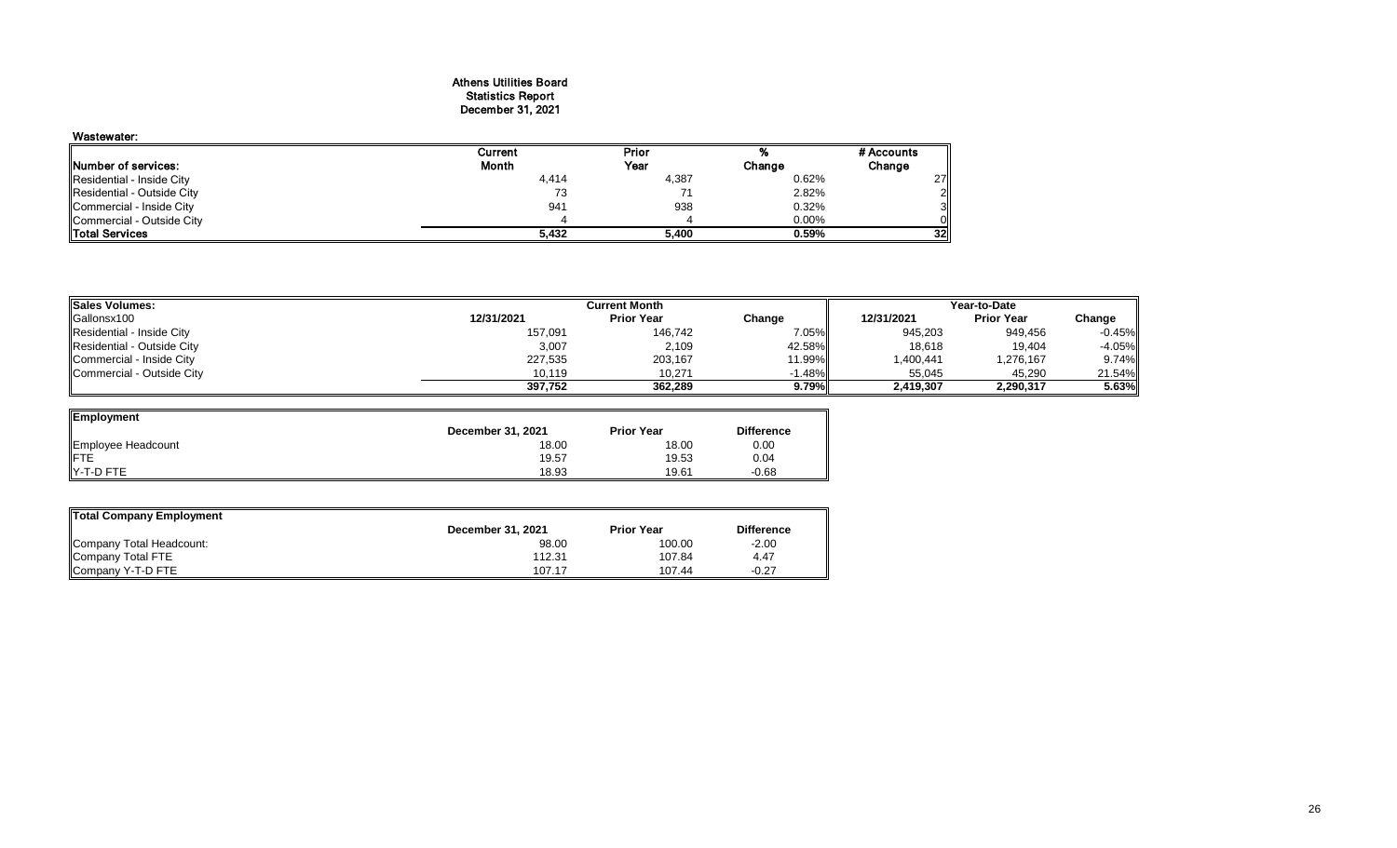#### Athens Utilities Board Statistics Report December 31, 2021

## Wastewater:

| wasiewalei.                 |         |       |          |                 |
|-----------------------------|---------|-------|----------|-----------------|
|                             | Current | Prior |          | # Accounts      |
| <b>INumber of services:</b> | Month   | Year  | Change   | Change          |
| Residential - Inside City   | 4,414   | 4,387 | 0.62%    | 27 I            |
| Residential - Outside City  |         |       | 2.82%    |                 |
| Commercial - Inside City    | 941     | 938   | 0.32%    | 3ІІ             |
| Commercial - Outside City   |         |       | $0.00\%$ |                 |
| <b>Total Services</b>       | 5.432   | 5,400 | 0.59%    | 32 <sub>1</sub> |

| <b>ISales Volumes:</b>     |            | <b>Current Month</b> | Year-to-Date |            |                   |           |
|----------------------------|------------|----------------------|--------------|------------|-------------------|-----------|
| Gallonsx100                | 12/31/2021 | <b>Prior Year</b>    | Change       | 12/31/2021 | <b>Prior Year</b> | Change    |
| Residential - Inside City  | 157,091    | 146.742              | $7.05\%$     | 945,203    | 949.456           | $-0.45\%$ |
| Residential - Outside City | 3,007      | 2,109                | 42.58%       | 18,618     | 19.404            | $-4.05%$  |
| Commercial - Inside City   | 227,535    | 203,167              | 11.99%       | .400,441   | 1,276,167         | 9.74%     |
| Commercial - Outside City  | 10.119     | 10,271               | $-1.48%$     | 55.045     | 45.290            | 21.54%    |
|                            | 397.752    | 362.289              | 9.79%        | 2,419,307  | 2,290,317         | 5.63%     |

| Employment         |                          |                   |                   |
|--------------------|--------------------------|-------------------|-------------------|
|                    | <b>December 31, 2021</b> | <b>Prior Year</b> | <b>Difference</b> |
| Employee Headcount | 18.00                    | 18.00             | 0.00              |
| <b>IFTE</b>        | 19.57                    | 19.53             | 0.04              |
| IY-T-D FTE         | 18.93                    | 19.61             | $-0.68$           |

| Total Company Employment |                   |                   |                   |
|--------------------------|-------------------|-------------------|-------------------|
|                          | December 31, 2021 | <b>Prior Year</b> | <b>Difference</b> |
| Company Total Headcount: | 98.00             | 100.00            | $-2.00$           |
| Company Total FTE        | 112.31            | 107.84            | 4.47              |
| Company Y-T-D FTE        | 107.17            | 107.44            | $-0.27$           |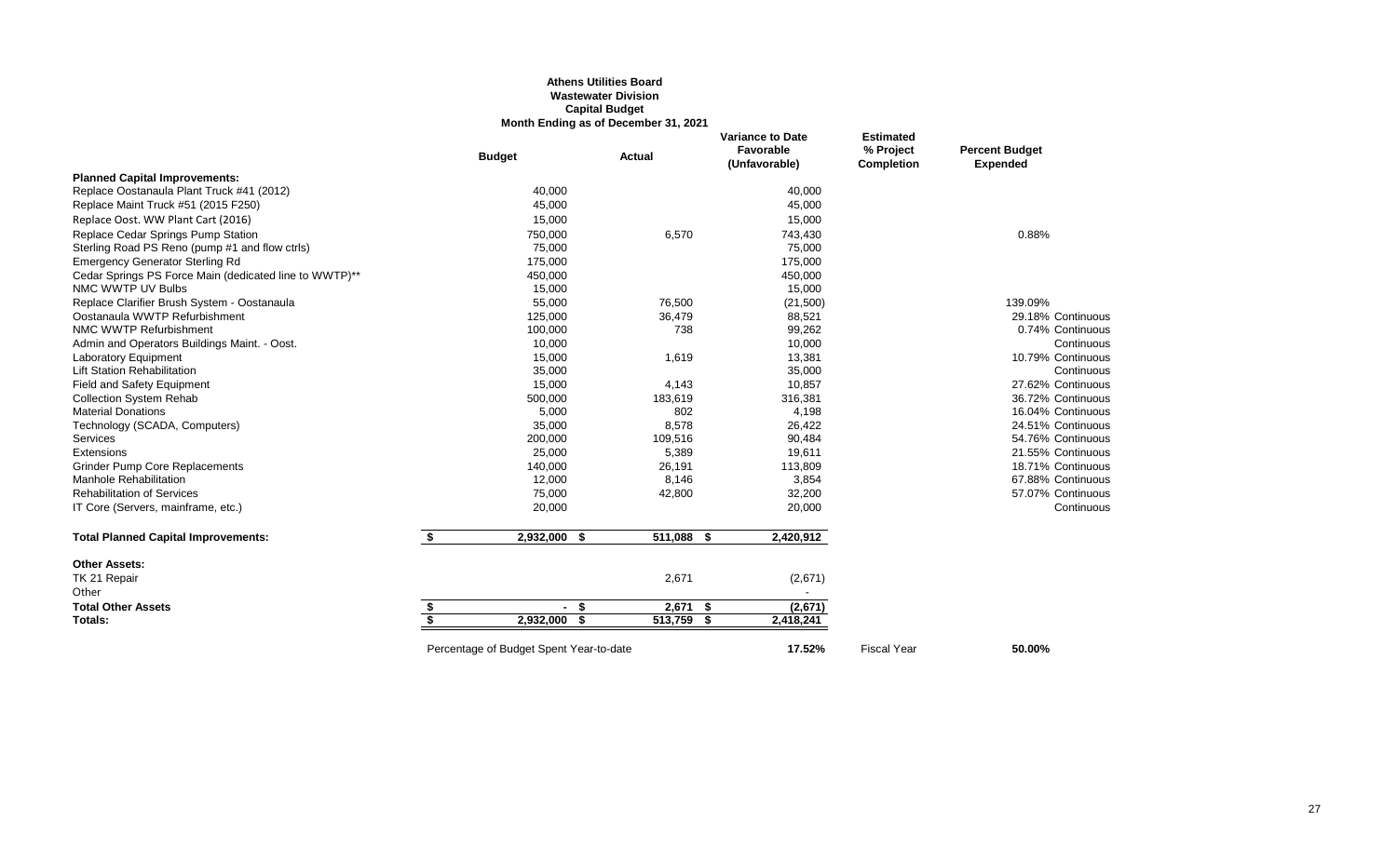### **Athens Utilities Board Wastewater Division Capital Budget Month Ending as of December 31, 2021**

|                                                        |                         | <b>Budget</b>                           | Actual     | Favorable<br>(Unfavorable) | % Project<br>Completion | <b>Percent Budget</b><br><b>Expended</b> |
|--------------------------------------------------------|-------------------------|-----------------------------------------|------------|----------------------------|-------------------------|------------------------------------------|
| <b>Planned Capital Improvements:</b>                   |                         |                                         |            |                            |                         |                                          |
| Replace Oostanaula Plant Truck #41 (2012)              |                         | 40,000                                  |            | 40,000                     |                         |                                          |
| Replace Maint Truck #51 (2015 F250)                    |                         | 45,000                                  |            | 45,000                     |                         |                                          |
| Replace Oost. WW Plant Cart (2016)                     |                         | 15,000                                  |            | 15,000                     |                         |                                          |
| Replace Cedar Springs Pump Station                     |                         | 750,000                                 | 6,570      | 743,430                    |                         | 0.88%                                    |
| Sterling Road PS Reno (pump #1 and flow ctrls)         |                         | 75,000                                  |            | 75,000                     |                         |                                          |
| <b>Emergency Generator Sterling Rd</b>                 |                         | 175,000                                 |            | 175,000                    |                         |                                          |
| Cedar Springs PS Force Main (dedicated line to WWTP)** |                         | 450,000                                 |            | 450,000                    |                         |                                          |
| NMC WWTP UV Bulbs                                      |                         | 15,000                                  |            | 15,000                     |                         |                                          |
| Replace Clarifier Brush System - Oostanaula            |                         | 55,000                                  | 76,500     | (21,500)                   |                         | 139.09%                                  |
| Oostanaula WWTP Refurbishment                          |                         | 125,000                                 | 36,479     | 88,521                     |                         | 29.18% Continuous                        |
| NMC WWTP Refurbishment                                 |                         | 100,000                                 | 738        | 99,262                     |                         | 0.74% Continuous                         |
| Admin and Operators Buildings Maint. - Oost.           |                         | 10,000                                  |            | 10,000                     |                         | Continuous                               |
| <b>Laboratory Equipment</b>                            |                         | 15,000                                  | 1,619      | 13,381                     |                         | 10.79% Continuous                        |
| <b>Lift Station Rehabilitation</b>                     |                         | 35,000                                  |            | 35,000                     |                         | Continuous                               |
| Field and Safety Equipment                             |                         | 15,000                                  | 4,143      | 10,857                     |                         | 27.62% Continuous                        |
| <b>Collection System Rehab</b>                         |                         | 500,000                                 | 183,619    | 316,381                    |                         | 36.72% Continuous                        |
| <b>Material Donations</b>                              |                         | 5,000                                   | 802        | 4,198                      |                         | 16.04% Continuous                        |
| Technology (SCADA, Computers)                          |                         | 35,000                                  | 8,578      | 26,422                     |                         | 24.51% Continuous                        |
| Services                                               |                         | 200,000                                 | 109,516    | 90,484                     |                         | 54.76% Continuous                        |
| Extensions                                             |                         | 25,000                                  | 5,389      | 19,611                     |                         | 21.55% Continuous                        |
| <b>Grinder Pump Core Replacements</b>                  |                         | 140,000                                 | 26,191     | 113,809                    |                         | 18.71% Continuous                        |
| Manhole Rehabilitation                                 |                         | 12,000                                  | 8,146      | 3,854                      |                         | 67.88% Continuous                        |
| <b>Rehabilitation of Services</b>                      |                         | 75,000                                  | 42,800     | 32,200                     |                         | 57.07% Continuous                        |
| IT Core (Servers, mainframe, etc.)                     |                         | 20,000                                  |            | 20,000                     |                         | Continuous                               |
| <b>Total Planned Capital Improvements:</b>             | \$                      | 2,932,000 \$                            | 511,088 \$ | 2,420,912                  |                         |                                          |
| <b>Other Assets:</b>                                   |                         |                                         |            |                            |                         |                                          |
| TK 21 Repair                                           |                         |                                         | 2,671      | (2,671)                    |                         |                                          |
| Other                                                  |                         |                                         |            |                            |                         |                                          |
| <b>Total Other Assets</b>                              | \$                      | - \$                                    | $2,671$ \$ | (2,671)                    |                         |                                          |
| <b>Totals:</b>                                         | $\overline{\mathbf{s}}$ | 2.932.000 \$                            | 513,759 \$ | 2,418,241                  |                         |                                          |
|                                                        |                         | Percentage of Budget Spent Year-to-date |            | 17.52%                     | <b>Fiscal Year</b>      | 50.00%                                   |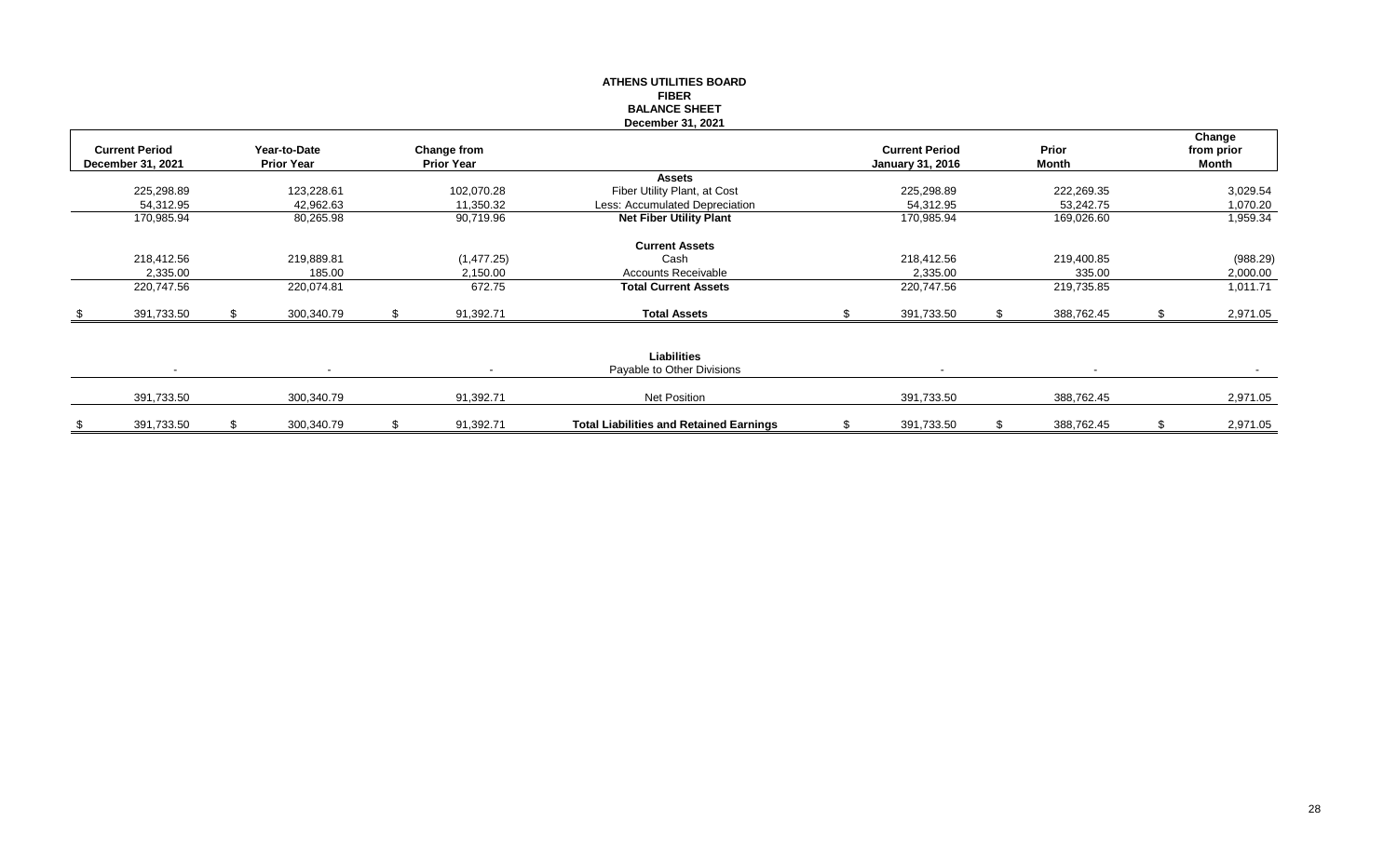|                                            |                                   |                                  | <b>ATHENS UTILITIES BOARD</b>                    |                                                  |     |                |                               |
|--------------------------------------------|-----------------------------------|----------------------------------|--------------------------------------------------|--------------------------------------------------|-----|----------------|-------------------------------|
|                                            |                                   |                                  | <b>FIBER</b>                                     |                                                  |     |                |                               |
|                                            |                                   |                                  | <b>BALANCE SHEET</b>                             |                                                  |     |                |                               |
|                                            |                                   |                                  | December 31, 2021                                |                                                  |     |                |                               |
| <b>Current Period</b><br>December 31, 2021 | Year-to-Date<br><b>Prior Year</b> | Change from<br><b>Prior Year</b> |                                                  | <b>Current Period</b><br><b>January 31, 2016</b> |     | Prior<br>Month | Change<br>from prior<br>Month |
|                                            |                                   |                                  | <b>Assets</b>                                    |                                                  |     |                |                               |
| 225,298.89                                 | 123,228.61                        | 102,070.28                       | Fiber Utility Plant, at Cost                     | 225,298.89                                       |     | 222,269.35     | 3,029.54                      |
| 54,312.95                                  | 42,962.63                         | 11,350.32                        | Less: Accumulated Depreciation                   | 54,312.95                                        |     | 53,242.75      | 1,070.20                      |
| 170,985.94                                 | 80,265.98                         | 90,719.96                        | <b>Net Fiber Utility Plant</b>                   | 170,985.94                                       |     | 169,026.60     | 1,959.34                      |
|                                            |                                   |                                  | <b>Current Assets</b>                            |                                                  |     |                |                               |
| 218,412.56                                 | 219,889.81                        | (1,477.25)                       | Cash                                             | 218,412.56                                       |     | 219,400.85     | (988.29)                      |
| 2,335.00                                   | 185.00                            | 2,150.00                         | <b>Accounts Receivable</b>                       | 2,335.00                                         |     | 335.00         | 2,000.00                      |
| 220,747.56                                 | 220,074.81                        | 672.75                           | <b>Total Current Assets</b>                      | 220,747.56                                       |     | 219,735.85     | 1,011.71                      |
| 391,733.50                                 | 300,340.79                        | 91,392.71                        | <b>Total Assets</b>                              | 391,733.50                                       |     | 388,762.45     | 2,971.05                      |
|                                            |                                   |                                  |                                                  |                                                  |     |                |                               |
|                                            | $\overline{\phantom{a}}$          |                                  | <b>Liabilities</b><br>Payable to Other Divisions |                                                  |     |                |                               |
| 391,733.50                                 | 300,340.79                        | 91,392.71                        | Net Position                                     | 391,733.50                                       |     | 388,762.45     | 2,971.05                      |
| 391,733.50                                 | \$<br>300,340.79                  | \$<br>91,392.71                  | <b>Total Liabilities and Retained Earnings</b>   | \$<br>391,733.50                                 | \$. | 388,762.45     | \$<br>2,971.05                |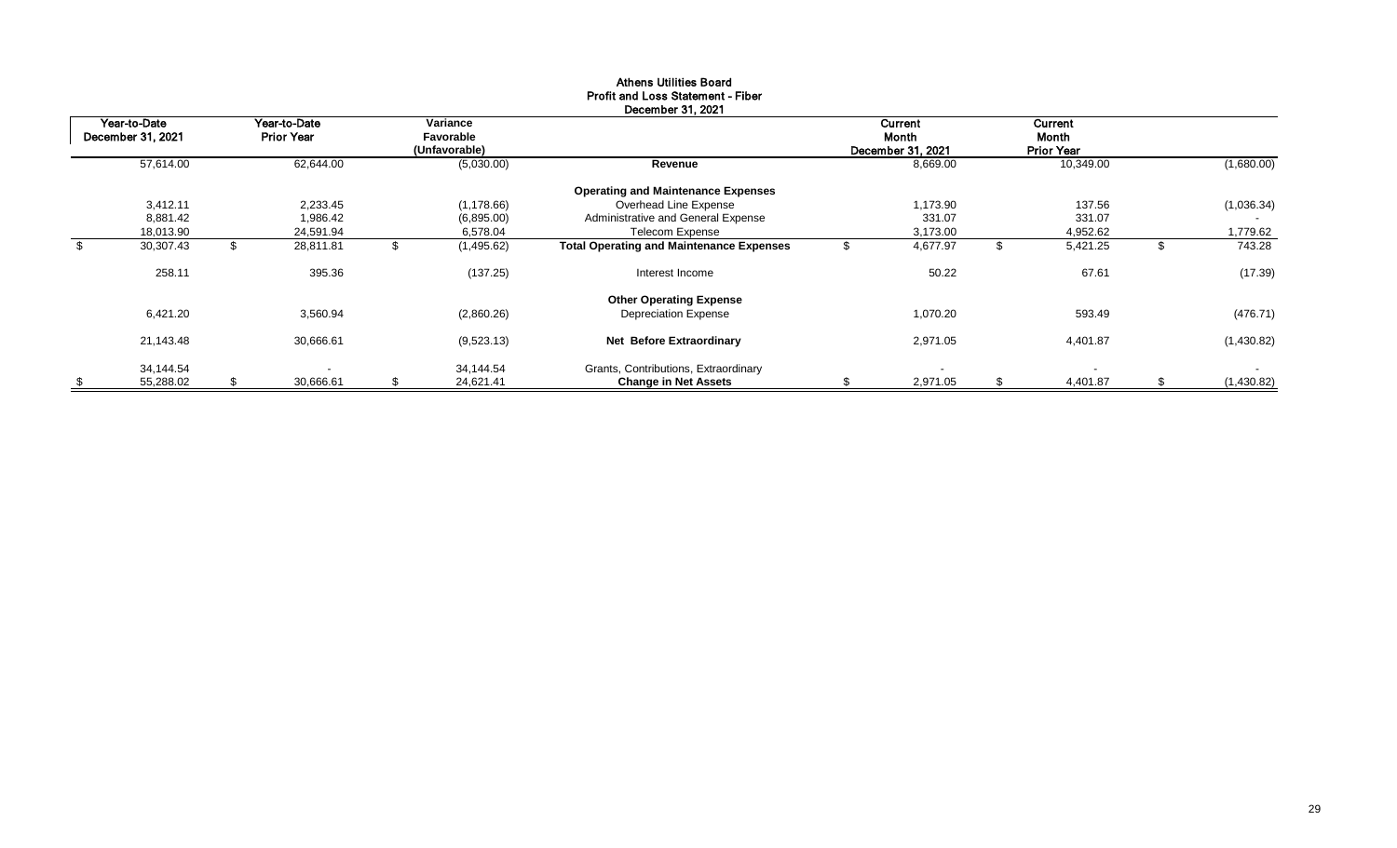|                                   |                                   |                                        | December 31, 2021                                                   |   |                                       |    |                                       |                            |
|-----------------------------------|-----------------------------------|----------------------------------------|---------------------------------------------------------------------|---|---------------------------------------|----|---------------------------------------|----------------------------|
| Year-to-Date<br>December 31, 2021 | Year-to-Date<br><b>Prior Year</b> | Variance<br>Favorable<br>(Unfavorable) |                                                                     |   | Current<br>Month<br>December 31, 2021 |    | Current<br>Month<br><b>Prior Year</b> |                            |
| 57,614.00                         | 62,644.00                         | (5,030.00)                             | Revenue                                                             |   | 8,669.00                              |    | 10,349.00                             | (1,680.00)                 |
|                                   |                                   |                                        | <b>Operating and Maintenance Expenses</b>                           |   |                                       |    |                                       |                            |
| 3,412.11                          | 2,233.45                          | (1, 178.66)                            | Overhead Line Expense                                               |   | 1,173.90                              |    | 137.56                                | (1,036.34)                 |
| 8,881.42                          | 1,986.42                          | (6,895.00)                             | Administrative and General Expense                                  |   | 331.07                                |    | 331.07                                |                            |
| 18,013.90                         | 24,591.94                         | 6,578.04                               | Telecom Expense                                                     |   | 3,173.00                              |    | 4,952.62                              | 1,779.62                   |
| \$<br>30,307.43                   | \$<br>28,811.81                   | \$<br>(1,495.62)                       | <b>Total Operating and Maintenance Expenses</b>                     |   | 4,677.97                              | Ъ  | 5,421.25                              | \$<br>743.28               |
| 258.11                            | 395.36                            | (137.25)                               | Interest Income                                                     |   | 50.22                                 |    | 67.61                                 | (17.39)                    |
|                                   |                                   |                                        | <b>Other Operating Expense</b>                                      |   |                                       |    |                                       |                            |
| 6,421.20                          | 3,560.94                          | (2,860.26)                             | <b>Depreciation Expense</b>                                         |   | 1,070.20                              |    | 593.49                                | (476.71)                   |
| 21,143.48                         | 30,666.61                         | (9,523.13)                             | <b>Net Before Extraordinary</b>                                     |   | 2,971.05                              |    | 4,401.87                              | (1,430.82)                 |
| \$<br>34,144.54<br>55,288.02      | \$<br>30,666.61                   | \$<br>34.144.54<br>24,621.41           | Grants, Contributions, Extraordinary<br><b>Change in Net Assets</b> | ъ | $\overline{\phantom{a}}$<br>2,971.05  | \$ | 4,401.87                              | \$<br>$\sim$<br>(1,430.82) |

## Athens Utilities Board Profit and Loss Statement - Fiber